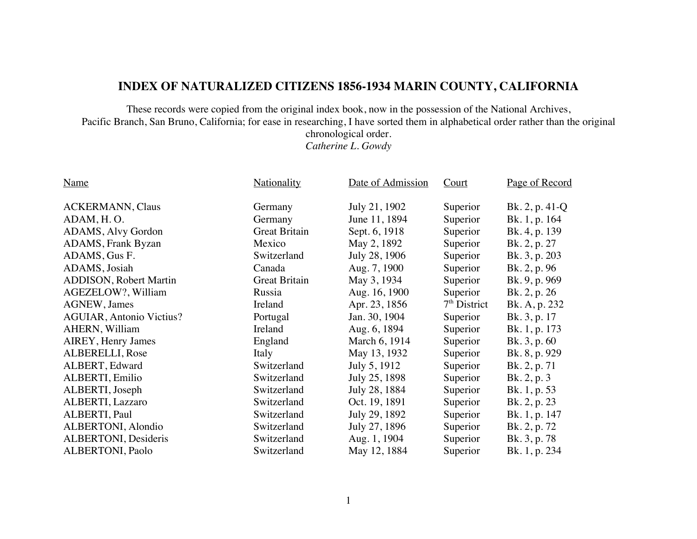## **INDEX OF NATURALIZED CITIZENS 1856-1934 MARIN COUNTY, CALIFORNIA**

These records were copied from the original index book, now in the possession of the National Archives, Pacific Branch, San Bruno, California; for ease in researching, I have sorted them in alphabetical order rather than the original

chronological order.

*Catherine L. Gowdy*

| <b>ACKERMANN</b> , Claus<br>July 21, 1902<br>Superior<br>Bk. $2, p. 41-Q$<br>Germany<br>ADAM, H.O.<br>Bk. 1, p. 164<br>June 11, 1894<br>Superior<br>Germany<br>ADAMS, Alvy Gordon<br><b>Great Britain</b><br>Sept. 6, 1918<br>Bk. 4, p. 139<br>Superior<br><b>ADAMS, Frank Byzan</b><br>May 2, 1892<br>Superior<br>Bk. 2, p. 27<br>Mexico<br>ADAMS, Gus F.<br>July 28, 1906<br>Superior<br>Switzerland<br>Bk. 3, p. 203<br>Aug. 7, 1900<br>ADAMS, Josiah<br>Canada<br>Superior<br>Bk. 2, p. 96<br><b>ADDISON</b> , Robert Martin<br><b>Great Britain</b><br>May 3, 1934<br>Superior<br>Bk. 9, p. 969<br>AGEZELOW?, William<br>Aug. 16, 1900<br>Russia<br>Bk. 2, p. 26<br>Superior<br>$7th$ District<br>Apr. 23, 1856<br><b>AGNEW</b> , James<br>Ireland<br>Bk. A, p. 232<br>Jan. 30, 1904<br><b>AGUIAR, Antonio Victius?</b><br>Superior<br>Bk. 3, p. 17<br>Portugal<br>AHERN, William<br>Ireland<br>Aug. 6, 1894<br>Superior<br>Bk. 1, p. 173<br>AIREY, Henry James<br>England<br>March 6, 1914<br>Superior<br>Bk. 3, p. 60 | Page of Record |
|------------------------------------------------------------------------------------------------------------------------------------------------------------------------------------------------------------------------------------------------------------------------------------------------------------------------------------------------------------------------------------------------------------------------------------------------------------------------------------------------------------------------------------------------------------------------------------------------------------------------------------------------------------------------------------------------------------------------------------------------------------------------------------------------------------------------------------------------------------------------------------------------------------------------------------------------------------------------------------------------------------------------------|----------------|
|                                                                                                                                                                                                                                                                                                                                                                                                                                                                                                                                                                                                                                                                                                                                                                                                                                                                                                                                                                                                                              |                |
|                                                                                                                                                                                                                                                                                                                                                                                                                                                                                                                                                                                                                                                                                                                                                                                                                                                                                                                                                                                                                              |                |
|                                                                                                                                                                                                                                                                                                                                                                                                                                                                                                                                                                                                                                                                                                                                                                                                                                                                                                                                                                                                                              |                |
|                                                                                                                                                                                                                                                                                                                                                                                                                                                                                                                                                                                                                                                                                                                                                                                                                                                                                                                                                                                                                              |                |
|                                                                                                                                                                                                                                                                                                                                                                                                                                                                                                                                                                                                                                                                                                                                                                                                                                                                                                                                                                                                                              |                |
|                                                                                                                                                                                                                                                                                                                                                                                                                                                                                                                                                                                                                                                                                                                                                                                                                                                                                                                                                                                                                              |                |
|                                                                                                                                                                                                                                                                                                                                                                                                                                                                                                                                                                                                                                                                                                                                                                                                                                                                                                                                                                                                                              |                |
|                                                                                                                                                                                                                                                                                                                                                                                                                                                                                                                                                                                                                                                                                                                                                                                                                                                                                                                                                                                                                              |                |
|                                                                                                                                                                                                                                                                                                                                                                                                                                                                                                                                                                                                                                                                                                                                                                                                                                                                                                                                                                                                                              |                |
|                                                                                                                                                                                                                                                                                                                                                                                                                                                                                                                                                                                                                                                                                                                                                                                                                                                                                                                                                                                                                              |                |
|                                                                                                                                                                                                                                                                                                                                                                                                                                                                                                                                                                                                                                                                                                                                                                                                                                                                                                                                                                                                                              |                |
|                                                                                                                                                                                                                                                                                                                                                                                                                                                                                                                                                                                                                                                                                                                                                                                                                                                                                                                                                                                                                              |                |
| May 13, 1932<br>ALBERELLI, Rose<br>Bk. 8, p. 929<br>Italy<br>Superior                                                                                                                                                                                                                                                                                                                                                                                                                                                                                                                                                                                                                                                                                                                                                                                                                                                                                                                                                        |                |
| July 5, 1912<br>ALBERT, Edward<br>Switzerland<br>Superior<br>Bk. 2, p. 71                                                                                                                                                                                                                                                                                                                                                                                                                                                                                                                                                                                                                                                                                                                                                                                                                                                                                                                                                    |                |
| July 25, 1898<br>ALBERTI, Emilio<br>Switzerland<br>Superior<br>Bk. 2, p. 3                                                                                                                                                                                                                                                                                                                                                                                                                                                                                                                                                                                                                                                                                                                                                                                                                                                                                                                                                   |                |
| ALBERTI, Joseph<br>July 28, 1884<br>Switzerland<br>Superior<br>Bk. 1, p. 53                                                                                                                                                                                                                                                                                                                                                                                                                                                                                                                                                                                                                                                                                                                                                                                                                                                                                                                                                  |                |
| ALBERTI, Lazzaro<br>Switzerland<br>Oct. 19, 1891<br>Superior<br>Bk. 2, p. 23                                                                                                                                                                                                                                                                                                                                                                                                                                                                                                                                                                                                                                                                                                                                                                                                                                                                                                                                                 |                |
| ALBERTI, Paul<br>Switzerland<br>July 29, 1892<br>Superior<br>Bk. 1, p. 147                                                                                                                                                                                                                                                                                                                                                                                                                                                                                                                                                                                                                                                                                                                                                                                                                                                                                                                                                   |                |
| ALBERTONI, Alondio<br>Switzerland<br>July 27, 1896<br>Superior<br>Bk. 2, p. 72                                                                                                                                                                                                                                                                                                                                                                                                                                                                                                                                                                                                                                                                                                                                                                                                                                                                                                                                               |                |
| ALBERTONI, Desideris<br>Aug. 1, 1904<br>Switzerland<br>Superior<br>Bk. 3, p. 78                                                                                                                                                                                                                                                                                                                                                                                                                                                                                                                                                                                                                                                                                                                                                                                                                                                                                                                                              |                |
| ALBERTONI, Paolo<br>Switzerland<br>May 12, 1884<br>Superior<br>Bk. 1, p. 234                                                                                                                                                                                                                                                                                                                                                                                                                                                                                                                                                                                                                                                                                                                                                                                                                                                                                                                                                 |                |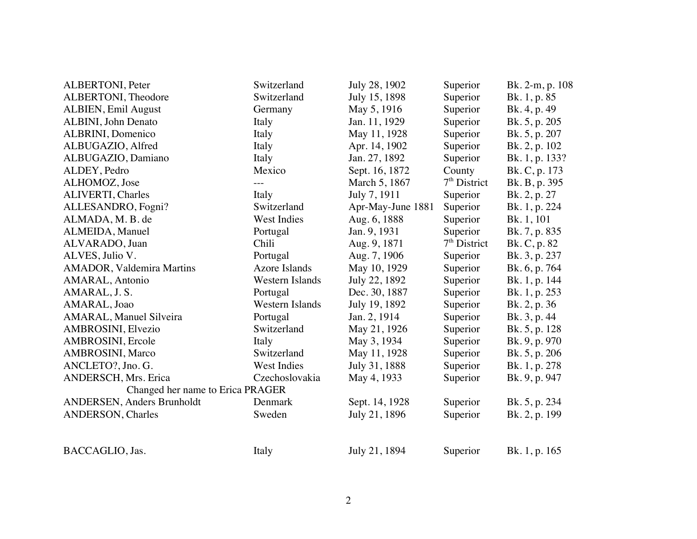| ALBERTONI, Peter                  | Switzerland          | July 28, 1902     | Superior       | Bk. 2-m, p. 108 |
|-----------------------------------|----------------------|-------------------|----------------|-----------------|
| ALBERTONI, Theodore               | Switzerland          | July 15, 1898     | Superior       | Bk. 1, p. 85    |
| ALBIEN, Emil August               | Germany              | May 5, 1916       | Superior       | Bk. 4, p. 49    |
| ALBINI, John Denato               | Italy                | Jan. 11, 1929     | Superior       | Bk. 5, p. 205   |
| ALBRINI, Domenico                 | Italy                | May 11, 1928      | Superior       | Bk. 5, p. 207   |
| ALBUGAZIO, Alfred                 | Italy                | Apr. 14, 1902     | Superior       | Bk. 2, p. 102   |
| ALBUGAZIO, Damiano                | Italy                | Jan. 27, 1892     | Superior       | Bk. 1, p. 133?  |
| ALDEY, Pedro                      | Mexico               | Sept. 16, 1872    | County         | Bk. C, p. 173   |
| ALHOMOZ, Jose                     |                      | March 5, 1867     | $7th$ District | Bk. B, p. 395   |
| <b>ALIVERTI, Charles</b>          | Italy                | July 7, 1911      | Superior       | Bk. 2, p. 27    |
| ALLESANDRO, Fogni?                | Switzerland          | Apr-May-June 1881 | Superior       | Bk. 1, p. 224   |
| ALMADA, M. B. de                  | West Indies          | Aug. 6, 1888      | Superior       | Bk. 1, 101      |
| ALMEIDA, Manuel                   | Portugal             | Jan. 9, 1931      | Superior       | Bk. 7, p. 835   |
| ALVARADO, Juan                    | Chili                | Aug. 9, 1871      | $7th$ District | Bk. C, p. 82    |
| ALVES, Julio V.                   | Portugal             | Aug. 7, 1906      | Superior       | Bk. 3, p. 237   |
| <b>AMADOR</b> , Valdemira Martins | <b>Azore Islands</b> | May 10, 1929      | Superior       | Bk. 6, p. 764   |
| AMARAL, Antonio                   | Western Islands      | July 22, 1892     | Superior       | Bk. 1, p. 144   |
| AMARAL, J. S.                     | Portugal             | Dec. 30, 1887     | Superior       | Bk. 1, p. 253   |
| AMARAL, Joao                      | Western Islands      | July 19, 1892     | Superior       | Bk. 2, p. 36    |
| AMARAL, Manuel Silveira           | Portugal             | Jan. 2, 1914      | Superior       | Bk. 3, p. 44    |
| AMBROSINI, Elvezio                | Switzerland          | May 21, 1926      | Superior       | Bk. 5, p. 128   |
| AMBROSINI, Ercole                 | Italy                | May 3, 1934       | Superior       | Bk. 9, p. 970   |
| AMBROSINI, Marco                  | Switzerland          | May 11, 1928      | Superior       | Bk. 5, p. 206   |
| ANCLETO?, Jno. G.                 | West Indies          | July 31, 1888     | Superior       | Bk. 1, p. 278   |
| <b>ANDERSCH, Mrs. Erica</b>       | Czechoslovakia       | May 4, 1933       | Superior       | Bk. 9, p. 947   |
| Changed her name to Erica PRAGER  |                      |                   |                |                 |
| <b>ANDERSEN, Anders Brunholdt</b> | Denmark              | Sept. 14, 1928    | Superior       | Bk. 5, p. 234   |
| ANDERSON, Charles                 | Sweden               | July 21, 1896     | Superior       | Bk. 2, p. 199   |
| BACCAGLIO, Jas.                   | Italy                | July 21, 1894     | Superior       | Bk. 1, p. 165   |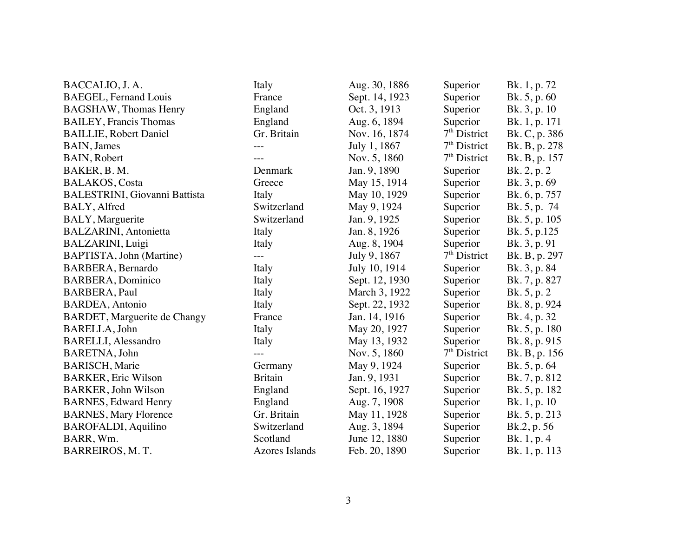| BACCALIO, J. A.                      | Italy                 | Aug. 30, 1886  | Superior       | Bk. 1, p. 72  |
|--------------------------------------|-----------------------|----------------|----------------|---------------|
| <b>BAEGEL, Fernand Louis</b>         | France                | Sept. 14, 1923 | Superior       | Bk. 5, p. 60  |
| <b>BAGSHAW</b> , Thomas Henry        | England               | Oct. 3, 1913   | Superior       | Bk. 3, p. 10  |
| <b>BAILEY</b> , Francis Thomas       | England               | Aug. 6, 1894   | Superior       | Bk. 1, p. 171 |
| <b>BAILLIE, Robert Daniel</b>        | Gr. Britain           | Nov. 16, 1874  | $7th$ District | Bk. C, p. 386 |
| BAIN, James                          | $- - -$               | July 1, 1867   | $7th$ District | Bk. B, p. 278 |
| BAIN, Robert                         | ---                   | Nov. 5, 1860   | $7th$ District | Bk. B, p. 157 |
| BAKER, B.M.                          | Denmark               | Jan. 9, 1890   | Superior       | Bk. 2, p. 2   |
| <b>BALAKOS</b> , Costa               | Greece                | May 15, 1914   | Superior       | Bk. 3, p. 69  |
| <b>BALESTRINI, Giovanni Battista</b> | Italy                 | May 10, 1929   | Superior       | Bk. 6, p. 757 |
| BALY, Alfred                         | Switzerland           | May 9, 1924    | Superior       | Bk. 5, p. 74  |
| BALY, Marguerite                     | Switzerland           | Jan. 9, 1925   | Superior       | Bk. 5, p. 105 |
| <b>BALZARINI</b> , Antonietta        | Italy                 | Jan. 8, 1926   | Superior       | Bk. 5, p.125  |
| <b>BALZARINI</b> , Luigi             | Italy                 | Aug. 8, 1904   | Superior       | Bk. 3, p. 91  |
| BAPTISTA, John (Martine)             | $---$                 | July 9, 1867   | $7th$ District | Bk. B, p. 297 |
| BARBERA, Bernardo                    | Italy                 | July 10, 1914  | Superior       | Bk. 3, p. 84  |
| <b>BARBERA, Dominico</b>             | Italy                 | Sept. 12, 1930 | Superior       | Bk. 7, p. 827 |
| BARBERA, Paul                        | Italy                 | March 3, 1922  | Superior       | Bk. 5, p. 2   |
| <b>BARDEA</b> , Antonio              | Italy                 | Sept. 22, 1932 | Superior       | Bk. 8, p. 924 |
| BARDET, Marguerite de Changy         | France                | Jan. 14, 1916  | Superior       | Bk. 4, p. 32  |
| BARELLA, John                        | Italy                 | May 20, 1927   | Superior       | Bk. 5, p. 180 |
| <b>BARELLI</b> , Alessandro          | Italy                 | May 13, 1932   | Superior       | Bk. 8, p. 915 |
| BARETNA, John                        | $---$                 | Nov. 5, 1860   | $7th$ District | Bk. B, p. 156 |
| <b>BARISCH, Marie</b>                | Germany               | May 9, 1924    | Superior       | Bk. 5, p. 64  |
| <b>BARKER, Eric Wilson</b>           | <b>Britain</b>        | Jan. 9, 1931   | Superior       | Bk. 7, p. 812 |
| <b>BARKER, John Wilson</b>           | England               | Sept. 16, 1927 | Superior       | Bk. 5, p. 182 |
| <b>BARNES, Edward Henry</b>          | England               | Aug. 7, 1908   | Superior       | Bk. 1, p. 10  |
| <b>BARNES, Mary Florence</b>         | Gr. Britain           | May 11, 1928   | Superior       | Bk. 5, p. 213 |
| <b>BAROFALDI</b> , Aquilino          | Switzerland           | Aug. 3, 1894   | Superior       | Bk.2, p. 56   |
| BARR, Wm.                            | Scotland              | June 12, 1880  | Superior       | Bk. 1, p. 4   |
| BARREIROS, M.T.                      | <b>Azores Islands</b> | Feb. 20, 1890  | Superior       | Bk. 1, p. 113 |
|                                      |                       |                |                |               |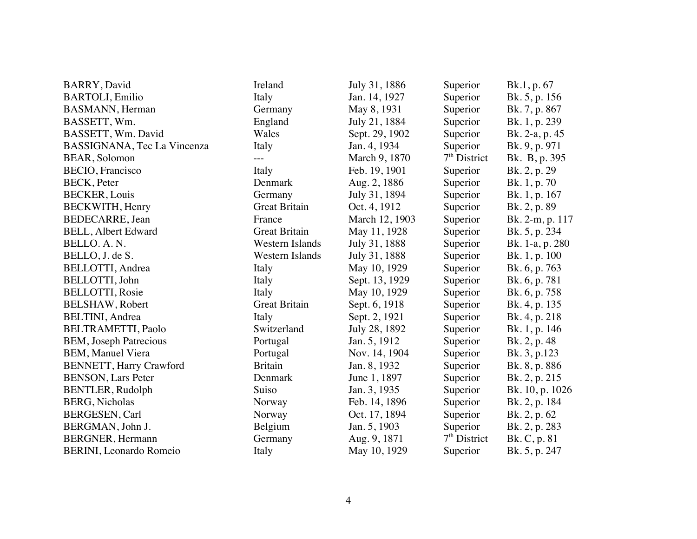| BARRY, David                    | Ireland                | July 31, 1886  | Superior       | Bk.1, p. 67     |
|---------------------------------|------------------------|----------------|----------------|-----------------|
| <b>BARTOLI</b> , Emilio         | Italy                  | Jan. 14, 1927  | Superior       | Bk. 5, p. 156   |
| <b>BASMANN</b> , Herman         | Germany                | May 8, 1931    | Superior       | Bk. 7, p. 867   |
| BASSETT, Wm.                    | England                | July 21, 1884  | Superior       | Bk. 1, p. 239   |
| BASSETT, Wm. David              | Wales                  | Sept. 29, 1902 | Superior       | Bk. 2-a, p. 45  |
| BASSIGNANA, Tec La Vincenza     | Italy                  | Jan. 4, 1934   | Superior       | Bk. 9, p. 971   |
| BEAR, Solomon                   | $---$                  | March 9, 1870  | $7th$ District | Bk. B, p. 395   |
| BECIO, Francisco                | Italy                  | Feb. 19, 1901  | Superior       | Bk. 2, p. 29    |
| <b>BECK</b> , Peter             | Denmark                | Aug. 2, 1886   | Superior       | Bk. 1, p. 70    |
| <b>BECKER, Louis</b>            | Germany                | July 31, 1894  | Superior       | Bk. 1, p. 167   |
| BECKWITH, Henry                 | <b>Great Britain</b>   | Oct. 4, 1912   | Superior       | Bk. 2, p. 89    |
| <b>BEDECARRE</b> , Jean         | France                 | March 12, 1903 | Superior       | Bk. 2-m, p. 117 |
| <b>BELL, Albert Edward</b>      | <b>Great Britain</b>   | May 11, 1928   | Superior       | Bk. 5, p. 234   |
| BELLO. A.N.                     | <b>Western Islands</b> | July 31, 1888  | Superior       | Bk. 1-a, p. 280 |
| BELLO, J. de S.                 | Western Islands        | July 31, 1888  | Superior       | Bk. 1, p. 100   |
| BELLOTTI, Andrea                | Italy                  | May 10, 1929   | Superior       | Bk. 6, p. 763   |
| BELLOTTI, John                  | Italy                  | Sept. 13, 1929 | Superior       | Bk. 6, p. 781   |
| <b>BELLOTTI, Rosie</b>          | Italy                  | May 10, 1929   | Superior       | Bk. 6, p. 758   |
| <b>BELSHAW, Robert</b>          | <b>Great Britain</b>   | Sept. 6, 1918  | Superior       | Bk. 4, p. 135   |
| <b>BELTINI</b> , Andrea         | Italy                  | Sept. 2, 1921  | Superior       | Bk. 4, p. 218   |
| <b>BELTRAMETTI, Paolo</b>       | Switzerland            | July 28, 1892  | Superior       | Bk. 1, p. 146   |
| <b>BEM</b> , Joseph Patrecious  | Portugal               | Jan. 5, 1912   | Superior       | Bk. 2, p. 48    |
| <b>BEM, Manuel Viera</b>        | Portugal               | Nov. 14, 1904  | Superior       | Bk. 3, p.123    |
| <b>BENNETT, Harry Crawford</b>  | <b>Britain</b>         | Jan. 8, 1932   | Superior       | Bk. 8, p. 886   |
| <b>BENSON, Lars Peter</b>       | Denmark                | June 1, 1897   | Superior       | Bk. 2, p. 215   |
| <b>BENTLER, Rudolph</b>         | Suiso                  | Jan. 3, 1935   | Superior       | Bk. 10, p. 1026 |
| <b>BERG, Nicholas</b>           | Norway                 | Feb. 14, 1896  | Superior       | Bk. 2, p. 184   |
| BERGESEN, Carl                  | Norway                 | Oct. 17, 1894  | Superior       | Bk. 2, p. 62    |
| BERGMAN, John J.                | Belgium                | Jan. 5, 1903   | Superior       | Bk. 2, p. 283   |
| <b>BERGNER</b> , Hermann        | Germany                | Aug. 9, 1871   | $7th$ District | Bk. C, p. 81    |
| <b>BERINI</b> , Leonardo Romeio | Italy                  | May 10, 1929   | Superior       | Bk. 5, p. 247   |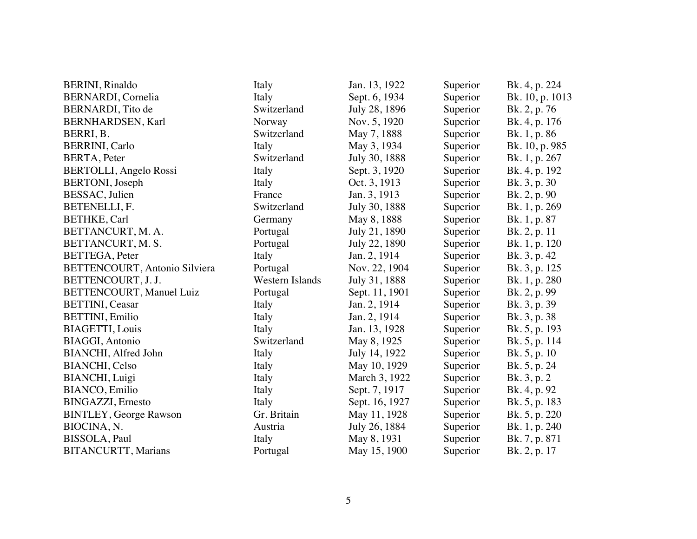| <b>BERINI</b> , Rinaldo         | Italy                  | Jan. 13, 1922  | Superior | Bk. 4, p. 224   |
|---------------------------------|------------------------|----------------|----------|-----------------|
| BERNARDI, Cornelia              | Italy                  | Sept. 6, 1934  | Superior | Bk. 10, p. 1013 |
| BERNARDI, Tito de               | Switzerland            | July 28, 1896  | Superior | Bk. 2, p. 76    |
| BERNHARDSEN, Karl               | Norway                 | Nov. 5, 1920   | Superior | Bk. 4, p. 176   |
| BERRI, B.                       | Switzerland            | May 7, 1888    | Superior | Bk. 1, p. 86    |
| <b>BERRINI, Carlo</b>           | Italy                  | May 3, 1934    | Superior | Bk. 10, p. 985  |
| BERTA, Peter                    | Switzerland            | July 30, 1888  | Superior | Bk. 1, p. 267   |
| BERTOLLI, Angelo Rossi          | Italy                  | Sept. 3, 1920  | Superior | Bk. 4, p. 192   |
| <b>BERTONI</b> , Joseph         | Italy                  | Oct. 3, 1913   | Superior | Bk. 3, p. 30    |
| BESSAC, Julien                  | France                 | Jan. 3, 1913   | Superior | Bk. 2, p. 90    |
| BETENELLI, F.                   | Switzerland            | July 30, 1888  | Superior | Bk. 1, p. 269   |
| BETHKE, Carl                    | Germany                | May 8, 1888    | Superior | Bk. 1, p. 87    |
| BETTANCURT, M. A.               | Portugal               | July 21, 1890  | Superior | Bk. 2, p. 11    |
| BETTANCURT, M. S.               | Portugal               | July 22, 1890  | Superior | Bk. 1, p. 120   |
| <b>BETTEGA</b> , Peter          | Italy                  | Jan. 2, 1914   | Superior | Bk. 3, p. 42    |
| BETTENCOURT, Antonio Silviera   | Portugal               | Nov. 22, 1904  | Superior | Bk. 3, p. 125   |
| BETTENCOURT, J. J.              | <b>Western Islands</b> | July 31, 1888  | Superior | Bk. 1, p. 280   |
| <b>BETTENCOURT, Manuel Luiz</b> | Portugal               | Sept. 11, 1901 | Superior | Bk. 2, p. 99    |
| <b>BETTINI</b> , Ceasar         | Italy                  | Jan. 2, 1914   | Superior | Bk. 3, p. 39    |
| BETTINI, Emilio                 | Italy                  | Jan. 2, 1914   | Superior | Bk. 3, p. 38    |
| <b>BIAGETTI, Louis</b>          | Italy                  | Jan. 13, 1928  | Superior | Bk. 5, p. 193   |
| <b>BIAGGI, Antonio</b>          | Switzerland            | May 8, 1925    | Superior | Bk. 5, p. 114   |
| BIANCHI, Alfred John            | Italy                  | July 14, 1922  | Superior | Bk. 5, p. 10    |
| <b>BIANCHI</b> , Celso          | Italy                  | May 10, 1929   | Superior | Bk. 5, p. 24    |
| BIANCHI, Luigi                  | Italy                  | March 3, 1922  | Superior | Bk. 3, p. 2     |
| <b>BIANCO</b> , Emilio          | Italy                  | Sept. 7, 1917  | Superior | Bk. 4, p. 92    |
| <b>BINGAZZI, Ernesto</b>        | Italy                  | Sept. 16, 1927 | Superior | Bk. 5, p. 183   |
| <b>BINTLEY, George Rawson</b>   | Gr. Britain            | May 11, 1928   | Superior | Bk. 5, p. 220   |
| BIOCINA, N.                     | Austria                | July 26, 1884  | Superior | Bk. 1, p. 240   |
| BISSOLA, Paul                   | Italy                  | May 8, 1931    | Superior | Bk. 7, p. 871   |
| <b>BITANCURTT, Marians</b>      | Portugal               | May 15, 1900   | Superior | Bk. 2, p. 17    |
|                                 |                        |                |          |                 |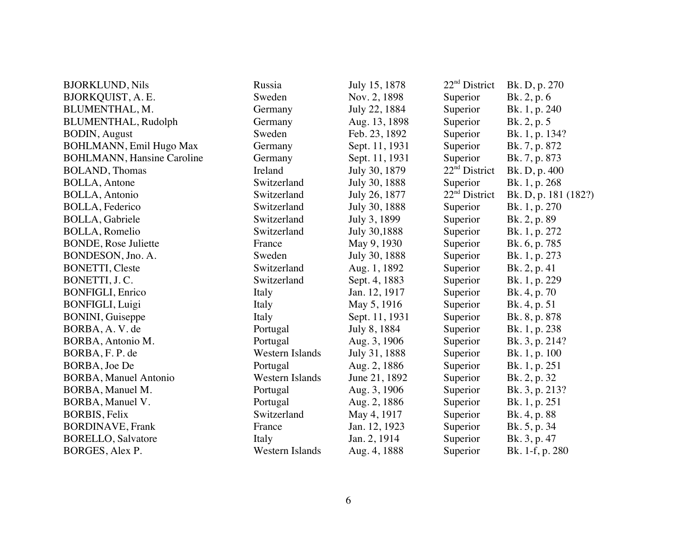| <b>BJORKLUND, Nils</b>             | Russia          | July 15, 1878  | 22 <sup>nd</sup> District | Bk. D, p. 270        |
|------------------------------------|-----------------|----------------|---------------------------|----------------------|
| BJORKQUIST, A. E.                  | Sweden          | Nov. 2, 1898   | Superior                  | Bk. 2, p. 6          |
| BLUMENTHAL, M.                     | Germany         | July 22, 1884  | Superior                  | Bk. 1, p. 240        |
| <b>BLUMENTHAL, Rudolph</b>         | Germany         | Aug. 13, 1898  | Superior                  | Bk. 2, p. 5          |
| <b>BODIN, August</b>               | Sweden          | Feb. 23, 1892  | Superior                  | Bk. 1, p. 134?       |
| <b>BOHLMANN</b> , Emil Hugo Max    | Germany         | Sept. 11, 1931 | Superior                  | Bk. 7, p. 872        |
| <b>BOHLMANN</b> , Hansine Caroline | Germany         | Sept. 11, 1931 | Superior                  | Bk. 7, p. 873        |
| <b>BOLAND</b> , Thomas             | Ireland         | July 30, 1879  | $22nd$ District           | Bk. D, p. 400        |
| <b>BOLLA, Antone</b>               | Switzerland     | July 30, 1888  | Superior                  | Bk. 1, p. 268        |
| <b>BOLLA, Antonio</b>              | Switzerland     | July 26, 1877  | $22nd$ District           | Bk. D, p. 181 (182?) |
| <b>BOLLA, Federico</b>             | Switzerland     | July 30, 1888  | Superior                  | Bk. 1, p. 270        |
| <b>BOLLA, Gabriele</b>             | Switzerland     | July 3, 1899   | Superior                  | Bk. 2, p. 89         |
| <b>BOLLA</b> , Romelio             | Switzerland     | July 30,1888   | Superior                  | Bk. 1, p. 272        |
| <b>BONDE, Rose Juliette</b>        | France          | May 9, 1930    | Superior                  | Bk. 6, p. 785        |
| BONDESON, Jno. A.                  | Sweden          | July 30, 1888  | Superior                  | Bk. 1, p. 273        |
| <b>BONETTI, Cleste</b>             | Switzerland     | Aug. 1, 1892   | Superior                  | Bk. 2, p. 41         |
| BONETTI, J.C.                      | Switzerland     | Sept. 4, 1883  | Superior                  | Bk. 1, p. 229        |
| <b>BONFIGLI, Enrico</b>            | Italy           | Jan. 12, 1917  | Superior                  | Bk. 4, p. 70         |
| BONFIGLI, Luigi                    | Italy           | May 5, 1916    | Superior                  | Bk. 4, p. 51         |
| <b>BONINI</b> , Guiseppe           | Italy           | Sept. 11, 1931 | Superior                  | Bk. 8, p. 878        |
| BORBA, A.V. de                     | Portugal        | July 8, 1884   | Superior                  | Bk. 1, p. 238        |
| BORBA, Antonio M.                  | Portugal        | Aug. 3, 1906   | Superior                  | Bk. 3, p. 214?       |
| BORBA, F.P. de                     | Western Islands | July 31, 1888  | Superior                  | Bk. 1, p. 100        |
| BORBA, Joe De                      | Portugal        | Aug. 2, 1886   | Superior                  | Bk. 1, p. 251        |
| <b>BORBA, Manuel Antonio</b>       | Western Islands | June 21, 1892  | Superior                  | Bk. 2, p. 32         |
| BORBA, Manuel M.                   | Portugal        | Aug. 3, 1906   | Superior                  | Bk. 3, p. 213?       |
| BORBA, Manuel V.                   | Portugal        | Aug. 2, 1886   | Superior                  | Bk. 1, p. 251        |
| <b>BORBIS, Felix</b>               | Switzerland     | May 4, 1917    | Superior                  | Bk. 4, p. 88         |
| <b>BORDINAVE, Frank</b>            | France          | Jan. 12, 1923  | Superior                  | Bk. 5, p. 34         |
| <b>BORELLO, Salvatore</b>          | Italy           | Jan. 2, 1914   | Superior                  | Bk. 3, p. 47         |
| BORGES, Alex P.                    | Western Islands | Aug. 4, 1888   | Superior                  | Bk. 1-f, p. 280      |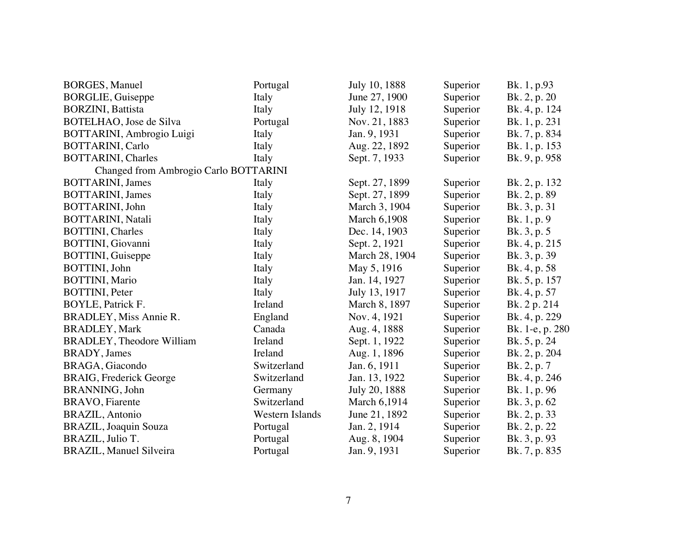| <b>BORGES, Manuel</b>                 | Portugal        | July 10, 1888       | Superior | Bk. 1, p.93     |
|---------------------------------------|-----------------|---------------------|----------|-----------------|
| <b>BORGLIE, Guiseppe</b>              | Italy           | June 27, 1900       | Superior | Bk. 2, p. 20    |
| <b>BORZINI</b> , Battista             | Italy           | July 12, 1918       | Superior | Bk. 4, p. 124   |
| BOTELHAO, Jose de Silva               | Portugal        | Nov. 21, 1883       | Superior | Bk. 1, p. 231   |
| BOTTARINI, Ambrogio Luigi             | Italy           | Jan. 9, 1931        | Superior | Bk. 7, p. 834   |
| <b>BOTTARINI, Carlo</b>               | Italy           | Aug. 22, 1892       | Superior | Bk. 1, p. 153   |
| <b>BOTTARINI</b> , Charles            | Italy           | Sept. 7, 1933       | Superior | Bk. 9, p. 958   |
| Changed from Ambrogio Carlo BOTTARINI |                 |                     |          |                 |
| <b>BOTTARINI</b> , James              | Italy           | Sept. 27, 1899      | Superior | Bk. 2, p. 132   |
| <b>BOTTARINI</b> , James              | Italy           | Sept. 27, 1899      | Superior | Bk. 2, p. 89    |
| BOTTARINI, John                       | Italy           | March 3, 1904       | Superior | Bk. 3, p. 31    |
| <b>BOTTARINI</b> , Natali             | Italy           | <b>March 6,1908</b> | Superior | Bk. 1, p. 9     |
| <b>BOTTINI</b> , Charles              | Italy           | Dec. 14, 1903       | Superior | Bk. 3, p. 5     |
| BOTTINI, Giovanni                     | Italy           | Sept. 2, 1921       | Superior | Bk. 4, p. 215   |
| <b>BOTTINI</b> , Guiseppe             | Italy           | March 28, 1904      | Superior | Bk. 3, p. 39    |
| BOTTINI, John                         | Italy           | May 5, 1916         | Superior | Bk. 4, p. 58    |
| <b>BOTTINI</b> , Mario                | Italy           | Jan. 14, 1927       | Superior | Bk. 5, p. 157   |
| <b>BOTTINI</b> , Peter                | Italy           | July 13, 1917       | Superior | Bk. 4, p. 57    |
| BOYLE, Patrick F.                     | Ireland         | March 8, 1897       | Superior | Bk. 2 p. 214    |
| BRADLEY, Miss Annie R.                | England         | Nov. 4, 1921        | Superior | Bk. 4, p. 229   |
| <b>BRADLEY, Mark</b>                  | Canada          | Aug. 4, 1888        | Superior | Bk. 1-e, p. 280 |
| <b>BRADLEY</b> , Theodore William     | Ireland         | Sept. 1, 1922       | Superior | Bk. 5, p. 24    |
| BRADY, James                          | Ireland         | Aug. 1, 1896        | Superior | Bk. 2, p. 204   |
| BRAGA, Giacondo                       | Switzerland     | Jan. 6, 1911        | Superior | Bk. 2, p. 7     |
| BRAIG, Frederick George               | Switzerland     | Jan. 13, 1922       | Superior | Bk. 4, p. 246   |
| BRANNING, John                        | Germany         | July 20, 1888       | Superior | Bk. 1, p. 96    |
| <b>BRAVO</b> , Fiarente               | Switzerland     | March 6,1914        | Superior | Bk. 3, p. 62    |
| <b>BRAZIL</b> , Antonio               | Western Islands | June 21, 1892       | Superior | Bk. 2, p. 33    |
| <b>BRAZIL</b> , Joaquin Souza         | Portugal        | Jan. 2, 1914        | Superior | Bk. 2, p. 22    |
| BRAZIL, Julio T.                      | Portugal        | Aug. 8, 1904        | Superior | Bk. 3, p. 93    |
| <b>BRAZIL, Manuel Silveira</b>        | Portugal        | Jan. 9, 1931        | Superior | Bk. 7, p. 835   |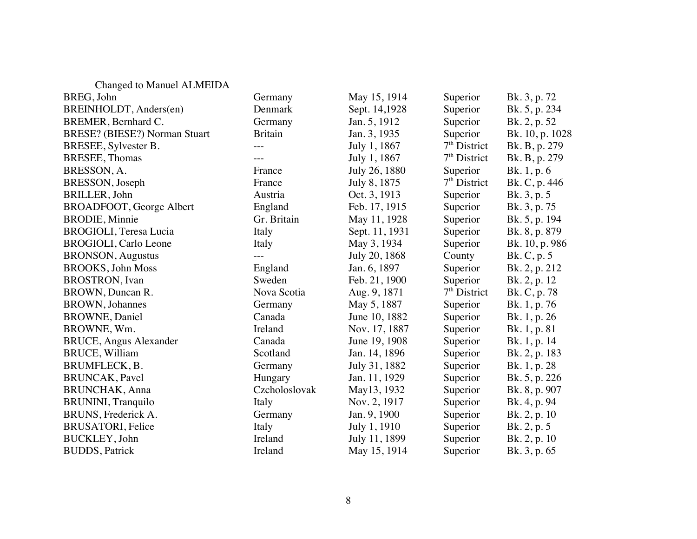| Changed to Manuel ALMEIDA            |                |                |                |                 |
|--------------------------------------|----------------|----------------|----------------|-----------------|
| BREG, John                           | Germany        | May 15, 1914   | Superior       | Bk. 3, p. 72    |
| BREINHOLDT, Anders(en)               | Denmark        | Sept. 14,1928  | Superior       | Bk. 5, p. 234   |
| BREMER, Bernhard C.                  | Germany        | Jan. 5, 1912   | Superior       | Bk. 2, p. 52    |
| <b>BRESE?</b> (BIESE?) Norman Stuart | <b>Britain</b> | Jan. 3, 1935   | Superior       | Bk. 10, p. 1028 |
| BRESEE, Sylvester B.                 |                | July 1, 1867   | $7th$ District | Bk. B, p. 279   |
| <b>BRESEE</b> , Thomas               | $---$          | July 1, 1867   | $7th$ District | Bk. B, p. 279   |
| BRESSON, A.                          | France         | July 26, 1880  | Superior       | Bk. 1, p. 6     |
| BRESSON, Joseph                      | France         | July 8, 1875   | $7th$ District | Bk. C, p. 446   |
| BRILLER, John                        | Austria        | Oct. 3, 1913   | Superior       | Bk. 3, p. 5     |
| BROADFOOT, George Albert             | England        | Feb. 17, 1915  | Superior       | Bk. 3, p. 75    |
| <b>BRODIE, Minnie</b>                | Gr. Britain    | May 11, 1928   | Superior       | Bk. 5, p. 194   |
| BROGIOLI, Teresa Lucia               | Italy          | Sept. 11, 1931 | Superior       | Bk. 8, p. 879   |
| <b>BROGIOLI</b> , Carlo Leone        | Italy          | May 3, 1934    | Superior       | Bk. 10, p. 986  |
| <b>BRONSON</b> , Augustus            |                | July 20, 1868  | County         | Bk. C, p. 5     |
| <b>BROOKS</b> , John Moss            | England        | Jan. 6, 1897   | Superior       | Bk. 2, p. 212   |
| <b>BROSTRON</b> , Ivan               | Sweden         | Feb. 21, 1900  | Superior       | Bk. 2, p. 12    |
| BROWN, Duncan R.                     | Nova Scotia    | Aug. 9, 1871   | $7th$ District | Bk. C, p. 78    |
| <b>BROWN</b> , Johannes              | Germany        | May 5, 1887    | Superior       | Bk. 1, p. 76    |
| <b>BROWNE</b> , Daniel               | Canada         | June 10, 1882  | Superior       | Bk. 1, p. 26    |
| BROWNE, Wm.                          | Ireland        | Nov. 17, 1887  | Superior       | Bk. 1, p. 81    |
| <b>BRUCE, Angus Alexander</b>        | Canada         | June 19, 1908  | Superior       | Bk. 1, p. 14    |
| <b>BRUCE, William</b>                | Scotland       | Jan. 14, 1896  | Superior       | Bk. 2, p. 183   |
| BRUMFLECK, B.                        | Germany        | July 31, 1882  | Superior       | Bk. 1, p. 28    |
| <b>BRUNCAK</b> , Pavel               | Hungary        | Jan. 11, 1929  | Superior       | Bk. 5, p. 226   |
| <b>BRUNCHAK</b> , Anna               | Czcholoslovak  | May13, 1932    | Superior       | Bk. 8, p. 907   |
| <b>BRUNINI</b> , Tranquilo           | Italy          | Nov. 2, 1917   | Superior       | Bk. 4, p. 94    |
| BRUNS, Frederick A.                  | Germany        | Jan. 9, 1900   | Superior       | Bk. 2, p. 10    |
| <b>BRUSATORI</b> , Felice            | Italy          | July 1, 1910   | Superior       | Bk. 2, p. 5     |
| <b>BUCKLEY</b> , John                | Ireland        | July 11, 1899  | Superior       | Bk. 2, p. 10    |
| <b>BUDDS</b> , Patrick               | Ireland        | May 15, 1914   | Superior       | Bk. 3, p. 65    |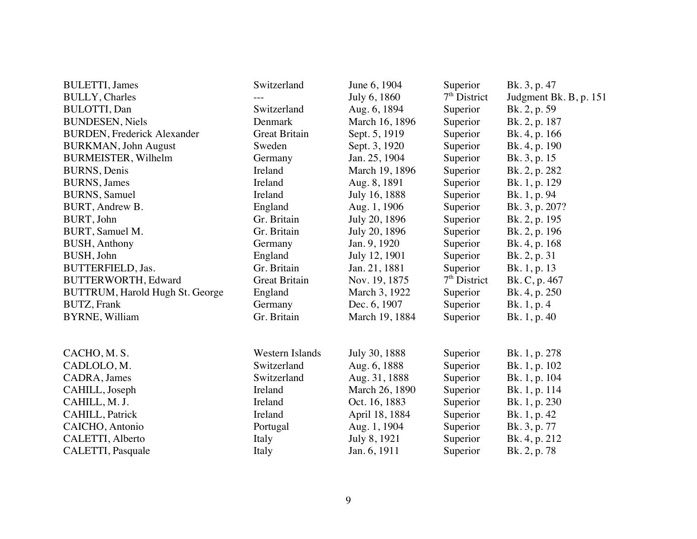| <b>BULETTI</b> , James              | Switzerland          | June 6, 1904   | Superior       | Bk. 3, p. 47           |
|-------------------------------------|----------------------|----------------|----------------|------------------------|
| <b>BULLY, Charles</b>               |                      | July 6, 1860   | $7th$ District | Judgment Bk. B, p. 151 |
| <b>BULOTTI, Dan</b>                 | Switzerland          | Aug. 6, 1894   | Superior       | Bk. 2, p. 59           |
| <b>BUNDESEN</b> , Niels             | Denmark              | March 16, 1896 | Superior       | Bk. 2, p. 187          |
| <b>BURDEN</b> , Frederick Alexander | <b>Great Britain</b> | Sept. 5, 1919  | Superior       | Bk. 4, p. 166          |
| <b>BURKMAN</b> , John August        | Sweden               | Sept. 3, 1920  | Superior       | Bk. 4, p. 190          |
| <b>BURMEISTER, Wilhelm</b>          | Germany              | Jan. 25, 1904  | Superior       | Bk. 3, p. 15           |
| <b>BURNS</b> , Denis                | Ireland              | March 19, 1896 | Superior       | Bk. 2, p. 282          |
| <b>BURNS</b> , James                | Ireland              | Aug. 8, 1891   | Superior       | Bk. 1, p. 129          |
| <b>BURNS</b> , Samuel               | Ireland              | July 16, 1888  | Superior       | Bk. 1, p. 94           |
| BURT, Andrew B.                     | England              | Aug. 1, 1906   | Superior       | Bk. 3, p. 207?         |
| BURT, John                          | Gr. Britain          | July 20, 1896  | Superior       | Bk. 2, p. 195          |
| BURT, Samuel M.                     | Gr. Britain          | July 20, 1896  | Superior       | Bk. 2, p. 196          |
| <b>BUSH, Anthony</b>                | Germany              | Jan. 9, 1920   | Superior       | Bk. 4, p. 168          |
| BUSH, John                          | England              | July 12, 1901  | Superior       | Bk. 2, p. 31           |
| BUTTERFIELD, Jas.                   | Gr. Britain          | Jan. 21, 1881  | Superior       | Bk. 1, p. 13           |
| BUTTERWORTH, Edward                 | <b>Great Britain</b> | Nov. 19, 1875  | $7th$ District | Bk. C, p. 467          |
| BUTTRUM, Harold Hugh St. George     | England              | March 3, 1922  | Superior       | Bk. 4, p. 250          |
| <b>BUTZ, Frank</b>                  | Germany              | Dec. 6, 1907   | Superior       | Bk. 1, p. 4            |
| <b>BYRNE, William</b>               | Gr. Britain          | March 19, 1884 | Superior       | Bk. 1, p. 40           |
| CACHO, M.S.                         | Western Islands      | July 30, 1888  | Superior       | Bk. 1, p. 278          |
| CADLOLO, M.                         | Switzerland          | Aug. 6, 1888   | Superior       | Bk. 1, p. 102          |
| CADRA, James                        | Switzerland          | Aug. 31, 1888  | Superior       | Bk. 1, p. 104          |
| CAHILL, Joseph                      | Ireland              | March 26, 1890 | Superior       | Bk. 1, p. 114          |
| CAHILL, M. J.                       | Ireland              | Oct. 16, 1883  |                | Bk. 1, p. 230          |
|                                     | Ireland              |                | Superior       |                        |
| CAHILL, Patrick                     |                      | April 18, 1884 | Superior       | Bk. 1, p. 42           |
| CAICHO, Antonio                     | Portugal             | Aug. 1, 1904   | Superior       | Bk. 3, p. 77           |
| CALETTI, Alberto                    | Italy                | July 8, 1921   | Superior       | Bk. 4, p. 212          |
| CALETTI, Pasquale                   | Italy                | Jan. 6, 1911   | Superior       | Bk. 2, p. 78           |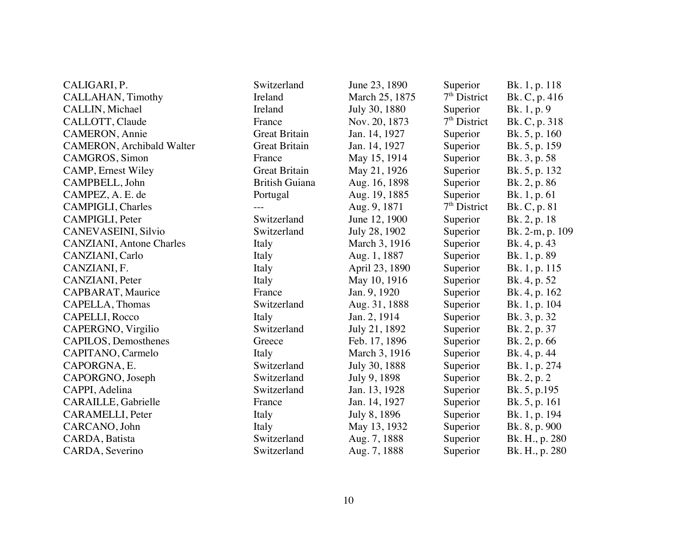| CALIGARI, P.                      | Switzerland           | June 23, 1890  | Superior       | Bk. 1, p. 118   |
|-----------------------------------|-----------------------|----------------|----------------|-----------------|
| CALLAHAN, Timothy                 | Ireland               | March 25, 1875 | $7th$ District | Bk. C, p. 416   |
| CALLIN, Michael                   | Ireland               | July 30, 1880  | Superior       | Bk. 1, p. 9     |
| CALLOTT, Claude                   | France                | Nov. 20, 1873  | $7th$ District | Bk. C, p. 318   |
| CAMERON, Annie                    | <b>Great Britain</b>  | Jan. 14, 1927  | Superior       | Bk. 5, p. 160   |
| <b>CAMERON</b> , Archibald Walter | <b>Great Britain</b>  | Jan. 14, 1927  | Superior       | Bk. 5, p. 159   |
| CAMGROS, Simon                    | France                | May 15, 1914   | Superior       | Bk. 3, p. 58    |
| <b>CAMP, Ernest Wiley</b>         | <b>Great Britain</b>  | May 21, 1926   | Superior       | Bk. 5, p. 132   |
| CAMPBELL, John                    | <b>British Guiana</b> | Aug. 16, 1898  | Superior       | Bk. 2, p. 86    |
| CAMPEZ, A. E. de                  | Portugal              | Aug. 19, 1885  | Superior       | Bk. 1, p. 61    |
| CAMPIGLI, Charles                 |                       | Aug. 9, 1871   | $7th$ District | Bk. C, p. 81    |
| CAMPIGLI, Peter                   | Switzerland           | June 12, 1900  | Superior       | Bk. 2, p. 18    |
| CANEVASEINI, Silvio               | Switzerland           | July 28, 1902  | Superior       | Bk. 2-m, p. 109 |
| <b>CANZIANI</b> , Antone Charles  | Italy                 | March 3, 1916  | Superior       | Bk. 4, p. 43    |
| CANZIANI, Carlo                   | Italy                 | Aug. 1, 1887   | Superior       | Bk. 1, p. 89    |
| CANZIANI, F.                      | Italy                 | April 23, 1890 | Superior       | Bk. 1, p. 115   |
| CANZIANI, Peter                   | Italy                 | May 10, 1916   | Superior       | Bk. 4, p. 52    |
| CAPBARAT, Maurice                 | France                | Jan. 9, 1920   | Superior       | Bk. 4, p. 162   |
| CAPELLA, Thomas                   | Switzerland           | Aug. 31, 1888  | Superior       | Bk. 1, p. 104   |
| CAPELLI, Rocco                    | Italy                 | Jan. 2, 1914   | Superior       | Bk. 3, p. 32    |
| CAPERGNO, Virgilio                | Switzerland           | July 21, 1892  | Superior       | Bk. 2, p. 37    |
| CAPILOS, Demosthenes              | Greece                | Feb. 17, 1896  | Superior       | Bk. 2, p. 66    |
| CAPITANO, Carmelo                 | Italy                 | March 3, 1916  | Superior       | Bk. 4, p. 44    |
| CAPORGNA, E.                      | Switzerland           | July 30, 1888  | Superior       | Bk. 1, p. 274   |
| CAPORGNO, Joseph                  | Switzerland           | July 9, 1898   | Superior       | Bk. 2, p. 2     |
| CAPPI, Adelina                    | Switzerland           | Jan. 13, 1928  | Superior       | Bk. 5, p.195    |
| CARAILLE, Gabrielle               | France                | Jan. 14, 1927  | Superior       | Bk. 5, p. 161   |
| CARAMELLI, Peter                  | Italy                 | July 8, 1896   | Superior       | Bk. 1, p. 194   |
| CARCANO, John                     | Italy                 | May 13, 1932   | Superior       | Bk. 8, p. 900   |
| CARDA, Batista                    | Switzerland           | Aug. 7, 1888   | Superior       | Bk. H., p. 280  |
| CARDA, Severino                   | Switzerland           | Aug. 7, 1888   | Superior       | Bk. H., p. 280  |
|                                   |                       |                |                |                 |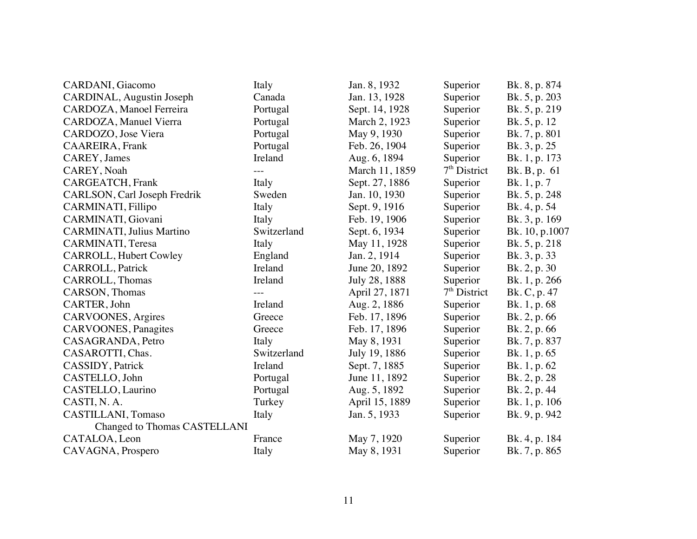| CARDANI, Giacomo                    | Italy       | Jan. 8, 1932   | Superior       | Bk. 8, p. 874  |
|-------------------------------------|-------------|----------------|----------------|----------------|
| CARDINAL, Augustin Joseph           | Canada      | Jan. 13, 1928  | Superior       | Bk. 5, p. 203  |
| CARDOZA, Manoel Ferreira            | Portugal    | Sept. 14, 1928 | Superior       | Bk. 5, p. 219  |
| CARDOZA, Manuel Vierra              | Portugal    | March 2, 1923  | Superior       | Bk. 5, p. 12   |
| CARDOZO, Jose Viera                 | Portugal    | May 9, 1930    | Superior       | Bk. 7, p. 801  |
| CAAREIRA, Frank                     | Portugal    | Feb. 26, 1904  | Superior       | Bk. 3, p. 25   |
| CAREY, James                        | Ireland     | Aug. 6, 1894   | Superior       | Bk. 1, p. 173  |
| CAREY, Noah                         | $---$       | March 11, 1859 | $7th$ District | Bk. B, p. 61   |
| CARGEATCH, Frank                    | Italy       | Sept. 27, 1886 | Superior       | Bk. 1, p. 7    |
| CARLSON, Carl Joseph Fredrik        | Sweden      | Jan. 10, 1930  | Superior       | Bk. 5, p. 248  |
| CARMINATI, Fillipo                  | Italy       | Sept. 9, 1916  | Superior       | Bk. 4, p. 54   |
| CARMINATI, Giovani                  | Italy       | Feb. 19, 1906  | Superior       | Bk. 3, p. 169  |
| CARMINATI, Julius Martino           | Switzerland | Sept. 6, 1934  | Superior       | Bk. 10, p.1007 |
| CARMINATI, Teresa                   | Italy       | May 11, 1928   | Superior       | Bk. 5, p. 218  |
| <b>CARROLL, Hubert Cowley</b>       | England     | Jan. 2, 1914   | Superior       | Bk. 3, p. 33   |
| CARROLL, Patrick                    | Ireland     | June 20, 1892  | Superior       | Bk. 2, p. 30   |
| CARROLL, Thomas                     | Ireland     | July 28, 1888  | Superior       | Bk. 1, p. 266  |
| CARSON, Thomas                      |             | April 27, 1871 | $7th$ District | Bk. C, p. 47   |
| CARTER, John                        | Ireland     | Aug. 2, 1886   | Superior       | Bk. 1, p. 68   |
| CARVOONES, Argires                  | Greece      | Feb. 17, 1896  | Superior       | Bk. 2, p. 66   |
| CARVOONES, Panagites                | Greece      | Feb. 17, 1896  | Superior       | Bk. 2, p. 66   |
| CASAGRANDA, Petro                   | Italy       | May 8, 1931    | Superior       | Bk. 7, p. 837  |
| CASAROTTI, Chas.                    | Switzerland | July 19, 1886  | Superior       | Bk. 1, p. 65   |
| CASSIDY, Patrick                    | Ireland     | Sept. 7, 1885  | Superior       | Bk. 1, p. 62   |
| CASTELLO, John                      | Portugal    | June 11, 1892  | Superior       | Bk. 2, p. 28   |
| CASTELLO, Laurino                   | Portugal    | Aug. 5, 1892   | Superior       | Bk. 2, p. 44   |
| CASTI, N. A.                        | Turkey      | April 15, 1889 | Superior       | Bk. 1, p. 106  |
| CASTILLANI, Tomaso                  | Italy       | Jan. 5, 1933   | Superior       | Bk. 9, p. 942  |
| <b>Changed to Thomas CASTELLANI</b> |             |                |                |                |
| CATALOA, Leon                       | France      | May 7, 1920    | Superior       | Bk. 4, p. 184  |
| CAVAGNA, Prospero                   | Italy       | May 8, 1931    | Superior       | Bk. 7, p. 865  |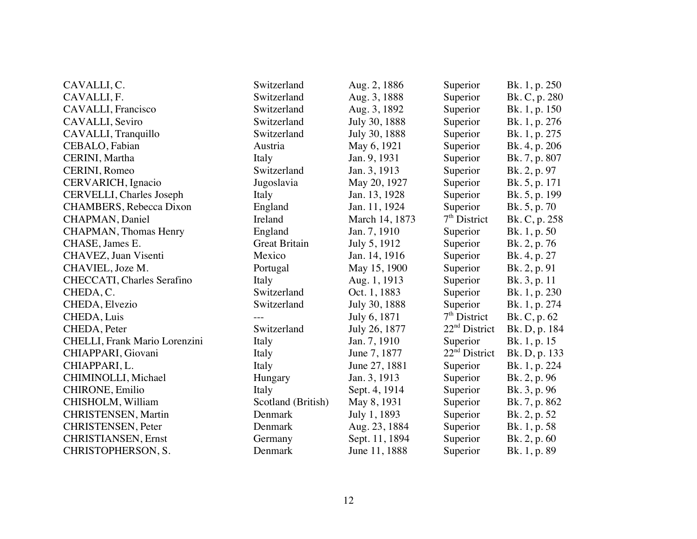| CAVALLI, C.                        | Switzerland          | Aug. 2, 1886   | Superior                  | Bk. 1, p. 250 |
|------------------------------------|----------------------|----------------|---------------------------|---------------|
| CAVALLI, F.                        | Switzerland          | Aug. 3, 1888   | Superior                  | Bk. C, p. 280 |
| <b>CAVALLI</b> , Francisco         | Switzerland          | Aug. 3, 1892   | Superior                  | Bk. 1, p. 150 |
| CAVALLI, Seviro                    | Switzerland          | July 30, 1888  | Superior                  | Bk. 1, p. 276 |
| CAVALLI, Tranquillo                | Switzerland          | July 30, 1888  | Superior                  | Bk. 1, p. 275 |
| CEBALO, Fabian                     | Austria              | May 6, 1921    | Superior                  | Bk. 4, p. 206 |
| CERINI, Martha                     | Italy                | Jan. 9, 1931   | Superior                  | Bk. 7, p. 807 |
| CERINI, Romeo                      | Switzerland          | Jan. 3, 1913   | Superior                  | Bk. 2, p. 97  |
| CERVARICH, Ignacio                 | Jugoslavia           | May 20, 1927   | Superior                  | Bk. 5, p. 171 |
| CERVELLI, Charles Joseph           | Italy                | Jan. 13, 1928  | Superior                  | Bk. 5, p. 199 |
| CHAMBERS, Rebecca Dixon            | England              | Jan. 11, 1924  | Superior                  | Bk. 5, p. 70  |
| <b>CHAPMAN</b> , Daniel            | Ireland              | March 14, 1873 | $7th$ District            | Bk. C, p. 258 |
| <b>CHAPMAN</b> , Thomas Henry      | England              | Jan. 7, 1910   | Superior                  | Bk. 1, p. 50  |
| CHASE, James E.                    | <b>Great Britain</b> | July 5, 1912   | Superior                  | Bk. 2, p. 76  |
| CHAVEZ, Juan Visenti               | Mexico               | Jan. 14, 1916  | Superior                  | Bk. 4, p. 27  |
| CHAVIEL, Joze M.                   | Portugal             | May 15, 1900   | Superior                  | Bk. 2, p. 91  |
| <b>CHECCATI</b> , Charles Serafino | Italy                | Aug. 1, 1913   | Superior                  | Bk. 3, p. 11  |
| CHEDA, C.                          | Switzerland          | Oct. 1, 1883   | Superior                  | Bk. 1, p. 230 |
| CHEDA, Elvezio                     | Switzerland          | July 30, 1888  | Superior                  | Bk. 1, p. 274 |
| CHEDA, Luis                        |                      | July 6, 1871   | 7 <sup>th</sup> District  | Bk. C, p. 62  |
| CHEDA, Peter                       | Switzerland          | July 26, 1877  | 22 <sup>nd</sup> District | Bk. D, p. 184 |
| CHELLI, Frank Mario Lorenzini      | Italy                | Jan. 7, 1910   | Superior                  | Bk. 1, p. 15  |
| CHIAPPARI, Giovani                 | Italy                | June 7, 1877   | 22 <sup>nd</sup> District | Bk. D, p. 133 |
| CHIAPPARI, L.                      | Italy                | June 27, 1881  | Superior                  | Bk. 1, p. 224 |
| CHIMINOLLI, Michael                | Hungary              | Jan. 3, 1913   | Superior                  | Bk. 2, p. 96  |
| <b>CHIRONE, Emilio</b>             | Italy                | Sept. 4, 1914  | Superior                  | Bk. 3, p. 96  |
| CHISHOLM, William                  | Scotland (British)   | May 8, 1931    | Superior                  | Bk. 7, p. 862 |
| <b>CHRISTENSEN</b> , Martin        | Denmark              | July 1, 1893   | Superior                  | Bk. 2, p. 52  |
| <b>CHRISTENSEN</b> , Peter         | Denmark              | Aug. 23, 1884  | Superior                  | Bk. 1, p. 58  |
| <b>CHRISTIANSEN</b> , Ernst        | Germany              | Sept. 11, 1894 | Superior                  | Bk. 2, p. 60  |
| CHRISTOPHERSON, S.                 | Denmark              | June 11, 1888  | Superior                  | Bk. 1, p. 89  |
|                                    |                      |                |                           |               |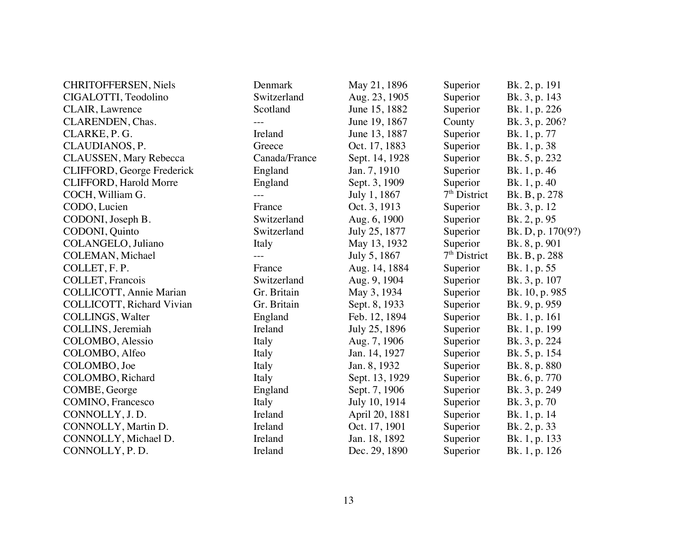| <b>CHRITOFFERSEN, Niels</b>       | Denmark       | May 21, 1896   | Superior       | Bk. 2, p. 191     |
|-----------------------------------|---------------|----------------|----------------|-------------------|
| CIGALOTTI, Teodolino              | Switzerland   | Aug. 23, 1905  | Superior       | Bk. 3, p. 143     |
| <b>CLAIR</b> , Lawrence           | Scotland      | June 15, 1882  | Superior       | Bk. 1, p. 226     |
| CLARENDEN, Chas.                  |               | June 19, 1867  | County         | Bk. 3, p. 206?    |
| CLARKE, P. G.                     | Ireland       | June 13, 1887  | Superior       | Bk. 1, p. 77      |
| CLAUDIANOS, P.                    | Greece        | Oct. 17, 1883  | Superior       | Bk. 1, p. 38      |
| CLAUSSEN, Mary Rebecca            | Canada/France | Sept. 14, 1928 | Superior       | Bk. 5, p. 232     |
| CLIFFORD, George Frederick        | England       | Jan. 7, 1910   | Superior       | Bk. 1, p. 46      |
| <b>CLIFFORD, Harold Morre</b>     | England       | Sept. 3, 1909  | Superior       | Bk. 1, p. 40      |
| COCH, William G.                  |               | July 1, 1867   | $7th$ District | Bk. B, p. 278     |
| CODO, Lucien                      | France        | Oct. 3, 1913   | Superior       | Bk. 3, p. 12      |
| CODONI, Joseph B.                 | Switzerland   | Aug. 6, 1900   | Superior       | Bk. 2, p. 95      |
| CODONI, Quinto                    | Switzerland   | July 25, 1877  | Superior       | Bk. D, p. 170(9?) |
| COLANGELO, Juliano                | Italy         | May 13, 1932   | Superior       | Bk. 8, p. 901     |
| COLEMAN, Michael                  |               | July 5, 1867   | $7th$ District | Bk. B, p. 288     |
| COLLET, F.P.                      | France        | Aug. 14, 1884  | Superior       | Bk. 1, p. 55      |
| COLLET, Francois                  | Switzerland   | Aug. 9, 1904   | Superior       | Bk. 3, p. 107     |
| COLLICOTT, Annie Marian           | Gr. Britain   | May 3, 1934    | Superior       | Bk. 10, p. 985    |
| <b>COLLICOTT</b> , Richard Vivian | Gr. Britain   | Sept. 8, 1933  | Superior       | Bk. 9, p. 959     |
| <b>COLLINGS</b> , Walter          | England       | Feb. 12, 1894  | Superior       | Bk. 1, p. 161     |
| COLLINS, Jeremiah                 | Ireland       | July 25, 1896  | Superior       | Bk. 1, p. 199     |
| COLOMBO, Alessio                  | Italy         | Aug. 7, 1906   | Superior       | Bk. 3, p. 224     |
| COLOMBO, Alfeo                    | Italy         | Jan. 14, 1927  | Superior       | Bk. 5, p. 154     |
| COLOMBO, Joe                      | Italy         | Jan. 8, 1932   | Superior       | Bk. 8, p. 880     |
| COLOMBO, Richard                  | Italy         | Sept. 13, 1929 | Superior       | Bk. 6, p. 770     |
| COMBE, George                     | England       | Sept. 7, 1906  | Superior       | Bk. 3, p. 249     |
| <b>COMINO</b> , Francesco         | Italy         | July 10, 1914  | Superior       | Bk. 3, p. 70      |
| CONNOLLY, J.D.                    | Ireland       | April 20, 1881 | Superior       | Bk. 1, p. 14      |
| CONNOLLY, Martin D.               | Ireland       | Oct. 17, 1901  | Superior       | Bk. 2, p. 33      |
| CONNOLLY, Michael D.              | Ireland       | Jan. 18, 1892  | Superior       | Bk. 1, p. 133     |
| CONNOLLY, P.D.                    | Ireland       | Dec. 29, 1890  | Superior       | Bk. 1, p. 126     |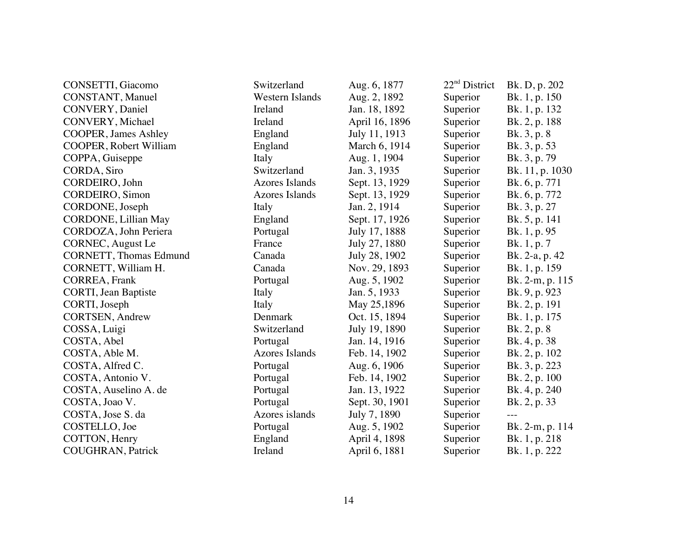| CONSETTI, Giacomo              | Switzerland           | Aug. 6, 1877   | $22nd$ District | Bk. D, p. 202   |
|--------------------------------|-----------------------|----------------|-----------------|-----------------|
| CONSTANT, Manuel               | Western Islands       | Aug. 2, 1892   | Superior        | Bk. 1, p. 150   |
| CONVERY, Daniel                | Ireland               | Jan. 18, 1892  | Superior        | Bk. 1, p. 132   |
| CONVERY, Michael               | Ireland               | April 16, 1896 | Superior        | Bk. 2, p. 188   |
| <b>COOPER</b> , James Ashley   | England               | July 11, 1913  | Superior        | Bk. 3, p. 8     |
| <b>COOPER, Robert William</b>  | England               | March 6, 1914  | Superior        | Bk. 3, p. 53    |
| COPPA, Guiseppe                | Italy                 | Aug. 1, 1904   | Superior        | Bk. 3, p. 79    |
| CORDA, Siro                    | Switzerland           | Jan. 3, 1935   | Superior        | Bk. 11, p. 1030 |
| CORDEIRO, John                 | <b>Azores Islands</b> | Sept. 13, 1929 | Superior        | Bk. 6, p. 771   |
| <b>CORDEIRO</b> , Simon        | <b>Azores Islands</b> | Sept. 13, 1929 | Superior        | Bk. 6, p. 772   |
| CORDONE, Joseph                | Italy                 | Jan. 2, 1914   | Superior        | Bk. 3, p. 27    |
| CORDONE, Lillian May           | England               | Sept. 17, 1926 | Superior        | Bk. 5, p. 141   |
| CORDOZA, John Periera          | Portugal              | July 17, 1888  | Superior        | Bk. 1, p. 95    |
| CORNEC, August Le              | France                | July 27, 1880  | Superior        | Bk. 1, p. 7     |
| <b>CORNETT</b> , Thomas Edmund | Canada                | July 28, 1902  | Superior        | Bk. 2-a, p. 42  |
| CORNETT, William H.            | Canada                | Nov. 29, 1893  | Superior        | Bk. 1, p. 159   |
| CORREA, Frank                  | Portugal              | Aug. 5, 1902   | Superior        | Bk. 2-m, p. 115 |
| <b>CORTI</b> , Jean Baptiste   | Italy                 | Jan. 5, 1933   | Superior        | Bk. 9, p. 923   |
| CORTI, Joseph                  | Italy                 | May 25,1896    | Superior        | Bk. 2, p. 191   |
| CORTSEN, Andrew                | Denmark               | Oct. 15, 1894  | Superior        | Bk. 1, p. 175   |
| COSSA, Luigi                   | Switzerland           | July 19, 1890  | Superior        | Bk. 2, p. 8     |
| COSTA, Abel                    | Portugal              | Jan. 14, 1916  | Superior        | Bk. 4, p. 38    |
| COSTA, Able M.                 | <b>Azores Islands</b> | Feb. 14, 1902  | Superior        | Bk. 2, p. 102   |
| COSTA, Alfred C.               | Portugal              | Aug. 6, 1906   | Superior        | Bk. 3, p. 223   |
| COSTA, Antonio V.              | Portugal              | Feb. 14, 1902  | Superior        | Bk. 2, p. 100   |
| COSTA, Auselino A. de          | Portugal              | Jan. 13, 1922  | Superior        | Bk. 4, p. 240   |
| COSTA, Joao V.                 | Portugal              | Sept. 30, 1901 | Superior        | Bk. 2, p. 33    |
| COSTA, Jose S. da              | Azores islands        | July 7, 1890   | Superior        | $- - -$         |
| COSTELLO, Joe                  | Portugal              | Aug. 5, 1902   | Superior        | Bk. 2-m, p. 114 |
| COTTON, Henry                  | England               | April 4, 1898  | Superior        | Bk. 1, p. 218   |
| <b>COUGHRAN</b> , Patrick      | Ireland               | April 6, 1881  | Superior        | Bk. 1, p. 222   |
|                                |                       |                |                 |                 |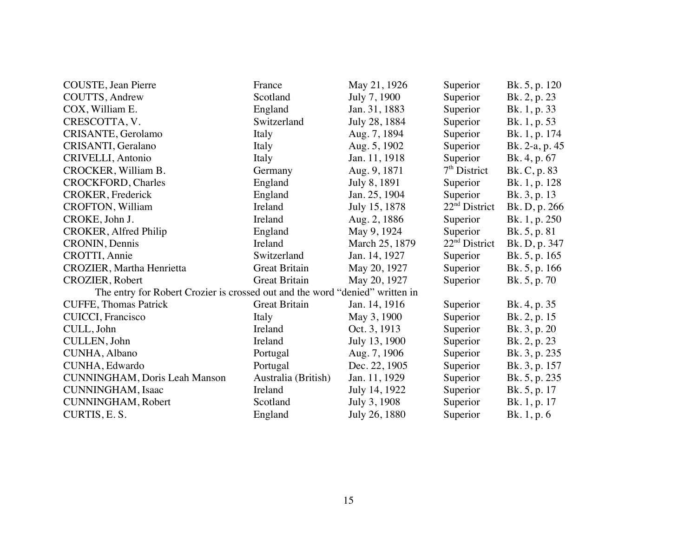| COUSTE, Jean Pierre                                                          | France               | May 21, 1926   | Superior                  | Bk. 5, p. 120  |
|------------------------------------------------------------------------------|----------------------|----------------|---------------------------|----------------|
| COUTTS, Andrew                                                               | Scotland             | July 7, 1900   | Superior                  | Bk. 2, p. 23   |
| COX, William E.                                                              | England              | Jan. 31, 1883  | Superior                  | Bk. 1, p. 33   |
| CRESCOTTA, V.                                                                | Switzerland          | July 28, 1884  | Superior                  | Bk. 1, p. 53   |
| CRISANTE, Gerolamo                                                           | Italy                | Aug. 7, 1894   | Superior                  | Bk. 1, p. 174  |
| CRISANTI, Geralano                                                           | Italy                | Aug. 5, 1902   | Superior                  | Bk. 2-a, p. 45 |
| CRIVELLI, Antonio                                                            | Italy                | Jan. 11, 1918  | Superior                  | Bk. 4, p. 67   |
| CROCKER, William B.                                                          | Germany              | Aug. 9, 1871   | $7th$ District            | Bk. C, p. 83   |
| <b>CROCKFORD</b> , Charles                                                   | England              | July 8, 1891   | Superior                  | Bk. 1, p. 128  |
| <b>CROKER</b> , Frederick                                                    | England              | Jan. 25, 1904  | Superior                  | Bk. 3, p. 13   |
| CROFTON, William                                                             | Ireland              | July 15, 1878  | 22 <sup>nd</sup> District | Bk. D, p. 266  |
| CROKE, John J.                                                               | Ireland              | Aug. 2, 1886   | Superior                  | Bk. 1, p. 250  |
| CROKER, Alfred Philip                                                        | England              | May 9, 1924    | Superior                  | Bk. 5, p. 81   |
| CRONIN, Dennis                                                               | Ireland              | March 25, 1879 | $22nd$ District           | Bk. D, p. 347  |
| CROTTI, Annie                                                                | Switzerland          | Jan. 14, 1927  | Superior                  | Bk. 5, p. 165  |
| CROZIER, Martha Henrietta                                                    | Great Britain        | May 20, 1927   | Superior                  | Bk. 5, p. 166  |
| <b>CROZIER, Robert</b>                                                       | <b>Great Britain</b> | May 20, 1927   | Superior                  | Bk. 5, p. 70   |
| The entry for Robert Crozier is crossed out and the word "denied" written in |                      |                |                           |                |
| <b>CUFFE, Thomas Patrick</b>                                                 | Great Britain        | Jan. 14, 1916  | Superior                  | Bk. 4, p. 35   |
| CUICCI, Francisco                                                            | Italy                | May 3, 1900    | Superior                  | Bk. 2, p. 15   |
| CULL, John                                                                   | Ireland              | Oct. 3, 1913   | Superior                  | Bk. 3, p. 20   |
| CULLEN, John                                                                 | Ireland              | July 13, 1900  | Superior                  | Bk. 2, p. 23   |
| CUNHA, Albano                                                                | Portugal             | Aug. 7, 1906   | Superior                  | Bk. 3, p. 235  |
| CUNHA, Edwardo                                                               | Portugal             | Dec. 22, 1905  | Superior                  | Bk. 3, p. 157  |
| <b>CUNNINGHAM, Doris Leah Manson</b>                                         | Australia (British)  | Jan. 11, 1929  | Superior                  | Bk. 5, p. 235  |
| CUNNINGHAM, Isaac                                                            | Ireland              | July 14, 1922  | Superior                  | Bk. 5, p. 17   |
| <b>CUNNINGHAM, Robert</b>                                                    | Scotland             | July 3, 1908   | Superior                  | Bk. 1, p. 17   |
| CURTIS, E.S.                                                                 | England              | July 26, 1880  | Superior                  | Bk. 1, p. 6    |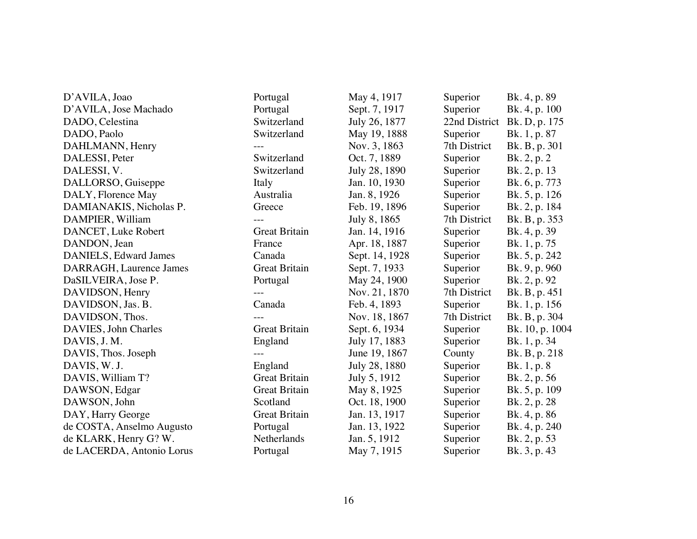| D'AVILA, Joao             | Portugal             | May 4, 1917    | Superior     | Bk. 4, p. 89                |
|---------------------------|----------------------|----------------|--------------|-----------------------------|
| D'AVILA, Jose Machado     | Portugal             | Sept. 7, 1917  | Superior     | Bk. 4, p. 100               |
| DADO, Celestina           | Switzerland          | July 26, 1877  |              | 22nd District Bk. D, p. 175 |
| DADO, Paolo               | Switzerland          | May 19, 1888   | Superior     | Bk. 1, p. 87                |
| DAHLMANN, Henry           |                      | Nov. 3, 1863   | 7th District | Bk. B, p. 301               |
| DALESSI, Peter            | Switzerland          | Oct. 7, 1889   | Superior     | Bk. 2, p. 2                 |
| DALESSI, V.               | Switzerland          | July 28, 1890  | Superior     | Bk. 2, p. 13                |
| DALLORSO, Guiseppe        | Italy                | Jan. 10, 1930  | Superior     | Bk. 6, p. 773               |
| DALY, Florence May        | Australia            | Jan. 8, 1926   | Superior     | Bk. 5, p. 126               |
| DAMIANAKIS, Nicholas P.   | Greece               | Feb. 19, 1896  | Superior     | Bk. 2, p. 184               |
| DAMPIER, William          | $---$                | July 8, 1865   | 7th District | Bk. B, p. 353               |
| DANCET, Luke Robert       | <b>Great Britain</b> | Jan. 14, 1916  | Superior     | Bk. 4, p. 39                |
| DANDON, Jean              | France               | Apr. 18, 1887  | Superior     | Bk. 1, p. 75                |
| DANIELS, Edward James     | Canada               | Sept. 14, 1928 | Superior     | Bk. 5, p. 242               |
| DARRAGH, Laurence James   | <b>Great Britain</b> | Sept. 7, 1933  | Superior     | Bk. 9, p. 960               |
| DaSILVEIRA, Jose P.       | Portugal             | May 24, 1900   | Superior     | Bk. 2, p. 92                |
| DAVIDSON, Henry           |                      | Nov. 21, 1870  | 7th District | Bk. B, p. 451               |
| DAVIDSON, Jas. B.         | Canada               | Feb. 4, 1893   | Superior     | Bk. 1, p. 156               |
| DAVIDSON, Thos.           |                      | Nov. 18, 1867  | 7th District | Bk. B, p. 304               |
| DAVIES, John Charles      | <b>Great Britain</b> | Sept. 6, 1934  | Superior     | Bk. 10, p. 1004             |
| DAVIS, J. M.              | England              | July 17, 1883  | Superior     | Bk. 1, p. 34                |
| DAVIS, Thos. Joseph       |                      | June 19, 1867  | County       | Bk. B, p. 218               |
| DAVIS, W. J.              | England              | July 28, 1880  | Superior     | Bk. 1, p. 8                 |
| DAVIS, William T?         | <b>Great Britain</b> | July 5, 1912   | Superior     | Bk. 2, p. 56                |
| DAWSON, Edgar             | <b>Great Britain</b> | May 8, 1925    | Superior     | Bk. 5, p. 109               |
| DAWSON, John              | Scotland             | Oct. 18, 1900  | Superior     | Bk. 2, p. 28                |
| DAY, Harry George         | <b>Great Britain</b> | Jan. 13, 1917  | Superior     | Bk. 4, p. 86                |
| de COSTA, Anselmo Augusto | Portugal             | Jan. 13, 1922  | Superior     | Bk. 4, p. 240               |
| de KLARK, Henry G? W.     | Netherlands          | Jan. 5, 1912   | Superior     | Bk. 2, p. 53                |
| de LACERDA, Antonio Lorus | Portugal             | May 7, 1915    | Superior     | Bk. 3, p. 43                |
|                           |                      |                |              |                             |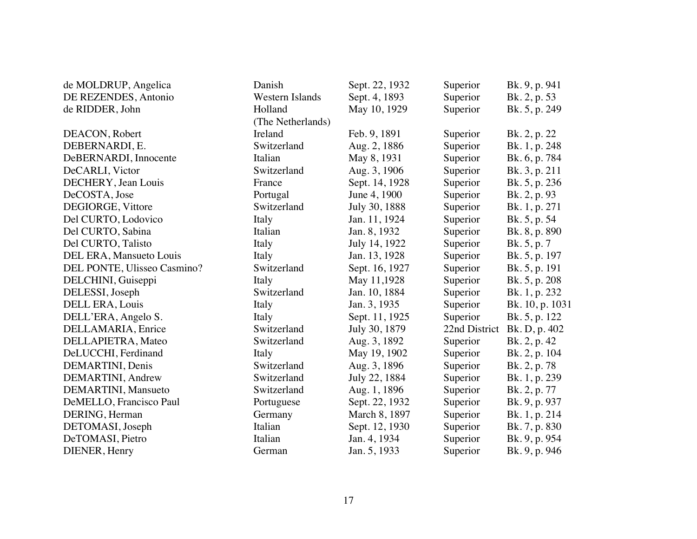| de MOLDRUP, Angelica        | Danish            | Sept. 22, 1932 | Superior      | Bk. 9, p. 941   |
|-----------------------------|-------------------|----------------|---------------|-----------------|
| DE REZENDES, Antonio        | Western Islands   | Sept. 4, 1893  | Superior      | Bk. 2, p. 53    |
| de RIDDER, John             | Holland           | May 10, 1929   | Superior      | Bk. 5, p. 249   |
|                             | (The Netherlands) |                |               |                 |
| DEACON, Robert              | Ireland           | Feb. 9, 1891   | Superior      | Bk. 2, p. 22    |
| DEBERNARDI, E.              | Switzerland       | Aug. 2, 1886   | Superior      | Bk. 1, p. 248   |
| DeBERNARDI, Innocente       | Italian           | May 8, 1931    | Superior      | Bk. 6, p. 784   |
| DeCARLI, Victor             | Switzerland       | Aug. 3, 1906   | Superior      | Bk. 3, p. 211   |
| DECHERY, Jean Louis         | France            | Sept. 14, 1928 | Superior      | Bk. 5, p. 236   |
| DeCOSTA, Jose               | Portugal          | June 4, 1900   | Superior      | Bk. 2, p. 93    |
| DEGIORGE, Vittore           | Switzerland       | July 30, 1888  | Superior      | Bk. 1, p. 271   |
| Del CURTO, Lodovico         | Italy             | Jan. 11, 1924  | Superior      | Bk. 5, p. 54    |
| Del CURTO, Sabina           | Italian           | Jan. 8, 1932   | Superior      | Bk. 8, p. 890   |
| Del CURTO, Talisto          | Italy             | July 14, 1922  | Superior      | Bk. 5, p. 7     |
| DEL ERA, Mansueto Louis     | Italy             | Jan. 13, 1928  | Superior      | Bk. 5, p. 197   |
| DEL PONTE, Ulisseo Casmino? | Switzerland       | Sept. 16, 1927 | Superior      | Bk. 5, p. 191   |
| DELCHINI, Guiseppi          | Italy             | May 11,1928    | Superior      | Bk. 5, p. 208   |
| DELESSI, Joseph             | Switzerland       | Jan. 10, 1884  | Superior      | Bk. 1, p. 232   |
| DELL ERA, Louis             | Italy             | Jan. 3, 1935   | Superior      | Bk. 10, p. 1031 |
| DELL'ERA, Angelo S.         | Italy             | Sept. 11, 1925 | Superior      | Bk. 5, p. 122   |
| DELLAMARIA, Enrice          | Switzerland       | July 30, 1879  | 22nd District | Bk. D, p. 402   |
| DELLAPIETRA, Mateo          | Switzerland       | Aug. 3, 1892   | Superior      | Bk. 2, p. 42    |
| DeLUCCHI, Ferdinand         | Italy             | May 19, 1902   | Superior      | Bk. 2, p. 104   |
| DEMARTINI, Denis            | Switzerland       | Aug. 3, 1896   | Superior      | Bk. 2, p. 78    |
| DEMARTINI, Andrew           | Switzerland       | July 22, 1884  | Superior      | Bk. 1, p. 239   |
| DEMARTINI, Mansueto         | Switzerland       | Aug. 1, 1896   | Superior      | Bk. 2, p. 77    |
| DeMELLO, Francisco Paul     | Portuguese        | Sept. 22, 1932 | Superior      | Bk. 9, p. 937   |
| DERING, Herman              | Germany           | March 8, 1897  | Superior      | Bk. 1, p. 214   |
| DETOMASI, Joseph            | Italian           | Sept. 12, 1930 | Superior      | Bk. 7, p. 830   |
| DeTOMASI, Pietro            | Italian           | Jan. 4, 1934   | Superior      | Bk. 9, p. 954   |
| DIENER, Henry               | German            | Jan. 5, 1933   | Superior      | Bk. 9, p. 946   |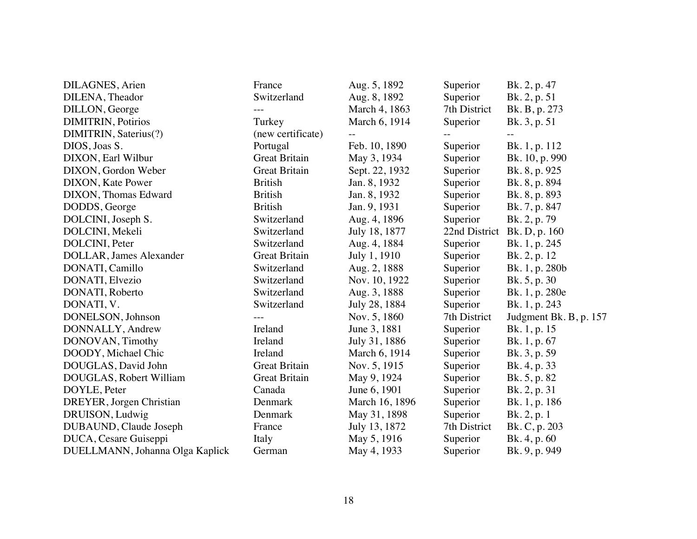| DILAGNES, Arien                 | France               | Aug. 5, 1892   | Superior      | Bk. 2, p. 47           |
|---------------------------------|----------------------|----------------|---------------|------------------------|
| DILENA, Theador                 | Switzerland          | Aug. 8, 1892   | Superior      | Bk. 2, p. 51           |
| DILLON, George                  |                      | March 4, 1863  | 7th District  | Bk. B, p. 273          |
| <b>DIMITRIN, Potirios</b>       | Turkey               | March 6, 1914  | Superior      | Bk. 3, p. 51           |
| DIMITRIN, Saterius(?)           | (new certificate)    |                |               |                        |
| DIOS, Joas S.                   | Portugal             | Feb. 10, 1890  | Superior      | Bk. 1, p. 112          |
| DIXON, Earl Wilbur              | <b>Great Britain</b> | May 3, 1934    | Superior      | Bk. 10, p. 990         |
| DIXON, Gordon Weber             | <b>Great Britain</b> | Sept. 22, 1932 | Superior      | Bk. 8, p. 925          |
| DIXON, Kate Power               | <b>British</b>       | Jan. 8, 1932   | Superior      | Bk. 8, p. 894          |
| DIXON, Thomas Edward            | <b>British</b>       | Jan. 8, 1932   | Superior      | Bk. 8, p. 893          |
| DODDS, George                   | <b>British</b>       | Jan. 9, 1931   | Superior      | Bk. 7, p. 847          |
| DOLCINI, Joseph S.              | Switzerland          | Aug. 4, 1896   | Superior      | Bk. 2, p. 79           |
| DOLCINI, Mekeli                 | Switzerland          | July 18, 1877  | 22nd District | Bk. D, p. 160          |
| DOLCINI, Peter                  | Switzerland          | Aug. 4, 1884   | Superior      | Bk. 1, p. 245          |
| DOLLAR, James Alexander         | <b>Great Britain</b> | July 1, 1910   | Superior      | Bk. 2, p. 12           |
| DONATI, Camillo                 | Switzerland          | Aug. 2, 1888   | Superior      | Bk. 1, p. 280b         |
| DONATI, Elvezio                 | Switzerland          | Nov. 10, 1922  | Superior      | Bk. 5, p. 30           |
| DONATI, Roberto                 | Switzerland          | Aug. 3, 1888   | Superior      | Bk. 1, p. 280e         |
| DONATI, V.                      | Switzerland          | July 28, 1884  | Superior      | Bk. 1, p. 243          |
| DONELSON, Johnson               |                      | Nov. 5, 1860   | 7th District  | Judgment Bk. B, p. 157 |
| DONNALLY, Andrew                | Ireland              | June 3, 1881   | Superior      | Bk. 1, p. 15           |
| DONOVAN, Timothy                | Ireland              | July 31, 1886  | Superior      | Bk. 1, p. 67           |
| DOODY, Michael Chic             | Ireland              | March 6, 1914  | Superior      | Bk. 3, p. 59           |
| DOUGLAS, David John             | <b>Great Britain</b> | Nov. 5, 1915   | Superior      | Bk. 4, p. 33           |
| DOUGLAS, Robert William         | <b>Great Britain</b> | May 9, 1924    | Superior      | Bk. 5, p. 82           |
| DOYLE, Peter                    | Canada               | June 6, 1901   | Superior      | Bk. 2, p. 31           |
| DREYER, Jorgen Christian        | Denmark              | March 16, 1896 | Superior      | Bk. 1, p. 186          |
| DRUISON, Ludwig                 | Denmark              | May 31, 1898   | Superior      | Bk. 2, p. 1            |
| DUBAUND, Claude Joseph          | France               | July 13, 1872  | 7th District  | Bk. C, p. 203          |
| DUCA, Cesare Guiseppi           | Italy                | May 5, 1916    | Superior      | Bk. 4, p. 60           |
| DUELLMANN, Johanna Olga Kaplick | German               | May 4, 1933    | Superior      | Bk. 9, p. 949          |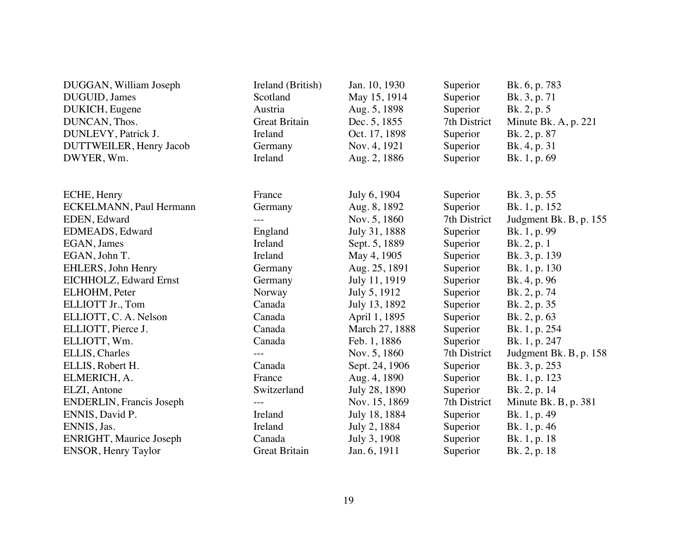| DUGGAN, William Joseph           | Ireland (British)    | Jan. 10, 1930  | Superior     | Bk. 6, p. 783          |
|----------------------------------|----------------------|----------------|--------------|------------------------|
| DUGUID, James                    | Scotland             | May 15, 1914   | Superior     | Bk. 3, p. 71           |
| DUKICH, Eugene                   | Austria              | Aug. 5, 1898   | Superior     | Bk. 2, p. 5            |
| DUNCAN, Thos.                    | <b>Great Britain</b> | Dec. 5, 1855   | 7th District | Minute Bk. A, p. 221   |
| DUNLEVY, Patrick J.              | Ireland              | Oct. 17, 1898  | Superior     | Bk. 2, p. 87           |
| DUTTWEILER, Henry Jacob          | Germany              | Nov. 4, 1921   | Superior     | Bk. 4, p. 31           |
| DWYER, Wm.                       | Ireland              | Aug. 2, 1886   | Superior     | Bk. 1, p. 69           |
| ECHE, Henry                      | France               | July 6, 1904   | Superior     | Bk. 3, p. 55           |
| <b>ECKELMANN</b> , Paul Hermann  | Germany              | Aug. 8, 1892   | Superior     | Bk. 1, p. 152          |
| EDEN, Edward                     | $---$                | Nov. 5, 1860   | 7th District | Judgment Bk. B, p. 155 |
| EDMEADS, Edward                  | England              | July 31, 1888  | Superior     | Bk. 1, p. 99           |
| EGAN, James                      | Ireland              | Sept. 5, 1889  | Superior     | Bk. 2, p. 1            |
| EGAN, John T.                    | Ireland              | May 4, 1905    | Superior     | Bk. 3, p. 139          |
| EHLERS, John Henry               | Germany              | Aug. 25, 1891  | Superior     | Bk. 1, p. 130          |
| EICHHOLZ, Edward Ernst           | Germany              | July 11, 1919  | Superior     | Bk. 4, p. 96           |
| ELHOHM, Peter                    | Norway               | July 5, 1912   | Superior     | Bk. 2, p. 74           |
| ELLIOTT Jr., Tom                 | Canada               | July 13, 1892  | Superior     | Bk. 2, p. 35           |
| ELLIOTT, C. A. Nelson            | Canada               | April 1, 1895  | Superior     | Bk. 2, p. 63           |
| ELLIOTT, Pierce J.               | Canada               | March 27, 1888 | Superior     | Bk. 1, p. 254          |
| ELLIOTT, Wm.                     | Canada               | Feb. 1, 1886   | Superior     | Bk. 1, p. 247          |
| ELLIS, Charles                   |                      | Nov. 5, 1860   | 7th District | Judgment Bk. B, p. 158 |
| ELLIS, Robert H.                 | Canada               | Sept. 24, 1906 | Superior     | Bk. 3, p. 253          |
| ELMERICH, A.                     | France               | Aug. 4, 1890   | Superior     | Bk. 1, p. 123          |
| ELZI, Antone                     | Switzerland          | July 28, 1890  | Superior     | Bk. 2, p. 14           |
| <b>ENDERLIN</b> , Francis Joseph |                      | Nov. 15, 1869  | 7th District | Minute Bk. B, p. 381   |
| ENNIS, David P.                  | Ireland              | July 18, 1884  | Superior     | Bk. 1, p. 49           |
| ENNIS, Jas.                      | Ireland              | July 2, 1884   | Superior     | Bk. 1, p. 46           |
| <b>ENRIGHT, Maurice Joseph</b>   | Canada               | July 3, 1908   | Superior     | Bk. 1, p. 18           |
| <b>ENSOR, Henry Taylor</b>       | <b>Great Britain</b> | Jan. 6, 1911   | Superior     | Bk. 2, p. 18           |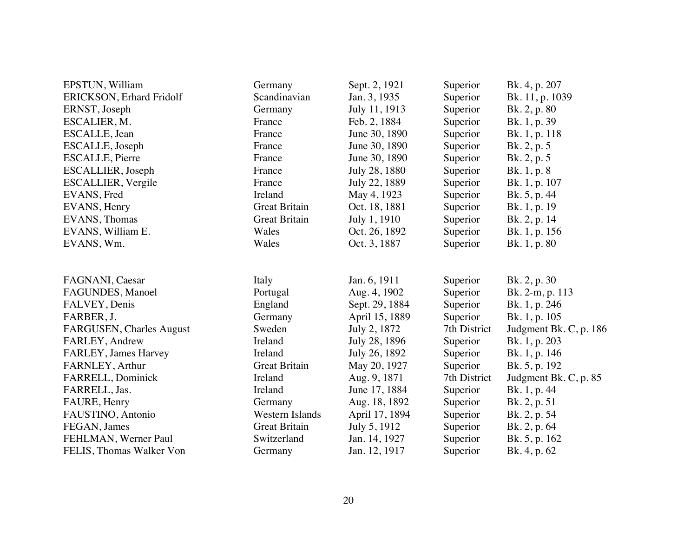| EPSTUN, William                 | Germany                | Sept. 2, 1921  | Superior     | Bk. 4, p. 207          |
|---------------------------------|------------------------|----------------|--------------|------------------------|
| <b>ERICKSON, Erhard Fridolf</b> | Scandinavian           | Jan. 3, 1935   | Superior     | Bk. 11, p. 1039        |
| ERNST, Joseph                   | Germany                | July 11, 1913  | Superior     | Bk. 2, p. 80           |
| ESCALIER, M.                    | France                 | Feb. 2, 1884   | Superior     | Bk. 1, p. 39           |
| ESCALLE, Jean                   | France                 | June 30, 1890  | Superior     | Bk. 1, p. 118          |
| ESCALLE, Joseph                 | France                 | June 30, 1890  | Superior     | Bk. 2, p. 5            |
| <b>ESCALLE, Pierre</b>          | France                 | June 30, 1890  | Superior     | Bk. 2, p. 5            |
| ESCALLIER, Joseph               | France                 | July 28, 1880  | Superior     | Bk. 1, p. 8            |
| ESCALLIER, Vergile              | France                 | July 22, 1889  | Superior     | Bk. 1, p. 107          |
| EVANS, Fred                     | Ireland                | May 4, 1923    | Superior     | Bk. 5, p. 44           |
| EVANS, Henry                    | <b>Great Britain</b>   | Oct. 18, 1881  | Superior     | Bk. 1, p. 19           |
| EVANS, Thomas                   | <b>Great Britain</b>   | July 1, 1910   | Superior     | Bk. 2, p. 14           |
| EVANS, William E.               | Wales                  | Oct. 26, 1892  | Superior     | Bk. 1, p. 156          |
| EVANS, Wm.                      | Wales                  | Oct. 3, 1887   | Superior     | Bk. 1, p. 80           |
| FAGNANI, Caesar                 | Italy                  | Jan. 6, 1911   | Superior     | Bk. 2, p. 30           |
| FAGUNDES, Manoel                | Portugal               | Aug. 4, 1902   | Superior     | Bk. 2-m, p. 113        |
| FALVEY, Denis                   | England                | Sept. 29, 1884 | Superior     | Bk. 1, p. 246          |
| FARBER, J.                      | Germany                | April 15, 1889 | Superior     | Bk. 1, p. 105          |
| FARGUSEN, Charles August        | Sweden                 | July 2, 1872   | 7th District | Judgment Bk. C, p. 186 |
| FARLEY, Andrew                  | Ireland                | July 28, 1896  | Superior     | Bk. 1, p. 203          |
| FARLEY, James Harvey            | Ireland                | July 26, 1892  | Superior     | Bk. 1, p. 146          |
| FARNLEY, Arthur                 | <b>Great Britain</b>   | May 20, 1927   | Superior     | Bk. 5, p. 192          |
| FARRELL, Dominick               | Ireland                | Aug. 9, 1871   | 7th District | Judgment Bk. C, p. 85  |
| FARRELL, Jas.                   | Ireland                | June 17, 1884  | Superior     | Bk. 1, p. 44           |
| FAURE, Henry                    | Germany                | Aug. 18, 1892  | Superior     | Bk. 2, p. 51           |
| FAUSTINO, Antonio               | <b>Western Islands</b> | April 17, 1894 | Superior     | Bk. 2, p. 54           |
| FEGAN, James                    | <b>Great Britain</b>   | July 5, 1912   | Superior     | Bk. 2, p. 64           |
| FEHLMAN, Werner Paul            | Switzerland            | Jan. 14, 1927  | Superior     | Bk. 5, p. 162          |
| FELIS, Thomas Walker Von        | Germany                | Jan. 12, 1917  | Superior     | Bk. 4, p. 62           |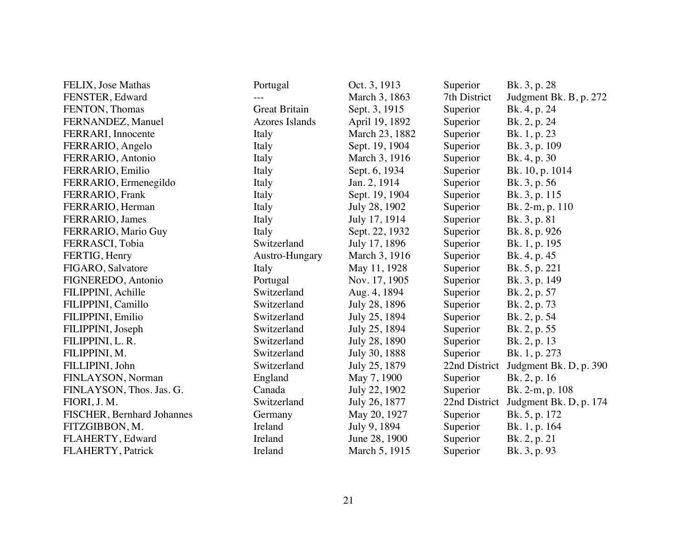| FELIX, Jose Mathas         | Portugal              | Oct. 3, 1913   | Superior      | Bk. 3, p. 28           |
|----------------------------|-----------------------|----------------|---------------|------------------------|
| FENSTER, Edward            |                       | March 3, 1863  | 7th District  | Judgment Bk. B, p. 272 |
| FENTON, Thomas             | <b>Great Britain</b>  | Sept. 3, 1915  | Superior      | Bk. 4, p. 24           |
| FERNANDEZ, Manuel          | <b>Azores Islands</b> | April 19, 1892 | Superior      | Bk. 2, p. 24           |
| FERRARI, Innocente         | Italy                 | March 23, 1882 | Superior      | Bk. 1, p. 23           |
| FERRARIO, Angelo           | Italy                 | Sept. 19, 1904 | Superior      | Bk. 3, p. 109          |
| FERRARIO, Antonio          | Italy                 | March 3, 1916  | Superior      | Bk. 4, p. 30           |
| FERRARIO, Emilio           | Italy                 | Sept. 6, 1934  | Superior      | Bk. 10, p. 1014        |
| FERRARIO, Ermenegildo      | Italy                 | Jan. 2, 1914   | Superior      | Bk. 3, p. 56           |
| FERRARIO, Frank            | Italy                 | Sept. 19, 1904 | Superior      | Bk. 3, p. 115          |
| FERRARIO, Herman           | Italy                 | July 28, 1902  | Superior      | Bk. 2-m, p. 110        |
| FERRARIO, James            | Italy                 | July 17, 1914  | Superior      | Bk. 3, p. 81           |
| FERRARIO, Mario Guy        | Italy                 | Sept. 22, 1932 | Superior      | Bk. 8, p. 926          |
| FERRASCI, Tobia            | Switzerland           | July 17, 1896  | Superior      | Bk. 1, p. 195          |
| FERTIG, Henry              | Austro-Hungary        | March 3, 1916  | Superior      | Bk. 4, p. 45           |
| FIGARO, Salvatore          | Italy                 | May 11, 1928   | Superior      | Bk. 5, p. 221          |
| FIGNEREDO, Antonio         | Portugal              | Nov. 17, 1905  | Superior      | Bk. 3, p. 149          |
| FILIPPINI, Achille         | Switzerland           | Aug. 4, 1894   | Superior      | Bk. 2, p. 57           |
| FILIPPINI, Camillo         | Switzerland           | July 28, 1896  | Superior      | Bk. 2, p. 73           |
| FILIPPINI, Emilio          | Switzerland           | July 25, 1894  | Superior      | Bk. 2, p. 54           |
| FILIPPINI, Joseph          | Switzerland           | July 25, 1894  | Superior      | Bk. 2, p. 55           |
| FILIPPINI, L. R.           | Switzerland           | July 28, 1890  | Superior      | Bk. 2, p. 13           |
| FILIPPINI, M.              | Switzerland           | July 30, 1888  | Superior      | Bk. 1, p. 273          |
| FILLIPINI, John            | Switzerland           | July 25, 1879  | 22nd District | Judgment Bk. D, p. 390 |
| FINLAYSON, Norman          | England               | May 7, 1900    | Superior      | Bk. 2, p. 16           |
| FINLAYSON, Thos. Jas. G.   | Canada                | July 22, 1902  | Superior      | Bk. 2-m, p. 108        |
| FIORI, J. M.               | Switzerland           | July 26, 1877  | 22nd District | Judgment Bk. D, p. 174 |
| FISCHER, Bernhard Johannes | Germany               | May 20, 1927   | Superior      | Bk. 5, p. 172          |
| FITZGIBBON, M.             | Ireland               | July 9, 1894   | Superior      | Bk. 1, p. 164          |
| FLAHERTY, Edward           | Ireland               | June 28, 1900  | Superior      | Bk. 2, p. 21           |
| FLAHERTY, Patrick          | Ireland               | March 5, 1915  | Superior      | Bk. 3, p. 93           |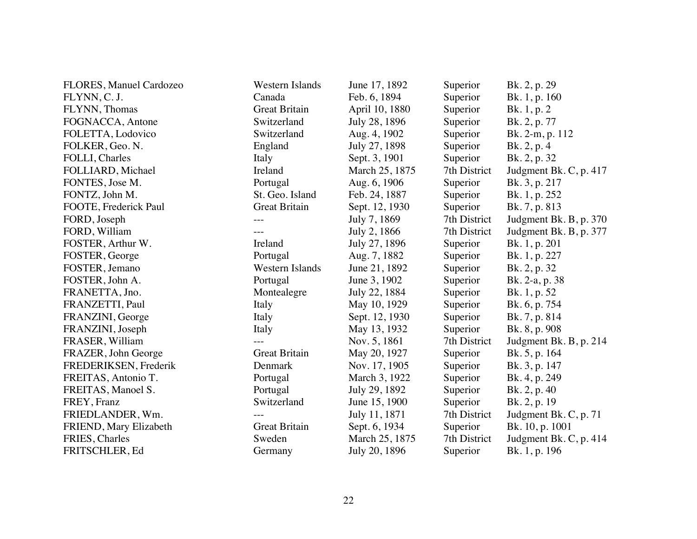| <b>FLORES, Manuel Cardozeo</b> | Western Islands      | June 17, 1892  | Superior     | Bk. 2, p. 29           |
|--------------------------------|----------------------|----------------|--------------|------------------------|
| FLYNN, C. J.                   | Canada               | Feb. 6, 1894   | Superior     | Bk. 1, p. 160          |
| FLYNN, Thomas                  | <b>Great Britain</b> | April 10, 1880 | Superior     | Bk. 1, p. 2            |
| FOGNACCA, Antone               | Switzerland          | July 28, 1896  | Superior     | Bk. 2, p. 77           |
| FOLETTA, Lodovico              | Switzerland          | Aug. 4, 1902   | Superior     | Bk. 2-m, p. 112        |
| FOLKER, Geo. N.                | England              | July 27, 1898  | Superior     | Bk. 2, p. 4            |
| FOLLI, Charles                 | Italy                | Sept. 3, 1901  | Superior     | Bk. 2, p. 32           |
| FOLLIARD, Michael              | Ireland              | March 25, 1875 | 7th District | Judgment Bk. C, p. 417 |
| FONTES, Jose M.                | Portugal             | Aug. 6, 1906   | Superior     | Bk. 3, p. 217          |
| FONTZ, John M.                 | St. Geo. Island      | Feb. 24, 1887  | Superior     | Bk. 1, p. 252          |
| FOOTE, Frederick Paul          | <b>Great Britain</b> | Sept. 12, 1930 | Superior     | Bk. 7, p. 813          |
| FORD, Joseph                   |                      | July 7, 1869   | 7th District | Judgment Bk. B, p. 370 |
| FORD, William                  | $---$                | July 2, 1866   | 7th District | Judgment Bk. B, p. 377 |
| FOSTER, Arthur W.              | Ireland              | July 27, 1896  | Superior     | Bk. 1, p. 201          |
| FOSTER, George                 | Portugal             | Aug. 7, 1882   | Superior     | Bk. 1, p. 227          |
| FOSTER, Jemano                 | Western Islands      | June 21, 1892  | Superior     | Bk. 2, p. 32           |
| FOSTER, John A.                | Portugal             | June 3, 1902   | Superior     | Bk. 2-a, p. 38         |
| FRANETTA, Jno.                 | Montealegre          | July 22, 1884  | Superior     | Bk. 1, p. 52           |
| FRANZETTI, Paul                | Italy                | May 10, 1929   | Superior     | Bk. 6, p. 754          |
| FRANZINI, George               | Italy                | Sept. 12, 1930 | Superior     | Bk. 7, p. 814          |
| FRANZINI, Joseph               | Italy                | May 13, 1932   | Superior     | Bk. 8, p. 908          |
| FRASER, William                |                      | Nov. 5, 1861   | 7th District | Judgment Bk. B, p. 214 |
| FRAZER, John George            | <b>Great Britain</b> | May 20, 1927   | Superior     | Bk. 5, p. 164          |
| FREDERIKSEN, Frederik          | Denmark              | Nov. 17, 1905  | Superior     | Bk. 3, p. 147          |
| FREITAS, Antonio T.            | Portugal             | March 3, 1922  | Superior     | Bk. 4, p. 249          |
| FREITAS, Manoel S.             | Portugal             | July 29, 1892  | Superior     | Bk. 2, p. 40           |
| FREY, Franz                    | Switzerland          | June 15, 1900  | Superior     | Bk. 2, p. 19           |
| FRIEDLANDER, Wm.               |                      | July 11, 1871  | 7th District | Judgment Bk. C, p. 71  |
| FRIEND, Mary Elizabeth         | <b>Great Britain</b> | Sept. 6, 1934  | Superior     | Bk. 10, p. 1001        |
| FRIES, Charles                 | Sweden               | March 25, 1875 | 7th District | Judgment Bk. C, p. 414 |
| FRITSCHLER, Ed                 | Germany              | July 20, 1896  | Superior     | Bk. 1, p. 196          |
|                                |                      |                |              |                        |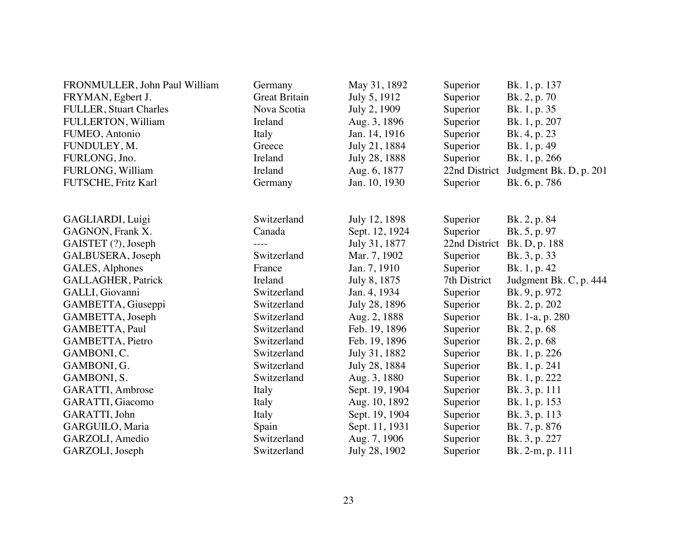| Germany              | May 31, 1892                         | Superior                                                         | Bk. 1, p. 137                         |
|----------------------|--------------------------------------|------------------------------------------------------------------|---------------------------------------|
| <b>Great Britain</b> | July 5, 1912                         | Superior                                                         | Bk. 2, p. 70                          |
| Nova Scotia          | July 2, 1909                         | Superior                                                         | Bk. 1, p. 35                          |
| Ireland              | Aug. 3, 1896                         | Superior                                                         | Bk. 1, p. 207                         |
| Italy                | Jan. 14, 1916                        | Superior                                                         | Bk. 4, p. 23                          |
| Greece               | July 21, 1884                        | Superior                                                         | Bk. 1, p. 49                          |
| Ireland              | July 28, 1888                        | Superior                                                         | Bk. 1, p. 266                         |
| Ireland              | Aug. 6, 1877                         | 22nd District                                                    | Judgment Bk. D, p. 201                |
| Germany              | Jan. 10, 1930                        | Superior                                                         | Bk. 6, p. 786                         |
|                      |                                      |                                                                  |                                       |
|                      |                                      |                                                                  |                                       |
|                      |                                      |                                                                  | Bk. 2, p. 84                          |
|                      |                                      |                                                                  | Bk. 5, p. 97                          |
|                      |                                      |                                                                  | Bk. D, p. 188                         |
|                      |                                      | Superior                                                         | Bk. 3, p. 33                          |
| France               | Jan. 7, 1910                         | Superior                                                         | Bk. 1, p. 42                          |
| Ireland              | July 8, 1875                         | 7th District                                                     | Judgment Bk. C, p. 444                |
| Switzerland          | Jan. 4, 1934                         | Superior                                                         | Bk. 9, p. 972                         |
| Switzerland          | July 28, 1896                        | Superior                                                         | Bk. 2, p. 202                         |
| Switzerland          | Aug. 2, 1888                         | Superior                                                         | Bk. 1-a, p. 280                       |
| Switzerland          | Feb. 19, 1896                        | Superior                                                         | Bk. 2, p. 68                          |
| Switzerland          | Feb. 19, 1896                        | Superior                                                         | Bk. 2, p. 68                          |
| Switzerland          | July 31, 1882                        | Superior                                                         | Bk. 1, p. 226                         |
| Switzerland          | July 28, 1884                        | Superior                                                         | Bk. 1, p. 241                         |
| Switzerland          | Aug. 3, 1880                         | Superior                                                         | Bk. 1, p. 222                         |
| Italy                | Sept. 19, 1904                       | Superior                                                         | Bk. 3, p. 111                         |
| Italy                | Aug. 10, 1892                        | Superior                                                         | Bk. 1, p. 153                         |
| Italy                | Sept. 19, 1904                       | Superior                                                         | Bk. 3, p. 113                         |
| Spain                | Sept. 11, 1931                       | Superior                                                         | Bk. 7, p. 876                         |
| Switzerland          | Aug. 7, 1906                         | Superior                                                         | Bk. 3, p. 227                         |
| Switzerland          | July 28, 1902                        | Superior                                                         | Bk. 2-m, p. 111                       |
|                      | Switzerland<br>Canada<br>Switzerland | July 12, 1898<br>Sept. 12, 1924<br>July 31, 1877<br>Mar. 7, 1902 | Superior<br>Superior<br>22nd District |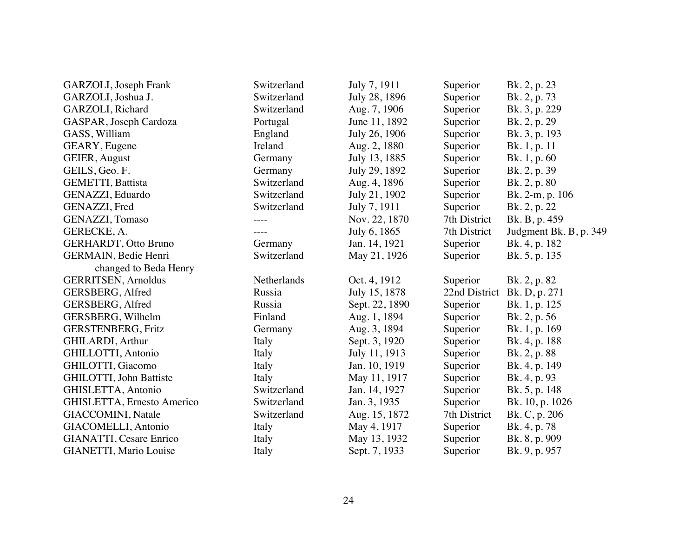| GARZOLI, Joseph Frank          | Switzerland | July 7, 1911   | Superior      | Bk. 2, p. 23           |
|--------------------------------|-------------|----------------|---------------|------------------------|
| GARZOLI, Joshua J.             | Switzerland | July 28, 1896  | Superior      | Bk. 2, p. 73           |
| GARZOLI, Richard               | Switzerland | Aug. 7, 1906   | Superior      | Bk. 3, p. 229          |
| GASPAR, Joseph Cardoza         | Portugal    | June 11, 1892  | Superior      | Bk. 2, p. 29           |
| GASS, William                  | England     | July 26, 1906  | Superior      | Bk. 3, p. 193          |
| GEARY, Eugene                  | Ireland     | Aug. 2, 1880   | Superior      | Bk. 1, p. 11           |
| GEIER, August                  | Germany     | July 13, 1885  | Superior      | Bk. 1, p. 60           |
| GEILS, Geo. F.                 | Germany     | July 29, 1892  | Superior      | Bk. 2, p. 39           |
| <b>GEMETTI, Battista</b>       | Switzerland | Aug. 4, 1896   | Superior      | Bk. 2, p. 80           |
| GENAZZI, Eduardo               | Switzerland | July 21, 1902  | Superior      | Bk. 2-m, p. 106        |
| GENAZZI, Fred                  | Switzerland | July 7, 1911   | Superior      | Bk. 2, p. 22           |
| GENAZZI, Tomaso                | ----        | Nov. 22, 1870  | 7th District  | Bk. B, p. 459          |
| GERECKE, A.                    | ----        | July 6, 1865   | 7th District  | Judgment Bk. B, p. 349 |
| <b>GERHARDT, Otto Bruno</b>    | Germany     | Jan. 14, 1921  | Superior      | Bk. 4, p. 182          |
| GERMAIN, Bedie Henri           | Switzerland | May 21, 1926   | Superior      | Bk. 5, p. 135          |
| changed to Beda Henry          |             |                |               |                        |
| <b>GERRITSEN</b> , Arnoldus    | Netherlands | Oct. 4, 1912   | Superior      | Bk. 2, p. 82           |
| <b>GERSBERG, Alfred</b>        | Russia      | July 15, 1878  | 22nd District | Bk. D, p. 271          |
| GERSBERG, Alfred               | Russia      | Sept. 22, 1890 | Superior      | Bk. 1, p. 125          |
| GERSBERG, Wilhelm              | Finland     | Aug. 1, 1894   | Superior      | Bk. 2, p. 56           |
| <b>GERSTENBERG, Fritz</b>      | Germany     | Aug. 3, 1894   | Superior      | Bk. 1, p. 169          |
| GHILARDI, Arthur               | Italy       | Sept. 3, 1920  | Superior      | Bk. 4, p. 188          |
| GHILLOTTI, Antonio             | Italy       | July 11, 1913  | Superior      | Bk. 2, p. 88           |
| GHILOTTI, Giacomo              | Italy       | Jan. 10, 1919  | Superior      | Bk. 4, p. 149          |
| GHILOTTI, John Battiste        | Italy       | May 11, 1917   | Superior      | Bk. 4, p. 93           |
| GHISLETTA, Antonio             | Switzerland | Jan. 14, 1927  | Superior      | Bk. 5, p. 148          |
| GHISLETTA, Ernesto Americo     | Switzerland | Jan. 3, 1935   | Superior      | Bk. 10, p. 1026        |
| GIACCOMINI, Natale             | Switzerland | Aug. 15, 1872  | 7th District  | Bk. C, p. 206          |
| GIACOMELLI, Antonio            | Italy       | May 4, 1917    | Superior      | Bk. 4, p. 78           |
| <b>GIANATTI, Cesare Enrico</b> | Italy       | May 13, 1932   | Superior      | Bk. 8, p. 909          |
| GIANETTI, Mario Louise         | Italy       | Sept. 7, 1933  | Superior      | Bk. 9, p. 957          |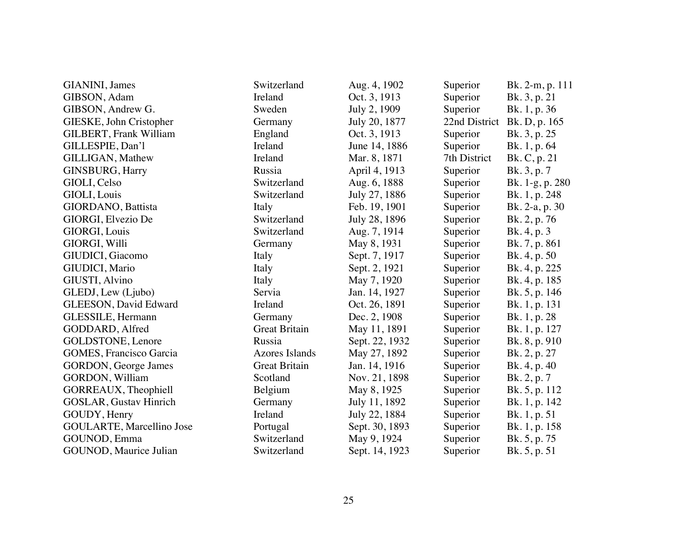| GIANINI, James                | Switzerland           | Aug. 4, 1902   | Superior      | Bk. 2-m, p. 111 |
|-------------------------------|-----------------------|----------------|---------------|-----------------|
| GIBSON, Adam                  | Ireland               | Oct. 3, 1913   | Superior      | Bk. 3, p. 21    |
| GIBSON, Andrew G.             | Sweden                | July 2, 1909   | Superior      | Bk. 1, p. 36    |
| GIESKE, John Cristopher       | Germany               | July 20, 1877  | 22nd District | Bk. D, p. 165   |
| GILBERT, Frank William        | England               | Oct. 3, 1913   | Superior      | Bk. 3, p. 25    |
| GILLESPIE, Dan'l              | Ireland               | June 14, 1886  | Superior      | Bk. 1, p. 64    |
| GILLIGAN, Mathew              | Ireland               | Mar. 8, 1871   | 7th District  | Bk. C, p. 21    |
| GINSBURG, Harry               | Russia                | April 4, 1913  | Superior      | Bk. 3, p. 7     |
| GIOLI, Celso                  | Switzerland           | Aug. 6, 1888   | Superior      | Bk. 1-g, p. 280 |
| GIOLI, Louis                  | Switzerland           | July 27, 1886  | Superior      | Bk. 1, p. 248   |
| GIORDANO, Battista            | Italy                 | Feb. 19, 1901  | Superior      | Bk. 2-a, p. 30  |
| GIORGI, Elvezio De            | Switzerland           | July 28, 1896  | Superior      | Bk. 2, p. 76    |
| GIORGI, Louis                 | Switzerland           | Aug. 7, 1914   | Superior      | Bk. 4, p. 3     |
| GIORGI, Willi                 | Germany               | May 8, 1931    | Superior      | Bk. 7, p. 861   |
| GIUDICI, Giacomo              | Italy                 | Sept. 7, 1917  | Superior      | Bk. 4, p. 50    |
| GIUDICI, Mario                | Italy                 | Sept. 2, 1921  | Superior      | Bk. 4, p. 225   |
| GIUSTI, Alvino                | Italy                 | May 7, 1920    | Superior      | Bk. 4, p. 185   |
| GLEDJ, Lew (Ljubo)            | Servia                | Jan. 14, 1927  | Superior      | Bk. 5, p. 146   |
| GLEESON, David Edward         | Ireland               | Oct. 26, 1891  | Superior      | Bk. 1, p. 131   |
| GLESSILE, Hermann             | Germany               | Dec. 2, 1908   | Superior      | Bk. 1, p. 28    |
| GODDARD, Alfred               | <b>Great Britain</b>  | May 11, 1891   | Superior      | Bk. 1, p. 127   |
| GOLDSTONE, Lenore             | Russia                | Sept. 22, 1932 | Superior      | Bk. 8, p. 910   |
| GOMES, Francisco Garcia       | <b>Azores Islands</b> | May 27, 1892   | Superior      | Bk. 2, p. 27    |
| <b>GORDON</b> , George James  | <b>Great Britain</b>  | Jan. 14, 1916  | Superior      | Bk. 4, p. 40    |
| <b>GORDON</b> , William       | Scotland              | Nov. 21, 1898  | Superior      | Bk. 2, p. 7     |
| GORREAUX, Theophiell          | Belgium               | May 8, 1925    | Superior      | Bk. 5, p. 112   |
| <b>GOSLAR, Gustav Hinrich</b> | Germany               | July 11, 1892  | Superior      | Bk. 1, p. 142   |
| GOUDY, Henry                  | Ireland               | July 22, 1884  | Superior      | Bk. 1, p. 51    |
| GOULARTE, Marcellino Jose     | Portugal              | Sept. 30, 1893 | Superior      | Bk. 1, p. 158   |
| GOUNOD, Emma                  | Switzerland           | May 9, 1924    | Superior      | Bk. 5, p. 75    |
| GOUNOD, Maurice Julian        | Switzerland           | Sept. 14, 1923 | Superior      | Bk. 5, p. 51    |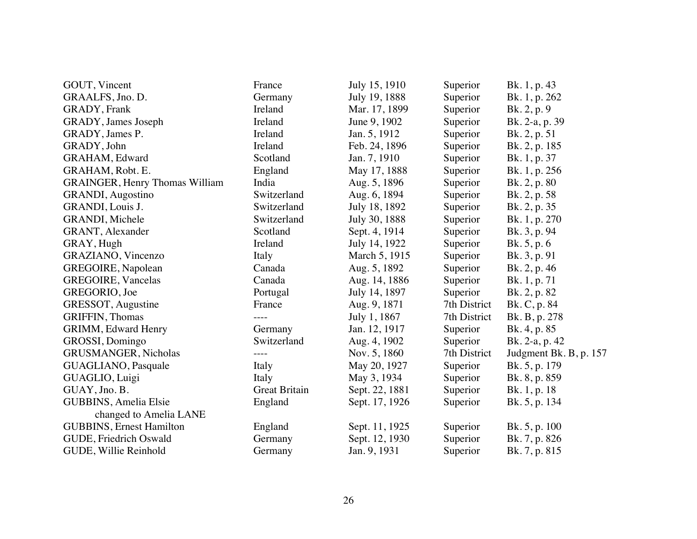| GOUT, Vincent                         | France               | July 15, 1910  | Superior     | Bk. 1, p. 43           |
|---------------------------------------|----------------------|----------------|--------------|------------------------|
| GRAALFS, Jno. D.                      | Germany              | July 19, 1888  | Superior     | Bk. 1, p. 262          |
| <b>GRADY</b> , Frank                  | Ireland              | Mar. 17, 1899  | Superior     | Bk. 2, p. 9            |
| GRADY, James Joseph                   | Ireland              | June 9, 1902   | Superior     | Bk. 2-a, p. 39         |
| GRADY, James P.                       | Ireland              | Jan. 5, 1912   | Superior     | Bk. 2, p. 51           |
| GRADY, John                           | Ireland              | Feb. 24, 1896  | Superior     | Bk. 2, p. 185          |
| <b>GRAHAM</b> , Edward                | Scotland             | Jan. 7, 1910   | Superior     | Bk. 1, p. 37           |
| GRAHAM, Robt. E.                      | England              | May 17, 1888   | Superior     | Bk. 1, p. 256          |
| <b>GRAINGER, Henry Thomas William</b> | India                | Aug. 5, 1896   | Superior     | Bk. 2, p. 80           |
| <b>GRANDI</b> , Augostino             | Switzerland          | Aug. 6, 1894   | Superior     | Bk. 2, p. 58           |
| GRANDI, Louis J.                      | Switzerland          | July 18, 1892  | Superior     | Bk. 2, p. 35           |
| GRANDI, Michele                       | Switzerland          | July 30, 1888  | Superior     | Bk. 1, p. 270          |
| GRANT, Alexander                      | Scotland             | Sept. 4, 1914  | Superior     | Bk. 3, p. 94           |
| GRAY, Hugh                            | Ireland              | July 14, 1922  | Superior     | Bk. 5, p. 6            |
| GRAZIANO, Vincenzo                    | Italy                | March 5, 1915  | Superior     | Bk. 3, p. 91           |
| GREGOIRE, Napolean                    | Canada               | Aug. 5, 1892   | Superior     | Bk. 2, p. 46           |
| <b>GREGOIRE, Vancelas</b>             | Canada               | Aug. 14, 1886  | Superior     | Bk. 1, p. 71           |
| GREGORIO, Joe                         | Portugal             | July 14, 1897  | Superior     | Bk. 2, p. 82           |
| GRESSOT, Augustine                    | France               | Aug. 9, 1871   | 7th District | Bk. C, p. 84           |
| <b>GRIFFIN, Thomas</b>                | $- - - -$            | July 1, 1867   | 7th District | Bk. B, p. 278          |
| <b>GRIMM</b> , Edward Henry           | Germany              | Jan. 12, 1917  | Superior     | Bk. 4, p. 85           |
| GROSSI, Domingo                       | Switzerland          | Aug. 4, 1902   | Superior     | Bk. 2-a, p. 42         |
| GRUSMANGER, Nicholas                  |                      | Nov. 5, 1860   | 7th District | Judgment Bk. B, p. 157 |
| GUAGLIANO, Pasquale                   | Italy                | May 20, 1927   | Superior     | Bk. 5, p. 179          |
| GUAGLIO, Luigi                        | Italy                | May 3, 1934    | Superior     | Bk. 8, p. 859          |
| GUAY, Jno. B.                         | <b>Great Britain</b> | Sept. 22, 1881 | Superior     | Bk. 1, p. 18           |
| GUBBINS, Amelia Elsie                 | England              | Sept. 17, 1926 | Superior     | Bk. 5, p. 134          |
| changed to Amelia LANE                |                      |                |              |                        |
| <b>GUBBINS</b> , Ernest Hamilton      | England              | Sept. 11, 1925 | Superior     | Bk. 5, p. 100          |
| GUDE, Friedrich Oswald                | Germany              | Sept. 12, 1930 | Superior     | Bk. 7, p. 826          |
| GUDE, Willie Reinhold                 | Germany              | Jan. 9, 1931   | Superior     | Bk. 7, p. 815          |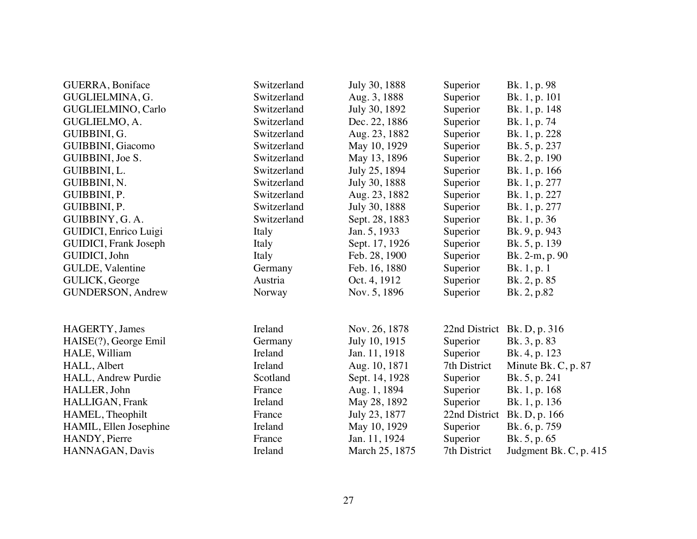| GUERRA, Boniface              | Switzerland | July 30, 1888  | Superior      | Bk. 1, p. 98           |
|-------------------------------|-------------|----------------|---------------|------------------------|
| GUGLIELMINA, G.               | Switzerland | Aug. 3, 1888   | Superior      | Bk. 1, p. 101          |
| GUGLIELMINO, Carlo            | Switzerland | July 30, 1892  | Superior      | Bk. 1, p. 148          |
| GUGLIELMO, A.                 | Switzerland | Dec. 22, 1886  | Superior      | Bk. 1, p. 74           |
| GUIBBINI, G.                  | Switzerland | Aug. 23, 1882  | Superior      | Bk. 1, p. 228          |
| GUIBBINI, Giacomo             | Switzerland | May 10, 1929   | Superior      | Bk. 5, p. 237          |
| GUIBBINI, Joe S.              | Switzerland | May 13, 1896   | Superior      | Bk. 2, p. 190          |
| GUIBBINI, L.                  | Switzerland | July 25, 1894  | Superior      | Bk. 1, p. 166          |
| GUIBBINI, N.                  | Switzerland | July 30, 1888  | Superior      | Bk. 1, p. 277          |
| GUIBBINI, P.                  | Switzerland | Aug. 23, 1882  | Superior      | Bk. 1, p. 227          |
| GUIBBINI, P.                  | Switzerland | July 30, 1888  | Superior      | Bk. 1, p. 277          |
| GUIBBINY, G.A.                | Switzerland | Sept. 28, 1883 | Superior      | Bk. 1, p. 36           |
| GUIDICI, Enrico Luigi         | Italy       | Jan. 5, 1933   | Superior      | Bk. 9, p. 943          |
| <b>GUIDICI</b> , Frank Joseph | Italy       | Sept. 17, 1926 | Superior      | Bk. 5, p. 139          |
| GUIDICI, John                 | Italy       | Feb. 28, 1900  | Superior      | Bk. 2-m, p. 90         |
| GULDE, Valentine              | Germany     | Feb. 16, 1880  | Superior      | Bk. 1, p. 1            |
| GULICK, George                | Austria     | Oct. 4, 1912   | Superior      | Bk. 2, p. 85           |
| <b>GUNDERSON</b> , Andrew     | Norway      | Nov. 5, 1896   | Superior      | Bk. 2, p.82            |
|                               |             |                |               |                        |
| HAGERTY, James                | Ireland     | Nov. 26, 1878  | 22nd District | Bk. D, p. 316          |
| HAISE(?), George Emil         | Germany     | July 10, 1915  | Superior      | Bk. 3, p. 83           |
| HALE, William                 | Ireland     | Jan. 11, 1918  | Superior      | Bk. 4, p. 123          |
| HALL, Albert                  | Ireland     | Aug. 10, 1871  | 7th District  | Minute Bk. C, p. 87    |
| HALL, Andrew Purdie           | Scotland    | Sept. 14, 1928 | Superior      | Bk. 5, p. 241          |
| HALLER, John                  | France      | Aug. 1, 1894   | Superior      | Bk. 1, p. 168          |
| HALLIGAN, Frank               | Ireland     | May 28, 1892   | Superior      | Bk. 1, p. 136          |
| HAMEL, Theophilt              | France      | July 23, 1877  | 22nd District | Bk. D, p. 166          |
| HAMIL, Ellen Josephine        | Ireland     | May 10, 1929   | Superior      | Bk. 6, p. 759          |
| HANDY, Pierre                 | France      | Jan. 11, 1924  | Superior      | Bk. 5, p. 65           |
| HANNAGAN, Davis               | Ireland     | March 25, 1875 | 7th District  | Judgment Bk. C, p. 415 |
|                               |             |                |               |                        |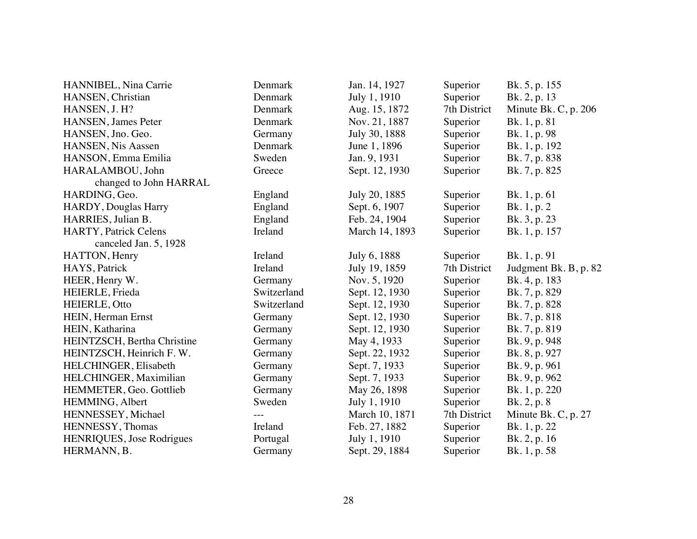| HANNIBEL, Nina Carrie            | Denmark     | Jan. 14, 1927  | Superior     | Bk. 5, p. 155          |
|----------------------------------|-------------|----------------|--------------|------------------------|
| HANSEN, Christian                | Denmark     | July 1, 1910   | Superior     | Bk. 2, p. 13           |
| HANSEN, J. H?                    | Denmark     | Aug. 15, 1872  | 7th District | Minute Bk. C, p. $206$ |
| HANSEN, James Peter              | Denmark     | Nov. 21, 1887  | Superior     | Bk. 1, p. 81           |
| HANSEN, Jno. Geo.                | Germany     | July 30, 1888  | Superior     | Bk. 1, p. 98           |
| HANSEN, Nis Aassen               | Denmark     | June 1, 1896   | Superior     | Bk. 1, p. 192          |
| HANSON, Emma Emilia              | Sweden      | Jan. 9, 1931   | Superior     | Bk. 7, p. 838          |
| HARALAMBOU, John                 | Greece      | Sept. 12, 1930 | Superior     | Bk. 7, p. 825          |
| changed to John HARRAL           |             |                |              |                        |
| HARDING, Geo.                    | England     | July 20, 1885  | Superior     | Bk. 1, p. 61           |
| <b>HARDY</b> , Douglas Harry     | England     | Sept. 6, 1907  | Superior     | Bk. 1, p. 2            |
| HARRIES, Julian B.               | England     | Feb. 24, 1904  | Superior     | Bk. 3, p. 23           |
| <b>HARTY</b> , Patrick Celens    | Ireland     | March 14, 1893 | Superior     | Bk. 1, p. 157          |
| canceled Jan. 5, 1928            |             |                |              |                        |
| HATTON, Henry                    | Ireland     | July 6, 1888   | Superior     | Bk. 1, p. 91           |
| HAYS, Patrick                    | Ireland     | July 19, 1859  | 7th District | Judgment Bk. B, p. 82  |
| HEER, Henry W.                   | Germany     | Nov. 5, 1920   | Superior     | Bk. 4, p. 183          |
| HEIERLE, Frieda                  | Switzerland | Sept. 12, 1930 | Superior     | Bk. 7, p. 829          |
| HEIERLE, Otto                    | Switzerland | Sept. 12, 1930 | Superior     | Bk. 7, p. 828          |
| HEIN, Herman Ernst               | Germany     | Sept. 12, 1930 | Superior     | Bk. 7, p. 818          |
| HEIN, Katharina                  | Germany     | Sept. 12, 1930 | Superior     | Bk. 7, p. 819          |
| HEINTZSCH, Bertha Christine      | Germany     | May 4, 1933    | Superior     | Bk. 9, p. 948          |
| HEINTZSCH, Heinrich F.W.         | Germany     | Sept. 22, 1932 | Superior     | Bk. 8, p. 927          |
| HELCHINGER, Elisabeth            | Germany     | Sept. 7, 1933  | Superior     | Bk. 9, p. 961          |
| HELCHINGER, Maximilian           | Germany     | Sept. 7, 1933  | Superior     | Bk. 9, p. 962          |
| HEMMETER, Geo. Gottlieb          | Germany     | May 26, 1898   | Superior     | Bk. 1, p. 220          |
| HEMMING, Albert                  | Sweden      | July 1, 1910   | Superior     | Bk. 2, p. 8            |
| HENNESSEY, Michael               |             | March 10, 1871 | 7th District | Minute Bk. C, p. 27    |
| HENNESSY, Thomas                 | Ireland     | Feb. 27, 1882  | Superior     | Bk. 1, p. 22           |
| <b>HENRIQUES, Jose Rodrigues</b> | Portugal    | July 1, 1910   | Superior     | Bk. 2, p. 16           |
| HERMANN, B.                      | Germany     | Sept. 29, 1884 | Superior     | Bk. 1, p. 58           |
|                                  |             |                |              |                        |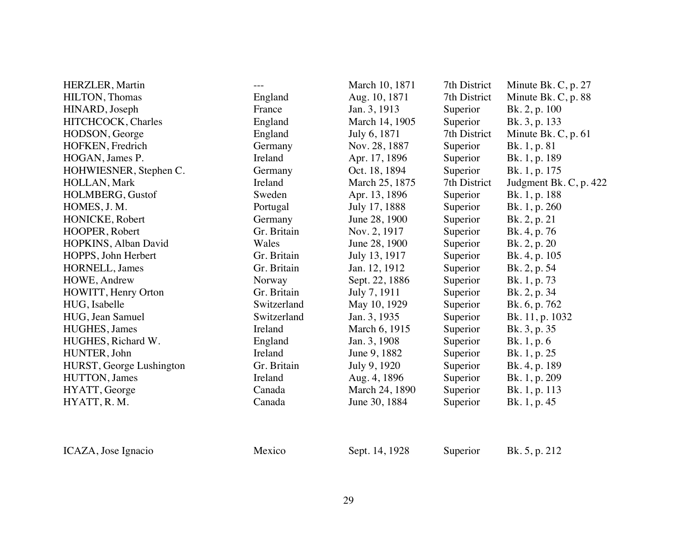| <b>HERZLER</b> , Martin  | $---$       | March 10, 1871 | 7th District | Minute Bk. C, p. 27    |
|--------------------------|-------------|----------------|--------------|------------------------|
| HILTON, Thomas           | England     | Aug. 10, 1871  | 7th District | Minute Bk. C, p. 88    |
| HINARD, Joseph           | France      | Jan. 3, 1913   | Superior     | Bk. 2, p. 100          |
| HITCHCOCK, Charles       | England     | March 14, 1905 | Superior     | Bk. 3, p. 133          |
| HODSON, George           | England     | July 6, 1871   | 7th District | Minute Bk. C, p. 61    |
| HOFKEN, Fredrich         | Germany     | Nov. 28, 1887  | Superior     | Bk. 1, p. 81           |
| HOGAN, James P.          | Ireland     | Apr. 17, 1896  | Superior     | Bk. 1, p. 189          |
| HOHWIESNER, Stephen C.   | Germany     | Oct. 18, 1894  | Superior     | Bk. 1, p. 175          |
| HOLLAN, Mark             | Ireland     | March 25, 1875 | 7th District | Judgment Bk. C, p. 422 |
| HOLMBERG, Gustof         | Sweden      | Apr. 13, 1896  | Superior     | Bk. 1, p. 188          |
| HOMES, J. M.             | Portugal    | July 17, 1888  | Superior     | Bk. 1, p. 260          |
| HONICKE, Robert          | Germany     | June 28, 1900  | Superior     | Bk. 2, p. 21           |
| HOOPER, Robert           | Gr. Britain | Nov. 2, 1917   | Superior     | Bk. 4, p. 76           |
| HOPKINS, Alban David     | Wales       | June 28, 1900  | Superior     | Bk. 2, p. 20           |
| HOPPS, John Herbert      | Gr. Britain | July 13, 1917  | Superior     | Bk. 4, p. 105          |
| HORNELL, James           | Gr. Britain | Jan. 12, 1912  | Superior     | Bk. 2, p. 54           |
| HOWE, Andrew             | Norway      | Sept. 22, 1886 | Superior     | Bk. 1, p. 73           |
| HOWITT, Henry Orton      | Gr. Britain | July 7, 1911   | Superior     | Bk. 2, p. 34           |
| HUG, Isabelle            | Switzerland | May 10, 1929   | Superior     | Bk. 6, p. 762          |
| HUG, Jean Samuel         | Switzerland | Jan. 3, 1935   | Superior     | Bk. 11, p. 1032        |
| HUGHES, James            | Ireland     | March 6, 1915  | Superior     | Bk. 3, p. 35           |
| HUGHES, Richard W.       | England     | Jan. 3, 1908   | Superior     | Bk. 1, p. 6            |
| HUNTER, John             | Ireland     | June 9, 1882   | Superior     | Bk. 1, p. 25           |
| HURST, George Lushington | Gr. Britain | July 9, 1920   | Superior     | Bk. 4, p. 189          |
| HUTTON, James            | Ireland     | Aug. 4, 1896   | Superior     | Bk. 1, p. 209          |
| HYATT, George            | Canada      | March 24, 1890 | Superior     | Bk. 1, p. 113          |
| HYATT, R.M.              | Canada      | June 30, 1884  | Superior     | Bk. 1, p. 45           |
| ICAZA, Jose Ignacio      | Mexico      | Sept. 14, 1928 | Superior     | Bk. 5, p. 212          |
|                          |             |                |              |                        |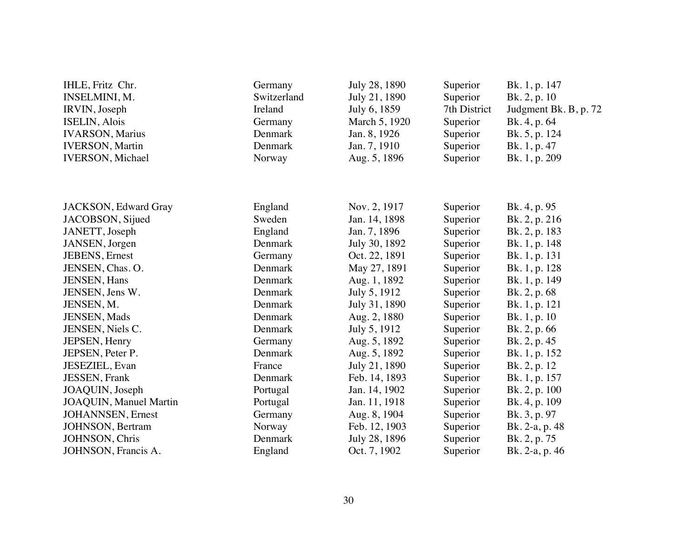| IHLE, Fritz Chr.<br>INSELMINI, M.<br>IRVIN, Joseph<br><b>ISELIN, Alois</b><br><b>IVARSON</b> , Marius<br><b>IVERSON</b> , Martin<br><b>IVERSON</b> , Michael | Germany<br>Switzerland<br>Ireland<br>Germany<br>Denmark<br>Denmark<br>Norway | July 28, 1890<br>July 21, 1890<br>July 6, 1859<br>March 5, 1920<br>Jan. 8, 1926<br>Jan. 7, 1910<br>Aug. 5, 1896 | Superior<br>Superior<br>7th District<br>Superior<br>Superior<br>Superior<br>Superior | Bk. 1, p. 147<br>Bk. 2, p. 10<br>Judgment Bk. B, p. 72<br>Bk. 4, p. 64<br>Bk. 5, p. 124<br>Bk. 1, p. 47<br>Bk. 1, p. 209 |
|--------------------------------------------------------------------------------------------------------------------------------------------------------------|------------------------------------------------------------------------------|-----------------------------------------------------------------------------------------------------------------|--------------------------------------------------------------------------------------|--------------------------------------------------------------------------------------------------------------------------|
|                                                                                                                                                              |                                                                              |                                                                                                                 |                                                                                      |                                                                                                                          |
| JACKSON, Edward Gray                                                                                                                                         | England                                                                      | Nov. 2, 1917                                                                                                    | Superior                                                                             | Bk. 4, p. 95                                                                                                             |
| JACOBSON, Sijued                                                                                                                                             | Sweden                                                                       | Jan. 14, 1898                                                                                                   | Superior                                                                             | Bk. 2, p. 216                                                                                                            |
| JANETT, Joseph                                                                                                                                               | England                                                                      | Jan. 7, 1896                                                                                                    | Superior                                                                             | Bk. 2, p. 183                                                                                                            |
| JANSEN, Jorgen                                                                                                                                               | Denmark                                                                      | July 30, 1892                                                                                                   | Superior                                                                             | Bk. 1, p. 148                                                                                                            |
| JEBENS, Ernest                                                                                                                                               | Germany                                                                      | Oct. 22, 1891                                                                                                   | Superior                                                                             | Bk. 1, p. 131                                                                                                            |
| JENSEN, Chas. O.                                                                                                                                             | Denmark                                                                      | May 27, 1891                                                                                                    | Superior                                                                             | Bk. 1, p. 128                                                                                                            |
| <b>JENSEN</b> , Hans                                                                                                                                         | Denmark                                                                      | Aug. 1, 1892                                                                                                    | Superior                                                                             | Bk. 1, p. 149                                                                                                            |
| JENSEN, Jens W.                                                                                                                                              | Denmark                                                                      | July 5, 1912                                                                                                    | Superior                                                                             | Bk. 2, p. 68                                                                                                             |
| JENSEN, M.                                                                                                                                                   | Denmark                                                                      | July 31, 1890                                                                                                   | Superior                                                                             | Bk. 1, p. 121                                                                                                            |
| JENSEN, Mads                                                                                                                                                 | Denmark                                                                      | Aug. 2, 1880                                                                                                    | Superior                                                                             | Bk. 1, p. 10                                                                                                             |
| JENSEN, Niels C.                                                                                                                                             | Denmark                                                                      | July 5, 1912                                                                                                    | Superior                                                                             | Bk. 2, p. 66                                                                                                             |
| JEPSEN, Henry                                                                                                                                                | Germany                                                                      | Aug. 5, 1892                                                                                                    | Superior                                                                             | Bk. 2, p. 45                                                                                                             |
| JEPSEN, Peter P.                                                                                                                                             | Denmark                                                                      | Aug. 5, 1892                                                                                                    | Superior                                                                             | Bk. 1, p. 152                                                                                                            |
| JESEZIEL, Evan                                                                                                                                               | France                                                                       | July 21, 1890                                                                                                   | Superior                                                                             | Bk. 2, p. 12                                                                                                             |
| <b>JESSEN</b> , Frank                                                                                                                                        | Denmark                                                                      | Feb. 14, 1893                                                                                                   | Superior                                                                             | Bk. 1, p. 157                                                                                                            |
| JOAQUIN, Joseph                                                                                                                                              | Portugal                                                                     | Jan. 14, 1902                                                                                                   | Superior                                                                             | Bk. 2, p. 100                                                                                                            |
| <b>JOAQUIN</b> , Manuel Martin                                                                                                                               | Portugal                                                                     | Jan. 11, 1918                                                                                                   | Superior                                                                             | Bk. 4, p. 109                                                                                                            |
| <b>JOHANNSEN</b> , Ernest                                                                                                                                    | Germany                                                                      | Aug. 8, 1904                                                                                                    | Superior                                                                             | Bk. 3, p. 97                                                                                                             |
| JOHNSON, Bertram                                                                                                                                             | Norway                                                                       | Feb. 12, 1903                                                                                                   | Superior                                                                             | Bk. 2-a, p. 48                                                                                                           |
| JOHNSON, Chris                                                                                                                                               | Denmark                                                                      | July 28, 1896                                                                                                   | Superior                                                                             | Bk. 2, p. 75                                                                                                             |
| JOHNSON, Francis A.                                                                                                                                          | England                                                                      | Oct. 7, 1902                                                                                                    | Superior                                                                             | Bk. 2-a, p. 46                                                                                                           |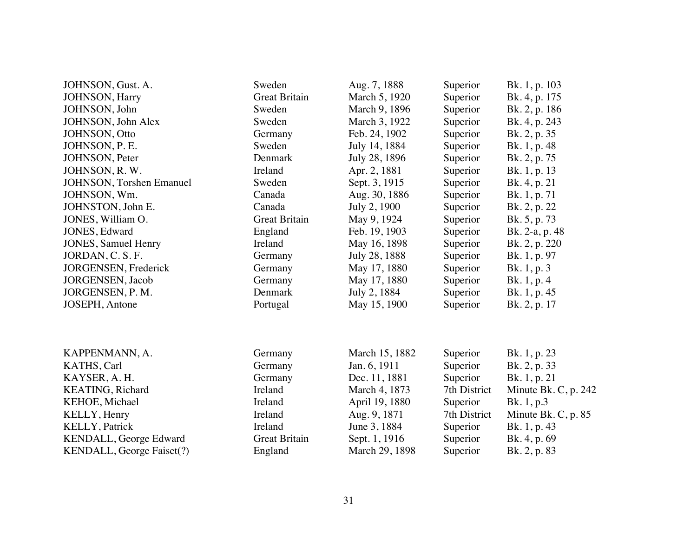| JOHNSON, Gust. A.                | Sweden               | Aug. 7, 1888   | Superior     | Bk. 1, p. 103         |
|----------------------------------|----------------------|----------------|--------------|-----------------------|
| <b>JOHNSON</b> , Harry           | <b>Great Britain</b> | March 5, 1920  | Superior     | Bk. 4, p. 175         |
| JOHNSON, John                    | Sweden               | March 9, 1896  | Superior     | Bk. 2, p. 186         |
| JOHNSON, John Alex               | Sweden               | March 3, 1922  | Superior     | Bk. 4, p. 243         |
| JOHNSON, Otto                    | Germany              | Feb. 24, 1902  | Superior     | Bk. 2, p. 35          |
| JOHNSON, P. E.                   | Sweden               | July 14, 1884  | Superior     | Bk. 1, p. 48          |
| JOHNSON, Peter                   | Denmark              | July 28, 1896  | Superior     | Bk. 2, p. 75          |
| JOHNSON, R.W.                    | Ireland              | Apr. 2, 1881   | Superior     | Bk. 1, p. 13          |
| <b>JOHNSON</b> , Torshen Emanuel | Sweden               | Sept. 3, 1915  | Superior     | Bk. 4, p. 21          |
| JOHNSON, Wm.                     | Canada               | Aug. 30, 1886  | Superior     | Bk. 1, p. 71          |
| JOHNSTON, John E.                | Canada               | July 2, 1900   | Superior     | Bk. 2, p. 22          |
| JONES, William O.                | <b>Great Britain</b> | May 9, 1924    | Superior     | Bk. 5, p. 73          |
| JONES, Edward                    | England              | Feb. 19, 1903  | Superior     | Bk. 2-a, p. 48        |
| <b>JONES</b> , Samuel Henry      | Ireland              | May 16, 1898   | Superior     | Bk. 2, p. 220         |
| JORDAN, C. S. F.                 | Germany              | July 28, 1888  | Superior     | Bk. 1, p. 97          |
| JORGENSEN, Frederick             | Germany              | May 17, 1880   | Superior     | Bk. 1, p. 3           |
| <b>JORGENSEN</b> , Jacob         | Germany              | May 17, 1880   | Superior     | Bk. 1, p. 4           |
| JORGENSEN, P. M.                 | Denmark              | July 2, 1884   | Superior     | Bk. 1, p. 45          |
| <b>JOSEPH</b> , Antone           | Portugal             | May 15, 1900   | Superior     | Bk. 2, p. 17          |
| KAPPENMANN, A.                   | Germany              | March 15, 1882 | Superior     | Bk. 1, p. 23          |
| KATHS, Carl                      | Germany              | Jan. 6, 1911   | Superior     | Bk. 2, p. 33          |
| KAYSER, A.H.                     | Germany              | Dec. 11, 1881  | Superior     | Bk. 1, p. 21          |
| KEATING, Richard                 | Ireland              | March 4, 1873  | 7th District | Minute Bk. C, p. 242  |
| KEHOE, Michael                   | Ireland              | April 19, 1880 | Superior     | Bk. 1, p.3            |
| KELLY, Henry                     | Ireland              | Aug. 9, 1871   | 7th District | Minute Bk. C, p. $85$ |
| <b>KELLY, Patrick</b>            | Ireland              | June 3, 1884   | Superior     | Bk. 1, p. 43          |
| KENDALL, George Edward           | <b>Great Britain</b> | Sept. 1, 1916  | Superior     | Bk. 4, p. 69          |
| KENDALL, George Faiset(?)        | England              | March 29, 1898 | Superior     | Bk. 2, p. 83          |
|                                  |                      |                |              |                       |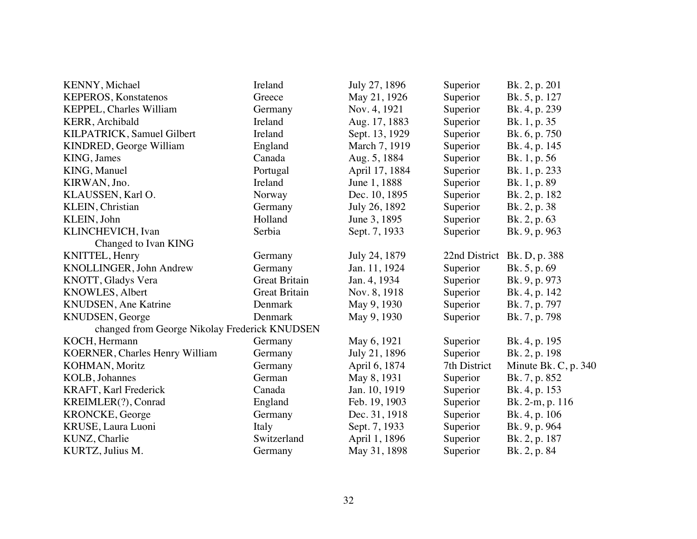| KENNY, Michael                                | Ireland              | July 27, 1896  | Superior      | Bk. 2, p. 201          |
|-----------------------------------------------|----------------------|----------------|---------------|------------------------|
| <b>KEPEROS</b> , Konstatenos                  | Greece               | May 21, 1926   | Superior      | Bk. 5, p. 127          |
| KEPPEL, Charles William                       | Germany              | Nov. 4, 1921   | Superior      | Bk. 4, p. 239          |
| KERR, Archibald                               | Ireland              | Aug. 17, 1883  | Superior      | Bk. 1, p. 35           |
| KILPATRICK, Samuel Gilbert                    | Ireland              | Sept. 13, 1929 | Superior      | Bk. 6, p. 750          |
| KINDRED, George William                       | England              | March 7, 1919  | Superior      | Bk. 4, p. 145          |
| KING, James                                   | Canada               | Aug. 5, 1884   | Superior      | Bk. 1, p. 56           |
| KING, Manuel                                  | Portugal             | April 17, 1884 | Superior      | Bk. 1, p. 233          |
| KIRWAN, Jno.                                  | Ireland              | June 1, 1888   | Superior      | Bk. 1, p. 89           |
| KLAUSSEN, Karl O.                             | Norway               | Dec. 10, 1895  | Superior      | Bk. 2, p. 182          |
| KLEIN, Christian                              | Germany              | July 26, 1892  | Superior      | Bk. 2, p. 38           |
| KLEIN, John                                   | Holland              | June 3, 1895   | Superior      | Bk. 2, p. 63           |
| KLINCHEVICH, Ivan                             | Serbia               | Sept. 7, 1933  | Superior      | Bk. 9, p. 963          |
| Changed to Ivan KING                          |                      |                |               |                        |
| KNITTEL, Henry                                | Germany              | July 24, 1879  | 22nd District | Bk. D, p. 388          |
| KNOLLINGER, John Andrew                       | Germany              | Jan. 11, 1924  | Superior      | Bk. 5, p. 69           |
| KNOTT, Gladys Vera                            | <b>Great Britain</b> | Jan. 4, 1934   | Superior      | Bk. 9, p. 973          |
| KNOWLES, Albert                               | <b>Great Britain</b> | Nov. 8, 1918   | Superior      | Bk. 4, p. 142          |
| KNUDSEN, Ane Katrine                          | Denmark              | May 9, 1930    | Superior      | Bk. 7, p. 797          |
| KNUDSEN, George                               | Denmark              | May 9, 1930    | Superior      | Bk. 7, p. 798          |
| changed from George Nikolay Frederick KNUDSEN |                      |                |               |                        |
| KOCH, Hermann                                 | Germany              | May 6, 1921    | Superior      | Bk. 4, p. 195          |
| KOERNER, Charles Henry William                | Germany              | July 21, 1896  | Superior      | Bk. 2, p. 198          |
| KOHMAN, Moritz                                | Germany              | April 6, 1874  | 7th District  | Minute Bk. C, p. $340$ |
| <b>KOLB</b> , Johannes                        | German               | May 8, 1931    | Superior      | Bk. 7, p. 852          |
| <b>KRAFT, Karl Frederick</b>                  | Canada               | Jan. 10, 1919  | Superior      | Bk. 4, p. 153          |
| KREIMLER(?), Conrad                           | England              | Feb. 19, 1903  | Superior      | Bk. 2-m, p. 116        |
| <b>KRONCKE</b> , George                       | Germany              | Dec. 31, 1918  | Superior      | Bk. 4, p. 106          |
| KRUSE, Laura Luoni                            | Italy                | Sept. 7, 1933  | Superior      | Bk. 9, p. 964          |
| KUNZ, Charlie                                 | Switzerland          | April 1, 1896  | Superior      | Bk. 2, p. 187          |
| KURTZ, Julius M.                              | Germany              | May 31, 1898   | Superior      | Bk. 2, p. 84           |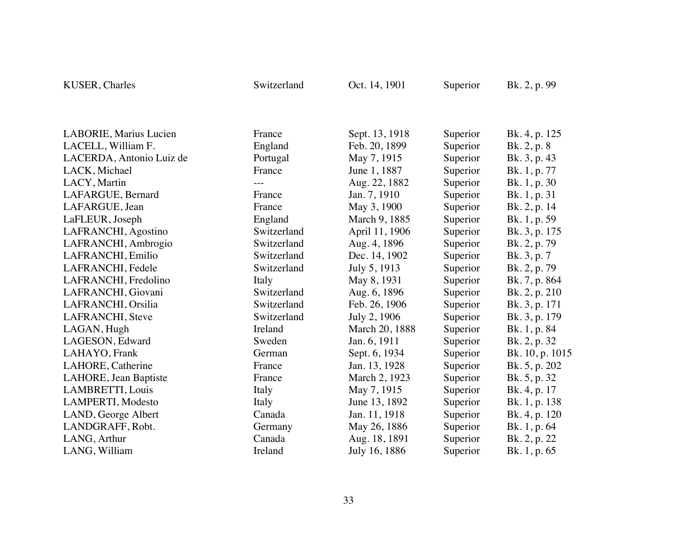| KUSER, Charles           | Switzerland | Oct. 14, 1901  | Superior | Bk. 2, p. 99    |  |
|--------------------------|-------------|----------------|----------|-----------------|--|
|                          |             |                |          |                 |  |
| LABORIE, Marius Lucien   | France      | Sept. 13, 1918 | Superior | Bk. 4, p. 125   |  |
| LACELL, William F.       | England     | Feb. 20, 1899  | Superior | Bk. 2, p. 8     |  |
| LACERDA, Antonio Luiz de | Portugal    | May 7, 1915    | Superior | Bk. 3, p. 43    |  |
| LACK, Michael            | France      | June 1, 1887   | Superior | Bk. 1, p. 77    |  |
| LACY, Martin             |             | Aug. 22, 1882  | Superior | Bk. 1, p. 30    |  |
| LAFARGUE, Bernard        | France      | Jan. 7, 1910   | Superior | Bk. 1, p. 31    |  |
| LAFARGUE, Jean           | France      | May 3, 1900    | Superior | Bk. 2, p. 14    |  |
| LaFLEUR, Joseph          | England     | March 9, 1885  | Superior | Bk. 1, p. 59    |  |
| LAFRANCHI, Agostino      | Switzerland | April 11, 1906 | Superior | Bk. 3, p. 175   |  |
| LAFRANCHI, Ambrogio      | Switzerland | Aug. 4, 1896   | Superior | Bk. 2, p. 79    |  |
| LAFRANCHI, Emilio        | Switzerland | Dec. 14, 1902  | Superior | Bk. 3, p. 7     |  |
| LAFRANCHI, Fedele        | Switzerland | July 5, 1913   | Superior | Bk. 2, p. 79    |  |
| LAFRANCHI, Fredolino     | Italy       | May 8, 1931    | Superior | Bk. 7, p. 864   |  |
| LAFRANCHI, Giovani       | Switzerland | Aug. 6, 1896   | Superior | Bk. 2, p. 210   |  |
| LAFRANCHI, Orsilia       | Switzerland | Feb. 26, 1906  | Superior | Bk. 3, p. 171   |  |
| LAFRANCHI, Steve         | Switzerland | July 2, 1906   | Superior | Bk. 3, p. 179   |  |
| LAGAN, Hugh              | Ireland     | March 20, 1888 | Superior | Bk. 1, p. 84    |  |
| LAGESON, Edward          | Sweden      | Jan. 6, 1911   | Superior | Bk. 2, p. 32    |  |
| LAHAYO, Frank            | German      | Sept. 6, 1934  | Superior | Bk. 10, p. 1015 |  |
| LAHORE, Catherine        | France      | Jan. 13, 1928  | Superior | Bk. 5, p. 202   |  |
| LAHORE, Jean Baptiste    | France      | March 2, 1923  | Superior | Bk. 5, p. 32    |  |
| LAMBRETTI, Louis         | Italy       | May 7, 1915    | Superior | Bk. 4, p. 17    |  |
| LAMPERTI, Modesto        | Italy       | June 13, 1892  | Superior | Bk. 1, p. 138   |  |
| LAND, George Albert      | Canada      | Jan. 11, 1918  | Superior | Bk. 4, p. 120   |  |
| LANDGRAFF, Robt.         | Germany     | May 26, 1886   | Superior | Bk. 1, p. 64    |  |
| LANG, Arthur             | Canada      | Aug. 18, 1891  | Superior | Bk. 2, p. 22    |  |
| LANG, William            | Ireland     | July 16, 1886  | Superior | Bk. 1, p. 65    |  |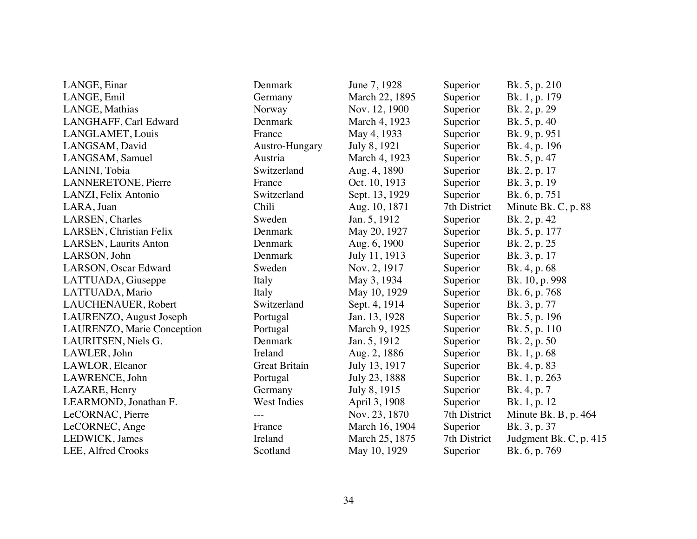| LANGE, Einar                  | Denmark              | June 7, 1928   | Superior     | Bk. 5, p. 210          |
|-------------------------------|----------------------|----------------|--------------|------------------------|
| LANGE, Emil                   | Germany              | March 22, 1895 | Superior     | Bk. 1, p. 179          |
| LANGE, Mathias                | Norway               | Nov. 12, 1900  | Superior     | Bk. 2, p. 29           |
| LANGHAFF, Carl Edward         | Denmark              | March 4, 1923  | Superior     | Bk. 5, p. 40           |
| LANGLAMET, Louis              | France               | May 4, 1933    | Superior     | Bk. 9, p. 951          |
| LANGSAM, David                | Austro-Hungary       | July 8, 1921   | Superior     | Bk. 4, p. 196          |
| LANGSAM, Samuel               | Austria              | March 4, 1923  | Superior     | Bk. 5, p. 47           |
| LANINI, Tobia                 | Switzerland          | Aug. 4, 1890   | Superior     | Bk. 2, p. 17           |
| <b>LANNERETONE, Pierre</b>    | France               | Oct. 10, 1913  | Superior     | Bk. 3, p. 19           |
| LANZI, Felix Antonio          | Switzerland          | Sept. 13, 1929 | Superior     | Bk. 6, p. 751          |
| LARA, Juan                    | Chili                | Aug. 10, 1871  | 7th District | Minute Bk. C, p. 88    |
| LARSEN, Charles               | Sweden               | Jan. 5, 1912   | Superior     | Bk. 2, p. 42           |
| LARSEN, Christian Felix       | Denmark              | May 20, 1927   | Superior     | Bk. 5, p. 177          |
| <b>LARSEN</b> , Laurits Anton | Denmark              | Aug. 6, 1900   | Superior     | Bk. 2, p. 25           |
| LARSON, John                  | Denmark              | July 11, 1913  | Superior     | Bk. 3, p. 17           |
| LARSON, Oscar Edward          | Sweden               | Nov. 2, 1917   | Superior     | Bk. 4, p. 68           |
| LATTUADA, Giuseppe            | Italy                | May 3, 1934    | Superior     | Bk. 10, p. 998         |
| LATTUADA, Mario               | Italy                | May 10, 1929   | Superior     | Bk. 6, p. 768          |
| LAUCHENAUER, Robert           | Switzerland          | Sept. 4, 1914  | Superior     | Bk. 3, p. 77           |
| LAURENZO, August Joseph       | Portugal             | Jan. 13, 1928  | Superior     | Bk. 5, p. 196          |
| LAURENZO, Marie Conception    | Portugal             | March 9, 1925  | Superior     | Bk. 5, p. 110          |
| LAURITSEN, Niels G.           | Denmark              | Jan. 5, 1912   | Superior     | Bk. 2, p. 50           |
| LAWLER, John                  | Ireland              | Aug. 2, 1886   | Superior     | Bk. 1, p. 68           |
| LAWLOR, Eleanor               | <b>Great Britain</b> | July 13, 1917  | Superior     | Bk. 4, p. 83           |
| LAWRENCE, John                | Portugal             | July 23, 1888  | Superior     | Bk. 1, p. 263          |
| LAZARE, Henry                 | Germany              | July 8, 1915   | Superior     | Bk. 4, p. 7            |
| LEARMOND, Jonathan F.         | West Indies          | April 3, 1908  | Superior     | Bk. 1, p. 12           |
| LeCORNAC, Pierre              |                      | Nov. 23, 1870  | 7th District | Minute Bk. B, p. 464   |
| LeCORNEC, Ange                | France               | March 16, 1904 | Superior     | Bk. 3, p. 37           |
| LEDWICK, James                | Ireland              | March 25, 1875 | 7th District | Judgment Bk. C, p. 415 |
| LEE, Alfred Crooks            | Scotland             | May 10, 1929   | Superior     | Bk. 6, p. 769          |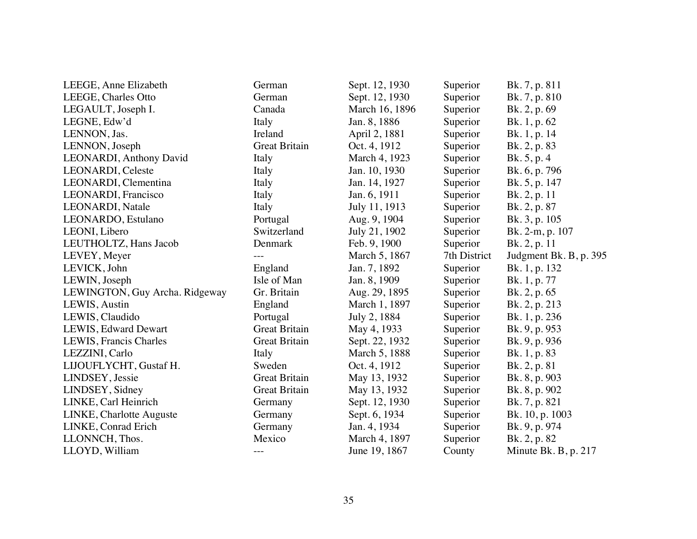| LEEGE, Anne Elizabeth          | German               | Sept. 12, 1930 | Superior     | Bk. 7, p. 811          |
|--------------------------------|----------------------|----------------|--------------|------------------------|
| LEEGE, Charles Otto            | German               | Sept. 12, 1930 | Superior     | Bk. 7, p. 810          |
| LEGAULT, Joseph I.             | Canada               | March 16, 1896 | Superior     | Bk. 2, p. 69           |
| LEGNE, Edw'd                   | Italy                | Jan. 8, 1886   | Superior     | Bk. 1, p. 62           |
| LENNON, Jas.                   | Ireland              | April 2, 1881  | Superior     | Bk. 1, p. 14           |
| LENNON, Joseph                 | <b>Great Britain</b> | Oct. 4, 1912   | Superior     | Bk. 2, p. 83           |
| LEONARDI, Anthony David        | Italy                | March 4, 1923  | Superior     | Bk. 5, p. 4            |
| <b>LEONARDI</b> , Celeste      | Italy                | Jan. 10, 1930  | Superior     | Bk. 6, p. 796          |
| LEONARDI, Clementina           | Italy                | Jan. 14, 1927  | Superior     | Bk. 5, p. 147          |
| LEONARDI, Francisco            | Italy                | Jan. 6, 1911   | Superior     | Bk. 2, p. 11           |
| LEONARDI, Natale               | Italy                | July 11, 1913  | Superior     | Bk. 2, p. 87           |
| LEONARDO, Estulano             | Portugal             | Aug. 9, 1904   | Superior     | Bk. 3, p. 105          |
| LEONI, Libero                  | Switzerland          | July 21, 1902  | Superior     | Bk. 2-m, p. 107        |
| LEUTHOLTZ, Hans Jacob          | Denmark              | Feb. 9, 1900   | Superior     | Bk. 2, p. 11           |
| LEVEY, Meyer                   |                      | March 5, 1867  | 7th District | Judgment Bk. B, p. 395 |
| LEVICK, John                   | England              | Jan. 7, 1892   | Superior     | Bk. 1, p. 132          |
| LEWIN, Joseph                  | Isle of Man          | Jan. 8, 1909   | Superior     | Bk. 1, p. 77           |
| LEWINGTON, Guy Archa. Ridgeway | Gr. Britain          | Aug. 29, 1895  | Superior     | Bk. 2, p. 65           |
| LEWIS, Austin                  | England              | March 1, 1897  | Superior     | Bk. 2, p. 213          |
| LEWIS, Claudido                | Portugal             | July 2, 1884   | Superior     | Bk. 1, p. 236          |
| LEWIS, Edward Dewart           | <b>Great Britain</b> | May 4, 1933    | Superior     | Bk. 9, p. 953          |
| LEWIS, Francis Charles         | <b>Great Britain</b> | Sept. 22, 1932 | Superior     | Bk. 9, p. 936          |
| LEZZINI, Carlo                 | Italy                | March 5, 1888  | Superior     | Bk. 1, p. 83           |
| LIJOUFLYCHT, Gustaf H.         | Sweden               | Oct. 4, 1912   | Superior     | Bk. 2, p. 81           |
| LINDSEY, Jessie                | <b>Great Britain</b> | May 13, 1932   | Superior     | Bk. 8, p. 903          |
| LINDSEY, Sidney                | Great Britain        | May 13, 1932   | Superior     | Bk. 8, p. 902          |
| LINKE, Carl Heinrich           | Germany              | Sept. 12, 1930 | Superior     | Bk. 7, p. 821          |
| LINKE, Charlotte Auguste       | Germany              | Sept. 6, 1934  | Superior     | Bk. 10, p. 1003        |
| LINKE, Conrad Erich            | Germany              | Jan. 4, 1934   | Superior     | Bk. 9, p. 974          |
| LLONNCH, Thos.                 | Mexico               | March 4, 1897  | Superior     | Bk. 2, p. 82           |
| LLOYD, William                 | $- - -$              | June 19, 1867  | County       | Minute Bk. B, p. 217   |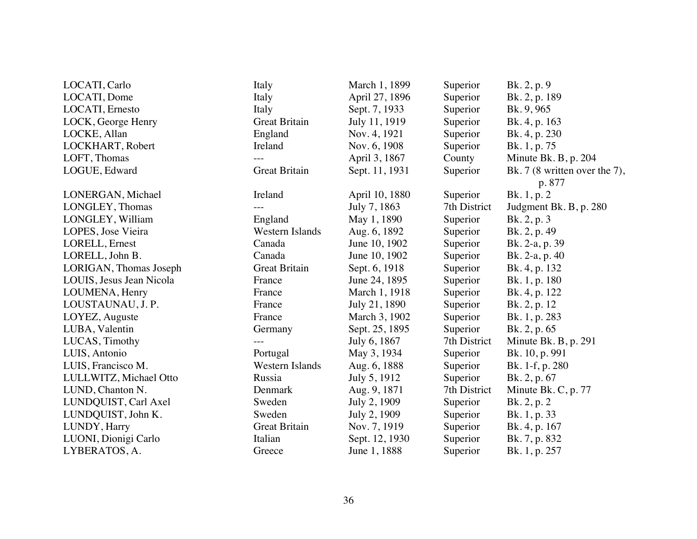| LOCATI, Carlo            | Italy                | March 1, 1899  | Superior     | Bk. 2, p. 9                    |
|--------------------------|----------------------|----------------|--------------|--------------------------------|
| LOCATI, Dome             | Italy                | April 27, 1896 | Superior     | Bk. 2, p. 189                  |
| LOCATI, Ernesto          | Italy                | Sept. 7, 1933  | Superior     | Bk. 9, 965                     |
| LOCK, George Henry       | <b>Great Britain</b> | July 11, 1919  | Superior     | Bk. 4, p. 163                  |
| LOCKE, Allan             | England              | Nov. 4, 1921   | Superior     | Bk. 4, p. 230                  |
| LOCKHART, Robert         | Ireland              | Nov. 6, 1908   | Superior     | Bk. 1, p. 75                   |
| LOFT, Thomas             | $---$                | April 3, 1867  | County       | Minute Bk. B, p. 204           |
| LOGUE, Edward            | <b>Great Britain</b> | Sept. 11, 1931 | Superior     | Bk. $7(8$ written over the 7), |
|                          |                      |                |              | p. 877                         |
| LONERGAN, Michael        | Ireland              | April 10, 1880 | Superior     | Bk. 1, p. 2                    |
| LONGLEY, Thomas          |                      | July 7, 1863   | 7th District | Judgment Bk. B, p. 280         |
| LONGLEY, William         | England              | May 1, 1890    | Superior     | Bk. 2, p. 3                    |
| LOPES, Jose Vieira       | Western Islands      | Aug. 6, 1892   | Superior     | Bk. 2, p. 49                   |
| LORELL, Ernest           | Canada               | June 10, 1902  | Superior     | Bk. 2-a, p. 39                 |
| LORELL, John B.          | Canada               | June 10, 1902  | Superior     | Bk. 2-a, p. 40                 |
| LORIGAN, Thomas Joseph   | <b>Great Britain</b> | Sept. 6, 1918  | Superior     | Bk. 4, p. 132                  |
| LOUIS, Jesus Jean Nicola | France               | June 24, 1895  | Superior     | Bk. 1, p. 180                  |
| LOUMENA, Henry           | France               | March 1, 1918  | Superior     | Bk. 4, p. 122                  |
| LOUSTAUNAU, J. P.        | France               | July 21, 1890  | Superior     | Bk. 2, p. 12                   |
| LOYEZ, Auguste           | France               | March 3, 1902  | Superior     | Bk. 1, p. 283                  |
| LUBA, Valentin           | Germany              | Sept. 25, 1895 | Superior     | Bk. 2, p. 65                   |
| LUCAS, Timothy           | $---$                | July 6, 1867   | 7th District | Minute Bk. B, p. 291           |
| LUIS, Antonio            | Portugal             | May 3, 1934    | Superior     | Bk. 10, p. 991                 |
| LUIS, Francisco M.       | Western Islands      | Aug. 6, 1888   | Superior     | Bk. 1-f, p. 280                |
| LULLWITZ, Michael Otto   | Russia               | July 5, 1912   | Superior     | Bk. 2, p. 67                   |
| LUND, Chanton N.         | Denmark              | Aug. 9, 1871   | 7th District | Minute Bk. C, p. 77            |
| LUNDQUIST, Carl Axel     | Sweden               | July 2, 1909   | Superior     | Bk. 2, p. 2                    |
| LUNDQUIST, John K.       | Sweden               | July 2, 1909   | Superior     | Bk. 1, p. 33                   |
| LUNDY, Harry             | <b>Great Britain</b> | Nov. 7, 1919   | Superior     | Bk. 4, p. 167                  |
| LUONI, Dionigi Carlo     | Italian              | Sept. 12, 1930 | Superior     | Bk. 7, p. 832                  |
| LYBERATOS, A.            | Greece               | June 1, 1888   | Superior     | Bk. 1, p. 257                  |
|                          |                      |                |              |                                |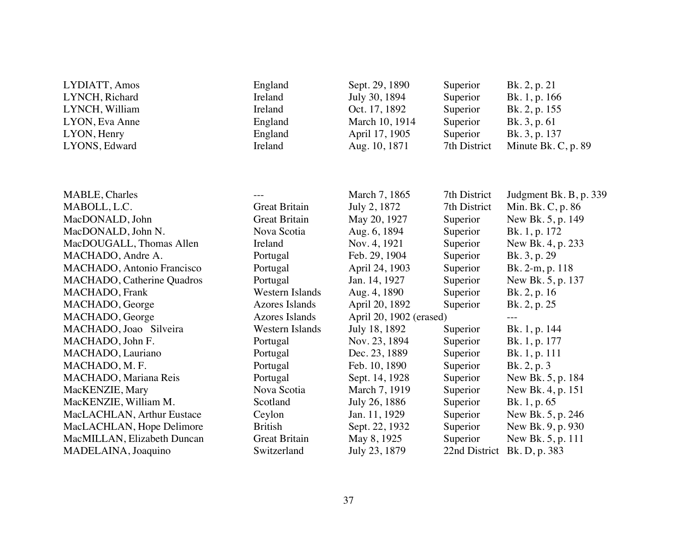| LYDIATT, Amos               | England                | Sept. 29, 1890          | Superior      | Bk. 2, p. 21           |
|-----------------------------|------------------------|-------------------------|---------------|------------------------|
| LYNCH, Richard              | Ireland                | July 30, 1894           | Superior      | Bk. 1, p. 166          |
| LYNCH, William              | Ireland                | Oct. 17, 1892           | Superior      | Bk. 2, p. 155          |
| LYON, Eva Anne              | England                | March 10, 1914          | Superior      | Bk. 3, p. 61           |
| LYON, Henry                 | England                | April 17, 1905          | Superior      | Bk. 3, p. 137          |
| LYONS, Edward               | Ireland                | Aug. 10, 1871           | 7th District  | Minute Bk. C, p. 89    |
|                             |                        |                         |               |                        |
|                             |                        |                         |               |                        |
| <b>MABLE, Charles</b>       |                        | March 7, 1865           | 7th District  | Judgment Bk. B, p. 339 |
| MABOLL, L.C.                | <b>Great Britain</b>   | July 2, 1872            | 7th District  | Min. Bk. C, p. 86      |
| MacDONALD, John             | <b>Great Britain</b>   | May 20, 1927            | Superior      | New Bk. 5, p. 149      |
| MacDONALD, John N.          | Nova Scotia            | Aug. 6, 1894            | Superior      | Bk. 1, p. 172          |
| MacDOUGALL, Thomas Allen    | Ireland                | Nov. 4, 1921            | Superior      | New Bk. 4, p. 233      |
| MACHADO, Andre A.           | Portugal               | Feb. 29, 1904           | Superior      | Bk. 3, p. 29           |
| MACHADO, Antonio Francisco  | Portugal               | April 24, 1903          | Superior      | Bk. 2-m, p. 118        |
| MACHADO, Catherine Quadros  | Portugal               | Jan. 14, 1927           | Superior      | New Bk. 5, p. 137      |
| MACHADO, Frank              | <b>Western Islands</b> | Aug. 4, 1890            | Superior      | Bk. 2, p. 16           |
| MACHADO, George             | <b>Azores Islands</b>  | April 20, 1892          | Superior      | Bk. 2, p. 25           |
| MACHADO, George             | <b>Azores Islands</b>  | April 20, 1902 (erased) |               |                        |
| MACHADO, Joao Silveira      | Western Islands        | July 18, 1892           | Superior      | Bk. 1, p. 144          |
| MACHADO, John F.            | Portugal               | Nov. 23, 1894           | Superior      | Bk. 1, p. 177          |
| MACHADO, Lauriano           | Portugal               | Dec. 23, 1889           | Superior      | Bk. 1, p. 111          |
| MACHADO, M. F.              | Portugal               | Feb. 10, 1890           | Superior      | Bk. $2, p. 3$          |
| MACHADO, Mariana Reis       | Portugal               | Sept. 14, 1928          | Superior      | New Bk. 5, p. 184      |
| MacKENZIE, Mary             | Nova Scotia            | March 7, 1919           | Superior      | New Bk. 4, p. 151      |
| MacKENZIE, William M.       | Scotland               | July 26, 1886           | Superior      | Bk. 1, p. 65           |
| MacLACHLAN, Arthur Eustace  | Ceylon                 | Jan. 11, 1929           | Superior      | New Bk. 5, p. 246      |
| MacLACHLAN, Hope Delimore   | <b>British</b>         | Sept. 22, 1932          | Superior      | New Bk. 9, p. 930      |
| MacMILLAN, Elizabeth Duncan | <b>Great Britain</b>   | May 8, 1925             | Superior      | New Bk. 5, p. 111      |
| MADELAINA, Joaquino         | Switzerland            | July 23, 1879           | 22nd District | Bk. D, p. 383          |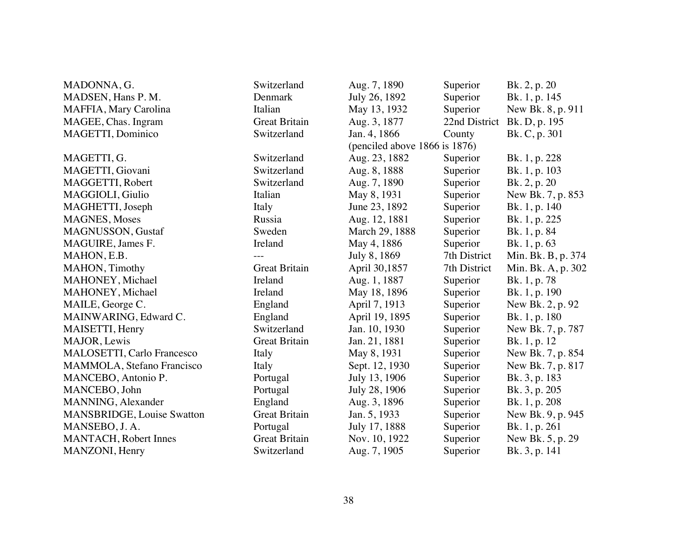| MADONNA, G.                       | Switzerland          | Aug. 7, 1890                  | Superior      | Bk. 2, p. 20       |
|-----------------------------------|----------------------|-------------------------------|---------------|--------------------|
| MADSEN, Hans P.M.                 | Denmark              | July 26, 1892                 | Superior      | Bk. 1, p. 145      |
| MAFFIA, Mary Carolina             | Italian              | May 13, 1932                  | Superior      | New Bk. 8, p. 911  |
| MAGEE, Chas. Ingram               | <b>Great Britain</b> | Aug. 3, 1877                  | 22nd District | Bk. D, p. 195      |
| MAGETTI, Dominico                 | Switzerland          | Jan. 4, 1866                  | County        | Bk. C, p. 301      |
|                                   |                      | (penciled above 1866 is 1876) |               |                    |
| MAGETTI, G.                       | Switzerland          | Aug. 23, 1882                 | Superior      | Bk. 1, p. 228      |
| MAGETTI, Giovani                  | Switzerland          | Aug. 8, 1888                  | Superior      | Bk. 1, p. 103      |
| MAGGETTI, Robert                  | Switzerland          | Aug. 7, 1890                  | Superior      | Bk. 2, p. 20       |
| MAGGIOLI, Giulio                  | Italian              | May 8, 1931                   | Superior      | New Bk. 7, p. 853  |
| MAGHETTI, Joseph                  | Italy                | June 23, 1892                 | Superior      | Bk. 1, p. 140      |
| <b>MAGNES</b> , Moses             | Russia               | Aug. 12, 1881                 | Superior      | Bk. 1, p. 225      |
| MAGNUSSON, Gustaf                 | Sweden               | March 29, 1888                | Superior      | Bk. 1, p. 84       |
| MAGUIRE, James F.                 | Ireland              | May 4, 1886                   | Superior      | Bk. 1, p. 63       |
| MAHON, E.B.                       |                      | July 8, 1869                  | 7th District  | Min. Bk. B, p. 374 |
| MAHON, Timothy                    | <b>Great Britain</b> | April 30,1857                 | 7th District  | Min. Bk. A, p. 302 |
| MAHONEY, Michael                  | Ireland              | Aug. 1, 1887                  | Superior      | Bk. 1, p. 78       |
| MAHONEY, Michael                  | Ireland              | May 18, 1896                  | Superior      | Bk. 1, p. 190      |
| MAILE, George C.                  | England              | April 7, 1913                 | Superior      | New Bk. 2, p. 92   |
| MAINWARING, Edward C.             | England              | April 19, 1895                | Superior      | Bk. 1, p. 180      |
| MAISETTI, Henry                   | Switzerland          | Jan. 10, 1930                 | Superior      | New Bk. 7, p. 787  |
| MAJOR, Lewis                      | <b>Great Britain</b> | Jan. 21, 1881                 | Superior      | Bk. 1, p. 12       |
| <b>MALOSETTI, Carlo Francesco</b> | Italy                | May 8, 1931                   | Superior      | New Bk. 7, p. 854  |
| MAMMOLA, Stefano Francisco        | Italy                | Sept. 12, 1930                | Superior      | New Bk. 7, p. 817  |
| MANCEBO, Antonio P.               | Portugal             | July 13, 1906                 | Superior      | Bk. 3, p. 183      |
| MANCEBO, John                     | Portugal             | July 28, 1906                 | Superior      | Bk. 3, p. 205      |
| MANNING, Alexander                | England              | Aug. 3, 1896                  | Superior      | Bk. 1, p. 208      |
| <b>MANSBRIDGE, Louise Swatton</b> | <b>Great Britain</b> | Jan. 5, 1933                  | Superior      | New Bk. 9, p. 945  |
| MANSEBO, J. A.                    | Portugal             | July 17, 1888                 | Superior      | Bk. 1, p. 261      |
| <b>MANTACH</b> , Robert Innes     | <b>Great Britain</b> | Nov. 10, 1922                 | Superior      | New Bk. 5, p. 29   |
| MANZONI, Henry                    | Switzerland          | Aug. 7, 1905                  | Superior      | Bk. 3, p. 141      |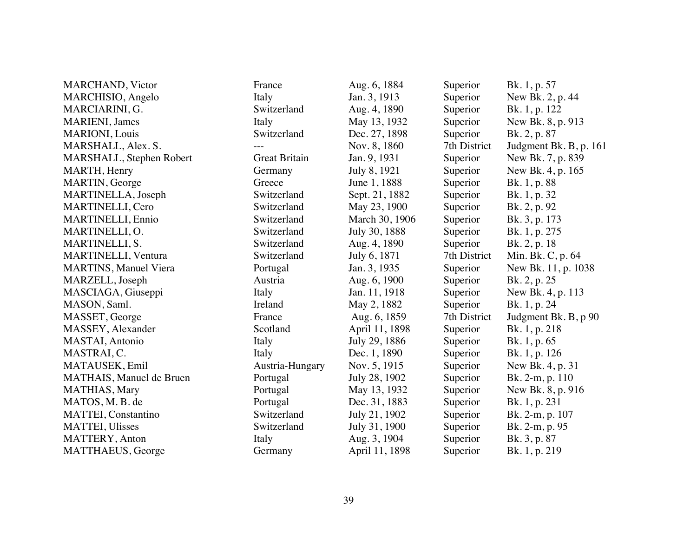| <b>MARCHAND</b> , Victor        | France               | Aug. 6, 1884   | Superior     | Bk. 1, p. 57           |
|---------------------------------|----------------------|----------------|--------------|------------------------|
| MARCHISIO, Angelo               | Italy                | Jan. 3, 1913   | Superior     | New Bk. 2, p. 44       |
| MARCIARINI, G.                  | Switzerland          | Aug. 4, 1890   | Superior     | Bk. 1, p. 122          |
| <b>MARIENI</b> , James          | Italy                | May 13, 1932   | Superior     | New Bk. 8, p. 913      |
| <b>MARIONI</b> , Louis          | Switzerland          | Dec. 27, 1898  | Superior     | Bk. 2, p. 87           |
| MARSHALL, Alex. S.              |                      | Nov. 8, 1860   | 7th District | Judgment Bk. B, p. 161 |
| MARSHALL, Stephen Robert        | <b>Great Britain</b> | Jan. 9, 1931   | Superior     | New Bk. 7, p. 839      |
| MARTH, Henry                    | Germany              | July 8, 1921   | Superior     | New Bk. 4, p. 165      |
| MARTIN, George                  | Greece               | June 1, 1888   | Superior     | Bk. 1, p. 88           |
| MARTINELLA, Joseph              | Switzerland          | Sept. 21, 1882 | Superior     | Bk. 1, p. 32           |
| MARTINELLI, Cero                | Switzerland          | May 23, 1900   | Superior     | Bk. 2, p. 92           |
| <b>MARTINELLI</b> , Ennio       | Switzerland          | March 30, 1906 | Superior     | Bk. 3, p. 173          |
| MARTINELLI, O.                  | Switzerland          | July 30, 1888  | Superior     | Bk. 1, p. 275          |
| MARTINELLI, S.                  | Switzerland          | Aug. 4, 1890   | Superior     | Bk. 2, p. 18           |
| <b>MARTINELLI</b> , Ventura     | Switzerland          | July 6, 1871   | 7th District | Min. Bk. C, p. 64      |
| <b>MARTINS, Manuel Viera</b>    | Portugal             | Jan. 3, 1935   | Superior     | New Bk. 11, p. 1038    |
| MARZELL, Joseph                 | Austria              | Aug. 6, 1900   | Superior     | Bk. 2, p. 25           |
| MASCIAGA, Giuseppi              | Italy                | Jan. 11, 1918  | Superior     | New Bk. 4, p. 113      |
| MASON, Saml.                    | Ireland              | May 2, 1882    | Superior     | Bk. 1, p. 24           |
| MASSET, George                  | France               | Aug. 6, 1859   | 7th District | Judgment Bk. B, p 90   |
| MASSEY, Alexander               | Scotland             | April 11, 1898 | Superior     | Bk. 1, p. 218          |
| MASTAI, Antonio                 | Italy                | July 29, 1886  | Superior     | Bk. 1, p. 65           |
| MASTRAI, C.                     | Italy                | Dec. 1, 1890   | Superior     | Bk. 1, p. 126          |
| MATAUSEK, Emil                  | Austria-Hungary      | Nov. 5, 1915   | Superior     | New Bk. 4, p. 31       |
| <b>MATHAIS, Manuel de Bruen</b> | Portugal             | July 28, 1902  | Superior     | Bk. 2-m, p. 110        |
| MATHIAS, Mary                   | Portugal             | May 13, 1932   | Superior     | New Bk. 8, p. 916      |
| MATOS, M. B. de                 | Portugal             | Dec. 31, 1883  | Superior     | Bk. 1, p. 231          |
| <b>MATTEI, Constantino</b>      | Switzerland          | July 21, 1902  | Superior     | Bk. 2-m, p. 107        |
| <b>MATTEI, Ulisses</b>          | Switzerland          | July 31, 1900  | Superior     | Bk. 2-m, p. 95         |
| <b>MATTERY, Anton</b>           | Italy                | Aug. 3, 1904   | Superior     | Bk. 3, p. 87           |
| MATTHAEUS, George               | Germany              | April 11, 1898 | Superior     | Bk. 1, p. 219          |
|                                 |                      |                |              |                        |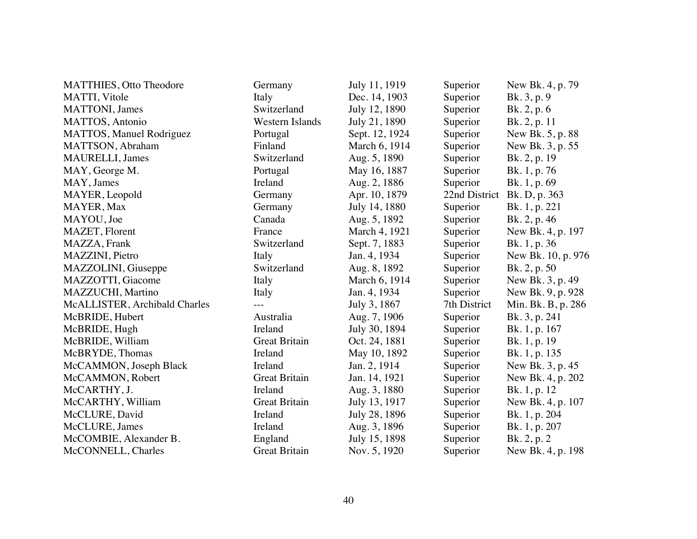| <b>MATTHIES, Otto Theodore</b> | Germany              | July 11, 1919  | Superior      | New Bk. 4, p. 79   |
|--------------------------------|----------------------|----------------|---------------|--------------------|
| MATTI, Vitole                  | Italy                | Dec. 14, 1903  | Superior      | Bk. 3, p. 9        |
| <b>MATTONI</b> , James         | Switzerland          | July 12, 1890  | Superior      | Bk. 2, p. 6        |
| MATTOS, Antonio                | Western Islands      | July 21, 1890  | Superior      | Bk. 2, p. 11       |
| MATTOS, Manuel Rodriguez       | Portugal             | Sept. 12, 1924 | Superior      | New Bk. 5, p. 88   |
| MATTSON, Abraham               | Finland              | March 6, 1914  | Superior      | New Bk. 3, p. 55   |
| <b>MAURELLI</b> , James        | Switzerland          | Aug. 5, 1890   | Superior      | Bk. 2, p. 19       |
| MAY, George M.                 | Portugal             | May 16, 1887   | Superior      | Bk. 1, p. 76       |
| MAY, James                     | Ireland              | Aug. 2, 1886   | Superior      | Bk. 1, p. 69       |
| MAYER, Leopold                 | Germany              | Apr. 10, 1879  | 22nd District | Bk. D, p. 363      |
| MAYER, Max                     | Germany              | July 14, 1880  | Superior      | Bk. 1, p. 221      |
| MAYOU, Joe                     | Canada               | Aug. 5, 1892   | Superior      | Bk. 2, p. 46       |
| MAZET, Florent                 | France               | March 4, 1921  | Superior      | New Bk. 4, p. 197  |
| MAZZA, Frank                   | Switzerland          | Sept. 7, 1883  | Superior      | Bk. 1, p. 36       |
| MAZZINI, Pietro                | Italy                | Jan. 4, 1934   | Superior      | New Bk. 10, p. 976 |
| MAZZOLINI, Giuseppe            | Switzerland          | Aug. 8, 1892   | Superior      | Bk. 2, p. 50       |
| MAZZOTTI, Giacome              | Italy                | March 6, 1914  | Superior      | New Bk. 3, p. 49   |
| MAZZUCHI, Martino              | Italy                | Jan. 4, 1934   | Superior      | New Bk. 9, p. 928  |
| McALLISTER, Archibald Charles  |                      | July 3, 1867   | 7th District  | Min. Bk. B, p. 286 |
| McBRIDE, Hubert                | Australia            | Aug. 7, 1906   | Superior      | Bk. 3, p. 241      |
| McBRIDE, Hugh                  | Ireland              | July 30, 1894  | Superior      | Bk. 1, p. 167      |
| McBRIDE, William               | <b>Great Britain</b> | Oct. 24, 1881  | Superior      | Bk. 1, p. 19       |
| McBRYDE, Thomas                | Ireland              | May 10, 1892   | Superior      | Bk. 1, p. 135      |
| McCAMMON, Joseph Black         | Ireland              | Jan. 2, 1914   | Superior      | New Bk. 3, p. 45   |
| McCAMMON, Robert               | <b>Great Britain</b> | Jan. 14, 1921  | Superior      | New Bk. 4, p. 202  |
| McCARTHY, J.                   | Ireland              | Aug. 3, 1880   | Superior      | Bk. 1, p. 12       |
| McCARTHY, William              | <b>Great Britain</b> | July 13, 1917  | Superior      | New Bk. 4, p. 107  |
| McCLURE, David                 | Ireland              | July 28, 1896  | Superior      | Bk. 1, p. 204      |
| McCLURE, James                 | Ireland              | Aug. 3, 1896   | Superior      | Bk. 1, p. 207      |
| McCOMBIE, Alexander B.         | England              | July 15, 1898  | Superior      | Bk. 2, p. 2        |
| McCONNELL, Charles             | <b>Great Britain</b> | Nov. 5, 1920   | Superior      | New Bk. 4, p. 198  |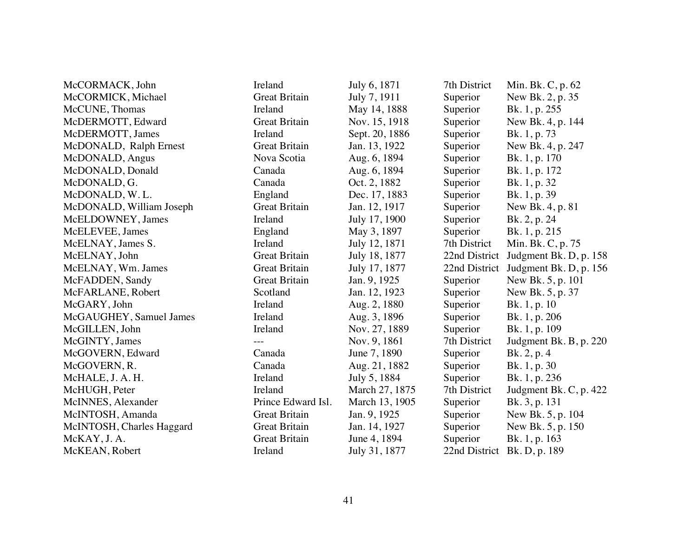| McCORMACK, John           | Ireland              | July 6, 1871   | 7th District  | Min. Bk. C, p. 62           |
|---------------------------|----------------------|----------------|---------------|-----------------------------|
| McCORMICK, Michael        | <b>Great Britain</b> | July 7, 1911   | Superior      | New Bk. 2, p. 35            |
| McCUNE, Thomas            | Ireland              | May 14, 1888   | Superior      | Bk. 1, p. 255               |
| McDERMOTT, Edward         | <b>Great Britain</b> | Nov. 15, 1918  | Superior      | New Bk. 4, p. 144           |
| McDERMOTT, James          | Ireland              | Sept. 20, 1886 | Superior      | Bk. 1, p. 73                |
| McDONALD, Ralph Ernest    | <b>Great Britain</b> | Jan. 13, 1922  | Superior      | New Bk. 4, p. 247           |
| McDONALD, Angus           | Nova Scotia          | Aug. 6, 1894   | Superior      | Bk. 1, p. 170               |
| McDONALD, Donald          | Canada               | Aug. 6, 1894   | Superior      | Bk. 1, p. 172               |
| McDONALD, G.              | Canada               | Oct. 2, 1882   | Superior      | Bk. 1, p. 32                |
| McDONALD, W.L.            | England              | Dec. 17, 1883  | Superior      | Bk. 1, p. 39                |
| McDONALD, William Joseph  | <b>Great Britain</b> | Jan. 12, 1917  | Superior      | New Bk. 4, p. 81            |
| McELDOWNEY, James         | Ireland              | July 17, 1900  | Superior      | Bk. 2, p. 24                |
| McELEVEE, James           | England              | May 3, 1897    | Superior      | Bk. 1, p. 215               |
| McELNAY, James S.         | Ireland              | July 12, 1871  | 7th District  | Min. Bk. C, p. 75           |
| McELNAY, John             | <b>Great Britain</b> | July 18, 1877  | 22nd District | Judgment Bk. D, p. 158      |
| McELNAY, Wm. James        | <b>Great Britain</b> | July 17, 1877  | 22nd District | Judgment Bk. D, p. 156      |
| McFADDEN, Sandy           | <b>Great Britain</b> | Jan. 9, 1925   | Superior      | New Bk. 5, p. 101           |
| McFARLANE, Robert         | Scotland             | Jan. 12, 1923  | Superior      | New Bk. 5, p. 37            |
| McGARY, John              | Ireland              | Aug. 2, 1880   | Superior      | Bk. 1, p. 10                |
| McGAUGHEY, Samuel James   | Ireland              | Aug. 3, 1896   | Superior      | Bk. 1, p. 206               |
| McGILLEN, John            | Ireland              | Nov. 27, 1889  | Superior      | Bk. 1, p. 109               |
| McGINTY, James            | $\overline{a}$       | Nov. 9, 1861   | 7th District  | Judgment Bk. B, p. 220      |
| McGOVERN, Edward          | Canada               | June 7, 1890   | Superior      | Bk. 2, p. 4                 |
| McGOVERN, R.              | Canada               | Aug. 21, 1882  | Superior      | Bk. 1, p. 30                |
| McHALE, J. A. H.          | Ireland              | July 5, 1884   | Superior      | Bk. 1, p. 236               |
| McHUGH, Peter             | Ireland              | March 27, 1875 | 7th District  | Judgment Bk. C, p. 422      |
| McINNES, Alexander        | Prince Edward Isl.   | March 13, 1905 | Superior      | Bk. 3, p. 131               |
| McINTOSH, Amanda          | <b>Great Britain</b> | Jan. 9, 1925   | Superior      | New Bk. 5, p. 104           |
| McINTOSH, Charles Haggard | <b>Great Britain</b> | Jan. 14, 1927  | Superior      | New Bk. 5, p. 150           |
| McKAY, J.A.               | <b>Great Britain</b> | June 4, 1894   | Superior      | Bk. 1, p. 163               |
| McKEAN, Robert            | Ireland              | July 31, 1877  |               | 22nd District Bk. D, p. 189 |
|                           |                      |                |               |                             |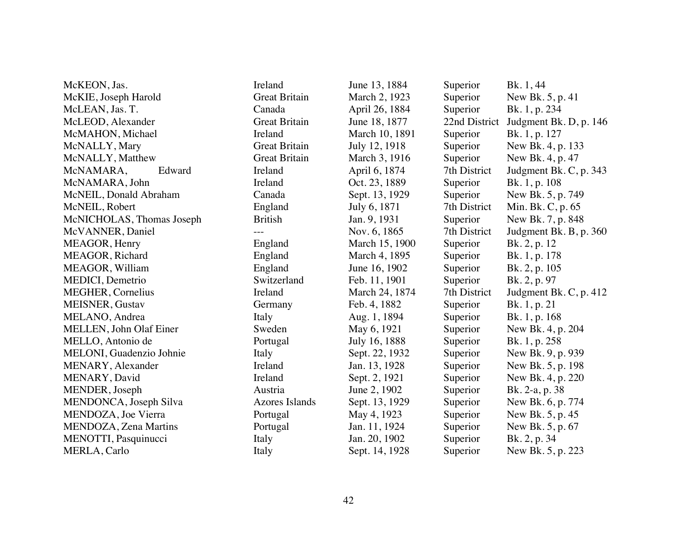| McKEON, Jas.              | Ireland              | June 13, 1884  | Superior      | Bk. 1, 44              |
|---------------------------|----------------------|----------------|---------------|------------------------|
| McKIE, Joseph Harold      | <b>Great Britain</b> | March 2, 1923  | Superior      | New Bk. 5, p. 41       |
| McLEAN, Jas. T.           | Canada               | April 26, 1884 | Superior      | Bk. 1, p. 234          |
| McLEOD, Alexander         | <b>Great Britain</b> | June 18, 1877  | 22nd District | Judgment Bk. D, p. 146 |
| McMAHON, Michael          | Ireland              | March 10, 1891 | Superior      | Bk. 1, p. 127          |
| McNALLY, Mary             | <b>Great Britain</b> | July 12, 1918  | Superior      | New Bk. 4, p. 133      |
| McNALLY, Matthew          | <b>Great Britain</b> | March 3, 1916  | Superior      | New Bk. 4, p. 47       |
| McNAMARA,<br>Edward       | Ireland              | April 6, 1874  | 7th District  | Judgment Bk. C, p. 343 |
| McNAMARA, John            | Ireland              | Oct. 23, 1889  | Superior      | Bk. 1, p. 108          |
| McNEIL, Donald Abraham    | Canada               | Sept. 13, 1929 | Superior      | New Bk. 5, p. 749      |
| McNEIL, Robert            | England              | July 6, 1871   | 7th District  | Min. Bk. C, p. 65      |
| McNICHOLAS, Thomas Joseph | <b>British</b>       | Jan. 9, 1931   | Superior      | New Bk. 7, p. 848      |
| McVANNER, Daniel          | ---                  | Nov. 6, 1865   | 7th District  | Judgment Bk. B, p. 360 |
| MEAGOR, Henry             | England              | March 15, 1900 | Superior      | Bk. 2, p. 12           |
| MEAGOR, Richard           | England              | March 4, 1895  | Superior      | Bk. 1, p. 178          |
| MEAGOR, William           | England              | June 16, 1902  | Superior      | Bk. 2, p. 105          |
| MEDICI, Demetrio          | Switzerland          | Feb. 11, 1901  | Superior      | Bk. 2, p. 97           |
| <b>MEGHER, Cornelius</b>  | Ireland              | March 24, 1874 | 7th District  | Judgment Bk. C, p. 412 |
| <b>MEISNER, Gustav</b>    | Germany              | Feb. 4, 1882   | Superior      | Bk. 1, p. 21           |
| MELANO, Andrea            | Italy                | Aug. 1, 1894   | Superior      | Bk. 1, p. 168          |
| MELLEN, John Olaf Einer   | Sweden               | May 6, 1921    | Superior      | New Bk. 4, p. 204      |
| MELLO, Antonio de         | Portugal             | July 16, 1888  | Superior      | Bk. 1, p. 258          |
| MELONI, Guadenzio Johnie  | Italy                | Sept. 22, 1932 | Superior      | New Bk. 9, p. 939      |
| MENARY, Alexander         | Ireland              | Jan. 13, 1928  | Superior      | New Bk. 5, p. 198      |
| MENARY, David             | Ireland              | Sept. 2, 1921  | Superior      | New Bk. 4, p. 220      |
| MENDER, Joseph            | Austria              | June 2, 1902   | Superior      | Bk. 2-a, p. 38         |
| MENDONCA, Joseph Silva    | Azores Islands       | Sept. 13, 1929 | Superior      | New Bk. 6, p. 774      |
| MENDOZA, Joe Vierra       | Portugal             | May 4, 1923    | Superior      | New Bk. 5, p. 45       |
| MENDOZA, Zena Martins     | Portugal             | Jan. 11, 1924  | Superior      | New Bk. 5, p. 67       |
| MENOTTI, Pasquinucci      | Italy                | Jan. 20, 1902  | Superior      | Bk. 2, p. 34           |
| MERLA, Carlo              | Italy                | Sept. 14, 1928 | Superior      | New Bk. 5, p. 223      |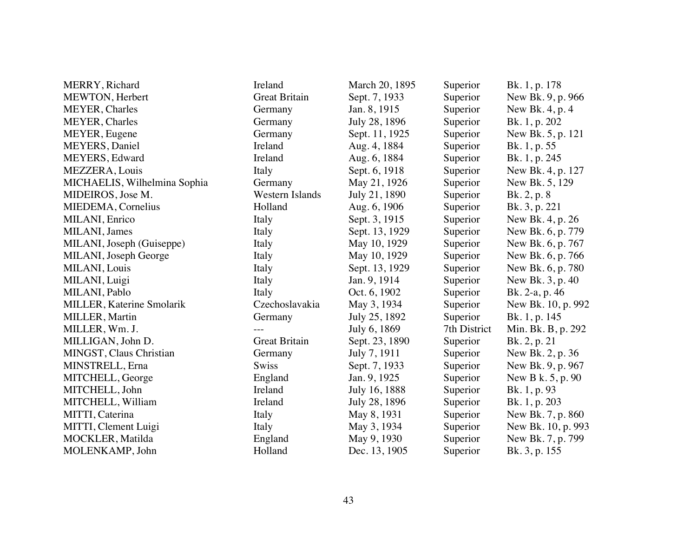| MERRY, Richard               | Ireland                | March 20, 1895 | Superior     | Bk. 1, p. 178      |
|------------------------------|------------------------|----------------|--------------|--------------------|
| MEWTON, Herbert              | <b>Great Britain</b>   | Sept. 7, 1933  | Superior     | New Bk. 9, p. 966  |
| <b>MEYER, Charles</b>        | Germany                | Jan. 8, 1915   | Superior     | New Bk. 4, p. 4    |
| <b>MEYER, Charles</b>        | Germany                | July 28, 1896  | Superior     | Bk. 1, p. 202      |
| MEYER, Eugene                | Germany                | Sept. 11, 1925 | Superior     | New Bk. 5, p. 121  |
| MEYERS, Daniel               | Ireland                | Aug. 4, 1884   | Superior     | Bk. 1, p. 55       |
| MEYERS, Edward               | Ireland                | Aug. 6, 1884   | Superior     | Bk. 1, p. 245      |
| MEZZERA, Louis               | Italy                  | Sept. 6, 1918  | Superior     | New Bk. 4, p. 127  |
| MICHAELIS, Wilhelmina Sophia | Germany                | May 21, 1926   | Superior     | New Bk. 5, 129     |
| MIDEIROS, Jose M.            | <b>Western Islands</b> | July 21, 1890  | Superior     | Bk. 2, p. 8        |
| MIEDEMA, Cornelius           | Holland                | Aug. 6, 1906   | Superior     | Bk. 3, p. 221      |
| MILANI, Enrico               | Italy                  | Sept. 3, 1915  | Superior     | New Bk. 4, p. 26   |
| MILANI, James                | Italy                  | Sept. 13, 1929 | Superior     | New Bk. 6, p. 779  |
| MILANI, Joseph (Guiseppe)    | Italy                  | May 10, 1929   | Superior     | New Bk. 6, p. 767  |
| MILANI, Joseph George        | Italy                  | May 10, 1929   | Superior     | New Bk. 6, p. 766  |
| MILANI, Louis                | Italy                  | Sept. 13, 1929 | Superior     | New Bk. 6, p. 780  |
| MILANI, Luigi                | Italy                  | Jan. 9, 1914   | Superior     | New Bk. 3, p. 40   |
| MILANI, Pablo                | Italy                  | Oct. 6, 1902   | Superior     | Bk. 2-a, p. 46     |
| MILLER, Katerine Smolarik    | Czechoslavakia         | May 3, 1934    | Superior     | New Bk. 10, p. 992 |
| MILLER, Martin               | Germany                | July 25, 1892  | Superior     | Bk. 1, p. 145      |
| MILLER, Wm. J.               | $---$                  | July 6, 1869   | 7th District | Min. Bk. B, p. 292 |
| MILLIGAN, John D.            | <b>Great Britain</b>   | Sept. 23, 1890 | Superior     | Bk. 2, p. 21       |
| MINGST, Claus Christian      | Germany                | July 7, 1911   | Superior     | New Bk. 2, p. 36   |
| MINSTRELL, Erna              | <b>Swiss</b>           | Sept. 7, 1933  | Superior     | New Bk. 9, p. 967  |
| MITCHELL, George             | England                | Jan. 9, 1925   | Superior     | New B k. 5, p. 90  |
| MITCHELL, John               | Ireland                | July 16, 1888  | Superior     | Bk. 1, p. 93       |
| MITCHELL, William            | Ireland                | July 28, 1896  | Superior     | Bk. 1, p. 203      |
| MITTI, Caterina              | Italy                  | May 8, 1931    | Superior     | New Bk. 7, p. 860  |
| MITTI, Clement Luigi         | Italy                  | May 3, 1934    | Superior     | New Bk. 10, p. 993 |
| MOCKLER, Matilda             | England                | May 9, 1930    | Superior     | New Bk. 7, p. 799  |
| MOLENKAMP, John              | Holland                | Dec. 13, 1905  | Superior     | Bk. 3, p. 155      |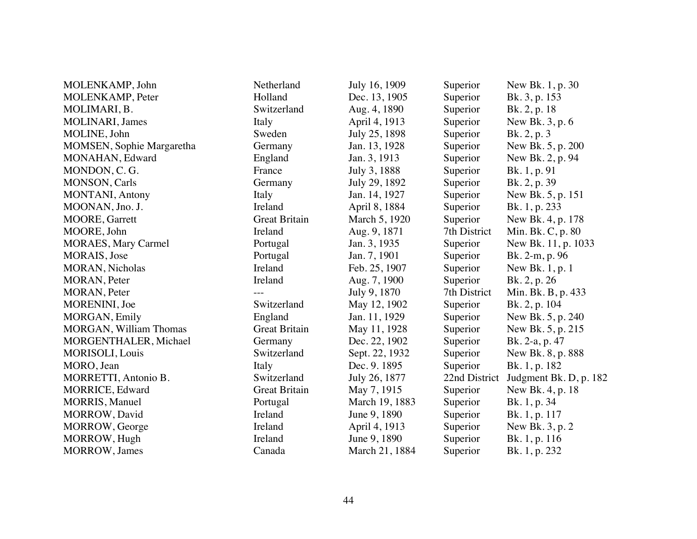| MOLENKAMP, John                  | Netherland           | July 16, 1909  | Superior      | New Bk. 1, p. 30       |
|----------------------------------|----------------------|----------------|---------------|------------------------|
| MOLENKAMP, Peter                 | Holland              | Dec. 13, 1905  | Superior      | Bk. 3, p. 153          |
| MOLIMARI, B.                     | Switzerland          | Aug. 4, 1890   | Superior      | Bk. 2, p. 18           |
| MOLINARI, James                  | Italy                | April 4, 1913  | Superior      | New Bk. 3, p. 6        |
| MOLINE, John                     | Sweden               | July 25, 1898  | Superior      | Bk. 2, p. 3            |
| <b>MOMSEN, Sophie Margaretha</b> | Germany              | Jan. 13, 1928  | Superior      | New Bk. 5, p. 200      |
| MONAHAN, Edward                  | England              | Jan. 3, 1913   | Superior      | New Bk. 2, p. 94       |
| MONDON, C.G.                     | France               | July 3, 1888   | Superior      | Bk. 1, p. 91           |
| <b>MONSON</b> , Carls            | Germany              | July 29, 1892  | Superior      | Bk. 2, p. 39           |
| <b>MONTANI</b> , Antony          | Italy                | Jan. 14, 1927  | Superior      | New Bk. 5, p. 151      |
| MOONAN, Jno. J.                  | Ireland              | April 8, 1884  | Superior      | Bk. 1, p. 233          |
| <b>MOORE, Garrett</b>            | <b>Great Britain</b> | March 5, 1920  | Superior      | New Bk. 4, p. 178      |
| MOORE, John                      | Ireland              | Aug. 9, 1871   | 7th District  | Min. Bk. C, p. 80      |
| <b>MORAES, Mary Carmel</b>       | Portugal             | Jan. 3, 1935   | Superior      | New Bk. 11, p. 1033    |
| MORAIS, Jose                     | Portugal             | Jan. 7, 1901   | Superior      | Bk. 2-m, p. 96         |
| MORAN, Nicholas                  | Ireland              | Feb. 25, 1907  | Superior      | New Bk. 1, p. 1        |
| MORAN, Peter                     | Ireland              | Aug. 7, 1900   | Superior      | Bk. 2, p. 26           |
| MORAN, Peter                     |                      | July 9, 1870   | 7th District  | Min. Bk. B, p. 433     |
| MORENINI, Joe                    | Switzerland          | May 12, 1902   | Superior      | Bk. 2, p. 104          |
| MORGAN, Emily                    | England              | Jan. 11, 1929  | Superior      | New Bk. 5, p. 240      |
| <b>MORGAN, William Thomas</b>    | <b>Great Britain</b> | May 11, 1928   | Superior      | New Bk. 5, p. 215      |
| MORGENTHALER, Michael            | Germany              | Dec. 22, 1902  | Superior      | Bk. 2-a, p. 47         |
| MORISOLI, Louis                  | Switzerland          | Sept. 22, 1932 | Superior      | New Bk. 8, p. 888      |
| MORO, Jean                       | Italy                | Dec. 9. 1895   | Superior      | Bk. 1, p. 182          |
| MORRETTI, Antonio B.             | Switzerland          | July 26, 1877  | 22nd District | Judgment Bk. D, p. 182 |
| <b>MORRICE, Edward</b>           | <b>Great Britain</b> | May 7, 1915    | Superior      | New Bk. 4, p. 18       |
| <b>MORRIS, Manuel</b>            | Portugal             | March 19, 1883 | Superior      | Bk. 1, p. 34           |
| MORROW, David                    | Ireland              | June 9, 1890   | Superior      | Bk. 1, p. 117          |
| MORROW, George                   | Ireland              | April 4, 1913  | Superior      | New Bk. 3, p. 2        |
| MORROW, Hugh                     | Ireland              | June 9, 1890   | Superior      | Bk. 1, p. 116          |
| <b>MORROW</b> , James            | Canada               | March 21, 1884 | Superior      | Bk. 1, p. 232          |
|                                  |                      |                |               |                        |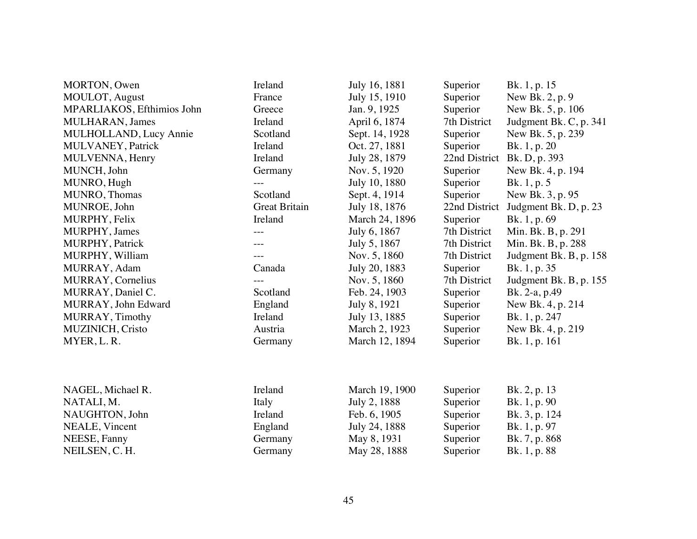| MORTON, Owen               | Ireland              | July 16, 1881  | Superior      | Bk. 1, p. 15           |
|----------------------------|----------------------|----------------|---------------|------------------------|
| MOULOT, August             | France               | July 15, 1910  | Superior      | New Bk. 2, p. 9        |
| MPARLIAKOS, Efthimios John | Greece               | Jan. 9, 1925   | Superior      | New Bk. 5, p. 106      |
| MULHARAN, James            | Ireland              | April 6, 1874  | 7th District  | Judgment Bk. C, p. 341 |
| MULHOLLAND, Lucy Annie     | Scotland             | Sept. 14, 1928 | Superior      | New Bk. 5, p. 239      |
| MULVANEY, Patrick          | Ireland              | Oct. 27, 1881  | Superior      | Bk. 1, p. 20           |
| MULVENNA, Henry            | Ireland              | July 28, 1879  | 22nd District | Bk. D, p. 393          |
| MUNCH, John                | Germany              | Nov. 5, 1920   | Superior      | New Bk. 4, p. 194      |
| MUNRO, Hugh                |                      | July 10, 1880  | Superior      | Bk. 1, p. 5            |
| MUNRO, Thomas              | Scotland             | Sept. 4, 1914  | Superior      | New Bk. 3, p. 95       |
| MUNROE, John               | <b>Great Britain</b> | July 18, 1876  | 22nd District | Judgment Bk. D, p. 23  |
| MURPHY, Felix              | Ireland              | March 24, 1896 | Superior      | Bk. 1, p. 69           |
| MURPHY, James              |                      | July 6, 1867   | 7th District  | Min. Bk. B, p. 291     |
| MURPHY, Patrick            |                      | July 5, 1867   | 7th District  | Min. Bk. B, p. 288     |
| MURPHY, William            |                      | Nov. 5, 1860   | 7th District  | Judgment Bk. B, p. 158 |
| MURRAY, Adam               | Canada               | July 20, 1883  | Superior      | Bk. 1, p. 35           |
| MURRAY, Cornelius          |                      | Nov. 5, 1860   | 7th District  | Judgment Bk. B, p. 155 |
| MURRAY, Daniel C.          | Scotland             | Feb. 24, 1903  | Superior      | Bk. 2-a, p.49          |
| MURRAY, John Edward        | England              | July 8, 1921   | Superior      | New Bk. 4, p. 214      |
| MURRAY, Timothy            | Ireland              | July 13, 1885  | Superior      | Bk. 1, p. 247          |
| MUZINICH, Cristo           | Austria              | March 2, 1923  | Superior      | New Bk. 4, p. 219      |
| MYER, L. R.                | Germany              | March 12, 1894 | Superior      | Bk. 1, p. 161          |
|                            |                      |                |               |                        |
| NAGEL, Michael R.          | Ireland              | March 19, 1900 | Superior      | Bk. 2, p. 13           |
| NATALI, M.                 | Italy                | July 2, 1888   | Superior      | Bk. 1, p. 90           |
| NAUGHTON, John             | Ireland              | Feb. 6, 1905   | Superior      | Bk. 3, p. 124          |
| NEALE, Vincent             | England              | July 24, 1888  | Superior      | Bk. 1, p. 97           |
| NEESE, Fanny               | Germany              | May 8, 1931    | Superior      | Bk. 7, p. 868          |
| NEILSEN, C. H.             | Germany              | May 28, 1888   | Superior      | Bk. 1, p. 88           |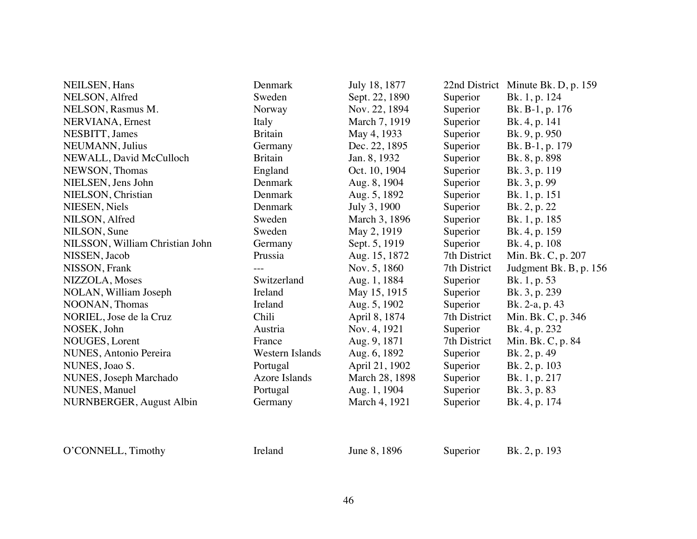| NEILSEN, Hans                   | Denmark         | July 18, 1877  |              | 22nd District Minute Bk. D, p. 159 |
|---------------------------------|-----------------|----------------|--------------|------------------------------------|
| NELSON, Alfred                  | Sweden          | Sept. 22, 1890 | Superior     | Bk. 1, p. 124                      |
| NELSON, Rasmus M.               | Norway          | Nov. 22, 1894  | Superior     | Bk. B-1, p. 176                    |
| NERVIANA, Ernest                | Italy           | March 7, 1919  | Superior     | Bk. 4, p. 141                      |
| NESBITT, James                  | <b>Britain</b>  | May 4, 1933    | Superior     | Bk. 9, p. 950                      |
| NEUMANN, Julius                 | Germany         | Dec. 22, 1895  | Superior     | Bk. B-1, p. 179                    |
| NEWALL, David McCulloch         | <b>Britain</b>  | Jan. 8, 1932   | Superior     | Bk. 8, p. 898                      |
| NEWSON, Thomas                  | England         | Oct. 10, 1904  | Superior     | Bk. 3, p. 119                      |
| NIELSEN, Jens John              | Denmark         | Aug. 8, 1904   | Superior     | Bk. 3, p. 99                       |
| NIELSON, Christian              | Denmark         | Aug. 5, 1892   | Superior     | Bk. 1, p. 151                      |
| NIESEN, Niels                   | Denmark         | July 3, 1900   | Superior     | Bk. 2, p. 22                       |
| NILSON, Alfred                  | Sweden          | March 3, 1896  | Superior     | Bk. 1, p. 185                      |
| NILSON, Sune                    | Sweden          | May 2, 1919    | Superior     | Bk. 4, p. 159                      |
| NILSSON, William Christian John | Germany         | Sept. 5, 1919  | Superior     | Bk. 4, p. 108                      |
| NISSEN, Jacob                   | Prussia         | Aug. 15, 1872  | 7th District | Min. Bk. C, p. 207                 |
| NISSON, Frank                   |                 | Nov. 5, 1860   | 7th District | Judgment Bk. B, p. 156             |
| NIZZOLA, Moses                  | Switzerland     | Aug. 1, 1884   | Superior     | Bk. 1, p. 53                       |
| NOLAN, William Joseph           | Ireland         | May 15, 1915   | Superior     | Bk. 3, p. 239                      |
| NOONAN, Thomas                  | Ireland         | Aug. 5, 1902   | Superior     | Bk. 2-a, p. 43                     |
| NORIEL, Jose de la Cruz         | Chili           | April 8, 1874  | 7th District | Min. Bk. C, p. 346                 |
| NOSEK, John                     | Austria         | Nov. 4, 1921   | Superior     | Bk. 4, p. 232                      |
| NOUGES, Lorent                  | France          | Aug. 9, 1871   | 7th District | Min. Bk. C, p. 84                  |
| NUNES, Antonio Pereira          | Western Islands | Aug. 6, 1892   | Superior     | Bk. 2, p. 49                       |
| NUNES, Joao S.                  | Portugal        | April 21, 1902 | Superior     | Bk. 2, p. 103                      |
| NUNES, Joseph Marchado          | Azore Islands   | March 28, 1898 | Superior     | Bk. 1, p. 217                      |
| NUNES, Manuel                   | Portugal        | Aug. 1, 1904   | Superior     | Bk. 3, p. 83                       |
| <b>NURNBERGER, August Albin</b> | Germany         | March 4, 1921  | Superior     | Bk. 4, p. 174                      |
|                                 |                 |                |              |                                    |
|                                 |                 |                |              |                                    |

O'CONNELL, Timothy Ireland June 8, 1896 Superior Bk. 2, p. 193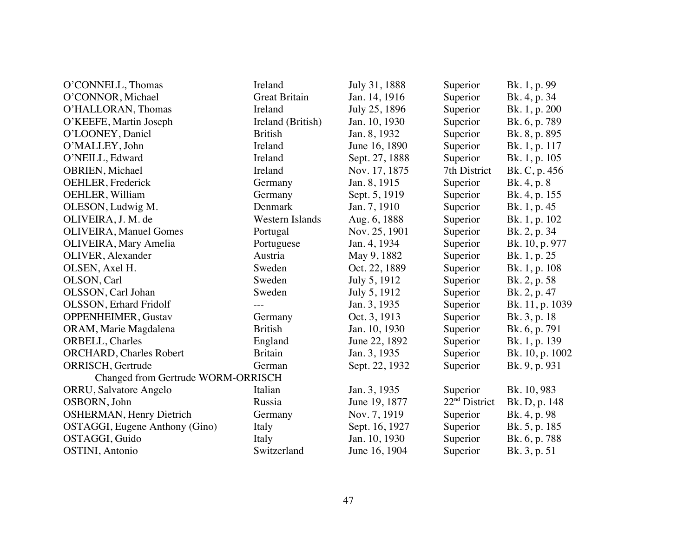| O'CONNELL, Thomas                  | Ireland              | July 31, 1888  | Superior                  | Bk. 1, p. 99    |
|------------------------------------|----------------------|----------------|---------------------------|-----------------|
| O'CONNOR, Michael                  | <b>Great Britain</b> | Jan. 14, 1916  | Superior                  | Bk. 4, p. 34    |
| O'HALLORAN, Thomas                 | Ireland              | July 25, 1896  | Superior                  | Bk. 1, p. 200   |
| O'KEEFE, Martin Joseph             | Ireland (British)    | Jan. 10, 1930  | Superior                  | Bk. 6, p. 789   |
| O'LOONEY, Daniel                   | <b>British</b>       | Jan. 8, 1932   | Superior                  | Bk. 8, p. 895   |
| O'MALLEY, John                     | Ireland              | June 16, 1890  | Superior                  | Bk. 1, p. 117   |
| O'NEILL, Edward                    | Ireland              | Sept. 27, 1888 | Superior                  | Bk. 1, p. 105   |
| OBRIEN, Michael                    | Ireland              | Nov. 17, 1875  | 7th District              | Bk. C, p. 456   |
| OEHLER, Frederick                  | Germany              | Jan. 8, 1915   | Superior                  | Bk. 4, p. 8     |
| OEHLER, William                    | Germany              | Sept. 5, 1919  | Superior                  | Bk. 4, p. 155   |
| OLESON, Ludwig M.                  | Denmark              | Jan. 7, 1910   | Superior                  | Bk. 1, p. 45    |
| OLIVEIRA, J. M. de                 | Western Islands      | Aug. 6, 1888   | Superior                  | Bk. 1, p. 102   |
| <b>OLIVEIRA, Manuel Gomes</b>      | Portugal             | Nov. 25, 1901  | Superior                  | Bk. 2, p. 34    |
| <b>OLIVEIRA, Mary Amelia</b>       | Portuguese           | Jan. 4, 1934   | Superior                  | Bk. 10, p. 977  |
| OLIVER, Alexander                  | Austria              | May 9, 1882    | Superior                  | Bk. 1, p. 25    |
| OLSEN, Axel H.                     | Sweden               | Oct. 22, 1889  | Superior                  | Bk. 1, p. 108   |
| OLSON, Carl                        | Sweden               | July 5, 1912   | Superior                  | Bk. 2, p. 58    |
| OLSSON, Carl Johan                 | Sweden               | July 5, 1912   | Superior                  | Bk. 2, p. 47    |
| <b>OLSSON, Erhard Fridolf</b>      |                      | Jan. 3, 1935   | Superior                  | Bk. 11, p. 1039 |
| <b>OPPENHEIMER, Gustav</b>         | Germany              | Oct. 3, 1913   | Superior                  | Bk. 3, p. 18    |
| ORAM, Marie Magdalena              | <b>British</b>       | Jan. 10, 1930  | Superior                  | Bk. 6, p. 791   |
| ORBELL, Charles                    | England              | June 22, 1892  | Superior                  | Bk. 1, p. 139   |
| ORCHARD, Charles Robert            | <b>Britain</b>       | Jan. 3, 1935   | Superior                  | Bk. 10, p. 1002 |
| ORRISCH, Gertrude                  | German               | Sept. 22, 1932 | Superior                  | Bk. 9, p. 931   |
| Changed from Gertrude WORM-ORRISCH |                      |                |                           |                 |
| ORRU, Salvatore Angelo             | Italian              | Jan. 3, 1935   | Superior                  | Bk. 10, 983     |
| OSBORN, John                       | Russia               | June 19, 1877  | 22 <sup>nd</sup> District | Bk. D, p. 148   |
| <b>OSHERMAN, Henry Dietrich</b>    | Germany              | Nov. 7, 1919   | Superior                  | Bk. 4, p. 98    |
| OSTAGGI, Eugene Anthony (Gino)     | Italy                | Sept. 16, 1927 | Superior                  | Bk. 5, p. 185   |
| OSTAGGI, Guido                     | Italy                | Jan. 10, 1930  | Superior                  | Bk. 6, p. 788   |
| <b>OSTINI</b> , Antonio            | Switzerland          | June 16, 1904  | Superior                  | Bk. 3, p. 51    |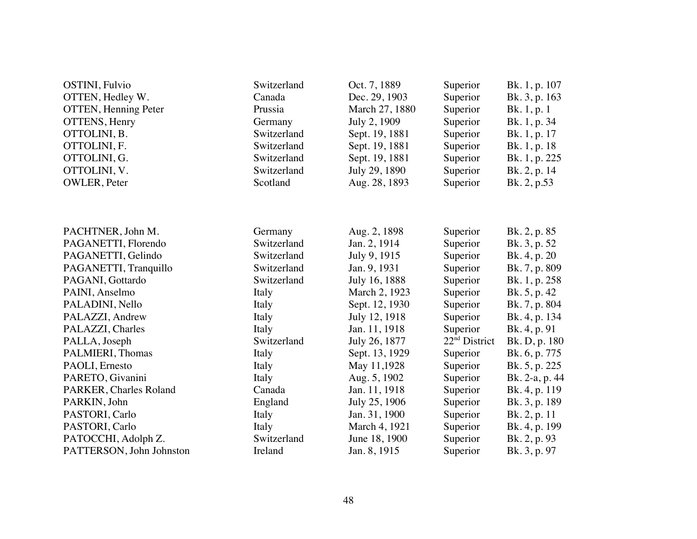| <b>OSTINI</b> , Fulvio<br>OTTEN, Hedley W.<br><b>OTTEN</b> , Henning Peter<br>OTTENS, Henry<br>OTTOLINI, B.<br>OTTOLINI, F.<br>OTTOLINI, G.<br>OTTOLINI, V.<br>OWLER, Peter | Switzerland<br>Canada<br>Prussia<br>Germany<br>Switzerland<br>Switzerland<br>Switzerland<br>Switzerland<br>Scotland | Oct. 7, 1889<br>Dec. 29, 1903<br>March 27, 1880<br>July 2, 1909<br>Sept. 19, 1881<br>Sept. 19, 1881<br>Sept. 19, 1881<br>July 29, 1890<br>Aug. 28, 1893 | Superior<br>Superior<br>Superior<br>Superior<br>Superior<br>Superior<br>Superior<br>Superior<br>Superior | Bk. 1, p. 107<br>Bk. 3, p. 163<br>Bk. 1, p. 1<br>Bk. 1, p. 34<br>Bk. 1, p. 17<br>Bk. 1, p. 18<br>Bk. 1, p. 225<br>Bk. 2, p. 14<br>Bk. 2, p.53 |
|-----------------------------------------------------------------------------------------------------------------------------------------------------------------------------|---------------------------------------------------------------------------------------------------------------------|---------------------------------------------------------------------------------------------------------------------------------------------------------|----------------------------------------------------------------------------------------------------------|-----------------------------------------------------------------------------------------------------------------------------------------------|
|                                                                                                                                                                             |                                                                                                                     |                                                                                                                                                         |                                                                                                          |                                                                                                                                               |
|                                                                                                                                                                             |                                                                                                                     |                                                                                                                                                         |                                                                                                          |                                                                                                                                               |
| PACHTNER, John M.                                                                                                                                                           | Germany                                                                                                             | Aug. 2, 1898                                                                                                                                            | Superior                                                                                                 | Bk. 2, p. 85                                                                                                                                  |
| PAGANETTI, Florendo                                                                                                                                                         | Switzerland                                                                                                         | Jan. 2, 1914                                                                                                                                            | Superior                                                                                                 | Bk. 3, p. 52                                                                                                                                  |
| PAGANETTI, Gelindo                                                                                                                                                          | Switzerland                                                                                                         | July 9, 1915                                                                                                                                            | Superior                                                                                                 | Bk. 4, p. 20                                                                                                                                  |
| PAGANETTI, Tranquillo                                                                                                                                                       | Switzerland                                                                                                         | Jan. 9, 1931                                                                                                                                            | Superior                                                                                                 | Bk. 7, p. 809                                                                                                                                 |
| PAGANI, Gottardo                                                                                                                                                            | Switzerland                                                                                                         | July 16, 1888                                                                                                                                           | Superior                                                                                                 | Bk. 1, p. 258                                                                                                                                 |
| PAINI, Anselmo                                                                                                                                                              | Italy                                                                                                               | March 2, 1923                                                                                                                                           | Superior                                                                                                 | Bk. 5, p. 42                                                                                                                                  |
| PALADINI, Nello                                                                                                                                                             | Italy                                                                                                               | Sept. 12, 1930                                                                                                                                          | Superior                                                                                                 | Bk. 7, p. 804                                                                                                                                 |
| PALAZZI, Andrew                                                                                                                                                             | Italy                                                                                                               | July 12, 1918                                                                                                                                           | Superior                                                                                                 | Bk. 4, p. 134                                                                                                                                 |
| PALAZZI, Charles                                                                                                                                                            | Italy                                                                                                               | Jan. 11, 1918                                                                                                                                           | Superior                                                                                                 | Bk. 4, p. 91                                                                                                                                  |
| PALLA, Joseph                                                                                                                                                               | Switzerland                                                                                                         | July 26, 1877                                                                                                                                           | $22nd$ District                                                                                          | Bk. D, p. 180                                                                                                                                 |
| PALMIERI, Thomas                                                                                                                                                            | Italy                                                                                                               | Sept. 13, 1929                                                                                                                                          | Superior                                                                                                 | Bk. 6, p. 775                                                                                                                                 |
| PAOLI, Ernesto                                                                                                                                                              | Italy                                                                                                               | May 11,1928                                                                                                                                             | Superior                                                                                                 | Bk. 5, p. 225                                                                                                                                 |
| PARETO, Givanini                                                                                                                                                            | Italy                                                                                                               | Aug. 5, 1902                                                                                                                                            | Superior                                                                                                 | Bk. 2-a, p. 44                                                                                                                                |
| PARKER, Charles Roland                                                                                                                                                      | Canada                                                                                                              | Jan. 11, 1918                                                                                                                                           | Superior                                                                                                 | Bk. 4, p. 119                                                                                                                                 |
| PARKIN, John                                                                                                                                                                | England                                                                                                             | July 25, 1906                                                                                                                                           | Superior                                                                                                 | Bk. 3, p. 189                                                                                                                                 |
| PASTORI, Carlo                                                                                                                                                              | Italy                                                                                                               | Jan. 31, 1900                                                                                                                                           | Superior                                                                                                 | Bk. 2, p. 11                                                                                                                                  |
| PASTORI, Carlo                                                                                                                                                              | Italy                                                                                                               | March 4, 1921                                                                                                                                           | Superior                                                                                                 | Bk. 4, p. 199                                                                                                                                 |
| PATOCCHI, Adolph Z.                                                                                                                                                         | Switzerland                                                                                                         | June 18, 1900                                                                                                                                           | Superior                                                                                                 | Bk. 2, p. 93                                                                                                                                  |
| PATTERSON, John Johnston                                                                                                                                                    | Ireland                                                                                                             | Jan. 8, 1915                                                                                                                                            | Superior                                                                                                 | Bk. 3, p. 97                                                                                                                                  |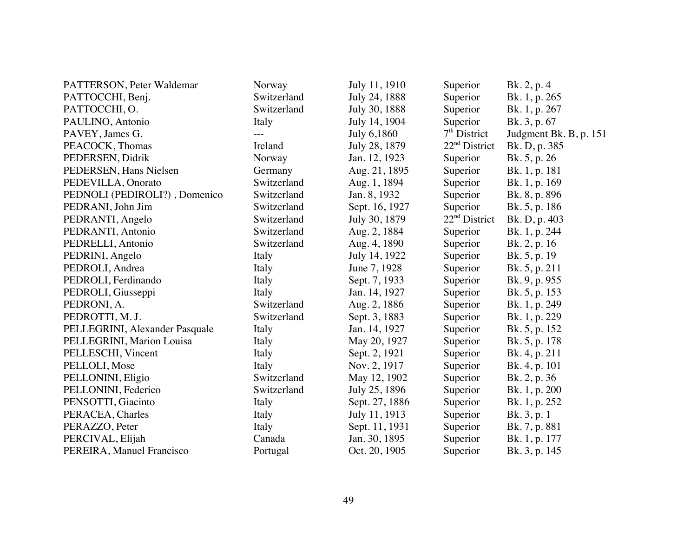| PATTERSON, Peter Waldemar      | Norway      | July 11, 1910  | Superior                  | Bk. 2, p. 4            |
|--------------------------------|-------------|----------------|---------------------------|------------------------|
| PATTOCCHI, Benj.               | Switzerland | July 24, 1888  | Superior                  | Bk. 1, p. 265          |
| PATTOCCHI, O.                  | Switzerland | July 30, 1888  | Superior                  | Bk. 1, p. 267          |
| PAULINO, Antonio               | Italy       | July 14, 1904  | Superior                  | Bk. 3, p. 67           |
| PAVEY, James G.                |             | July 6,1860    | $7th$ District            | Judgment Bk. B, p. 151 |
| PEACOCK, Thomas                | Ireland     | July 28, 1879  | 22 <sup>nd</sup> District | Bk. D, p. 385          |
| PEDERSEN, Didrik               | Norway      | Jan. 12, 1923  | Superior                  | Bk. 5, p. 26           |
| PEDERSEN, Hans Nielsen         | Germany     | Aug. 21, 1895  | Superior                  | Bk. 1, p. 181          |
| PEDEVILLA, Onorato             | Switzerland | Aug. 1, 1894   | Superior                  | Bk. 1, p. 169          |
| PEDNOLI (PEDIROLI?), Domenico  | Switzerland | Jan. 8, 1932   | Superior                  | Bk. 8, p. 896          |
| PEDRANI, John Jim              | Switzerland | Sept. 16, 1927 | Superior                  | Bk. 5, p. 186          |
| PEDRANTI, Angelo               | Switzerland | July 30, 1879  | $22nd$ District           | Bk. D, p. 403          |
| PEDRANTI, Antonio              | Switzerland | Aug. 2, 1884   | Superior                  | Bk. 1, p. 244          |
| PEDRELLI, Antonio              | Switzerland | Aug. 4, 1890   | Superior                  | Bk. 2, p. 16           |
| PEDRINI, Angelo                | Italy       | July 14, 1922  | Superior                  | Bk. 5, p. 19           |
| PEDROLI, Andrea                | Italy       | June 7, 1928   | Superior                  | Bk. 5, p. 211          |
| PEDROLI, Ferdinando            | Italy       | Sept. 7, 1933  | Superior                  | Bk. 9, p. 955          |
| PEDROLI, Giusseppi             | Italy       | Jan. 14, 1927  | Superior                  | Bk. 5, p. 153          |
| PEDRONI, A.                    | Switzerland | Aug. 2, 1886   | Superior                  | Bk. 1, p. 249          |
| PEDROTTI, M.J.                 | Switzerland | Sept. 3, 1883  | Superior                  | Bk. 1, p. 229          |
| PELLEGRINI, Alexander Pasquale | Italy       | Jan. 14, 1927  | Superior                  | Bk. 5, p. 152          |
| PELLEGRINI, Marion Louisa      | Italy       | May 20, 1927   | Superior                  | Bk. 5, p. 178          |
| PELLESCHI, Vincent             | Italy       | Sept. 2, 1921  | Superior                  | Bk. 4, p. 211          |
| PELLOLI, Mose                  | Italy       | Nov. 2, 1917   | Superior                  | Bk. 4, p. 101          |
| PELLONINI, Eligio              | Switzerland | May 12, 1902   | Superior                  | Bk. 2, p. 36           |
| PELLONINI, Federico            | Switzerland | July 25, 1896  | Superior                  | Bk. 1, p. 200          |
| PENSOTTI, Giacinto             | Italy       | Sept. 27, 1886 | Superior                  | Bk. 1, p. 252          |
| PERACEA, Charles               | Italy       | July 11, 1913  | Superior                  | Bk. 3, p. 1            |
| PERAZZO, Peter                 | Italy       | Sept. 11, 1931 | Superior                  | Bk. 7, p. 881          |
| PERCIVAL, Elijah               | Canada      | Jan. 30, 1895  | Superior                  | Bk. 1, p. 177          |
| PEREIRA, Manuel Francisco      | Portugal    | Oct. 20, 1905  | Superior                  | Bk. 3, p. 145          |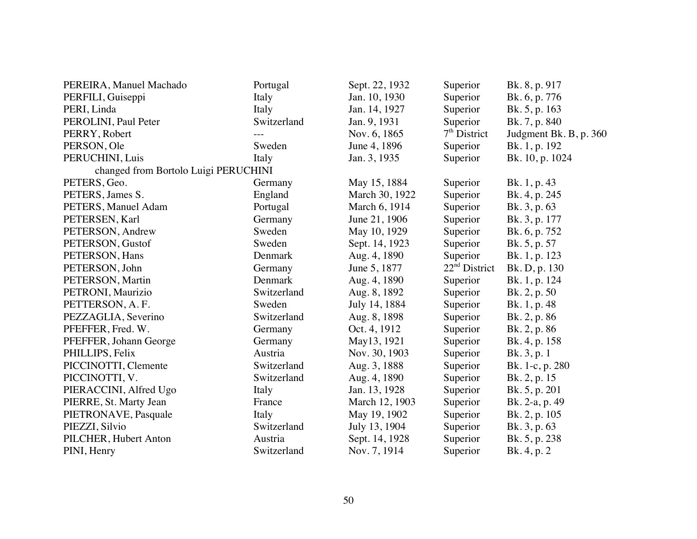| PEREIRA, Manuel Machado              | Portugal    | Sept. 22, 1932 | Superior        | Bk. 8, p. 917          |
|--------------------------------------|-------------|----------------|-----------------|------------------------|
| PERFILI, Guiseppi                    | Italy       | Jan. 10, 1930  | Superior        | Bk. 6, p. 776          |
| PERI, Linda                          | Italy       | Jan. 14, 1927  | Superior        | Bk. 5, p. 163          |
| PEROLINI, Paul Peter                 | Switzerland | Jan. 9, 1931   | Superior        | Bk. 7, p. 840          |
| PERRY, Robert                        |             | Nov. 6, 1865   | $7th$ District  | Judgment Bk. B, p. 360 |
| PERSON, Ole                          | Sweden      | June 4, 1896   | Superior        | Bk. 1, p. 192          |
| PERUCHINI, Luis                      | Italy       | Jan. 3, 1935   | Superior        | Bk. 10, p. 1024        |
| changed from Bortolo Luigi PERUCHINI |             |                |                 |                        |
| PETERS, Geo.                         | Germany     | May 15, 1884   | Superior        | Bk. 1, p. 43           |
| PETERS, James S.                     | England     | March 30, 1922 | Superior        | Bk. 4, p. 245          |
| PETERS, Manuel Adam                  | Portugal    | March 6, 1914  | Superior        | Bk. 3, p. 63           |
| PETERSEN, Karl                       | Germany     | June 21, 1906  | Superior        | Bk. 3, p. 177          |
| PETERSON, Andrew                     | Sweden      | May 10, 1929   | Superior        | Bk. 6, p. 752          |
| PETERSON, Gustof                     | Sweden      | Sept. 14, 1923 | Superior        | Bk. 5, p. 57           |
| PETERSON, Hans                       | Denmark     | Aug. 4, 1890   | Superior        | Bk. 1, p. 123          |
| PETERSON, John                       | Germany     | June 5, 1877   | $22nd$ District | Bk. D, p. 130          |
| PETERSON, Martin                     | Denmark     | Aug. 4, 1890   | Superior        | Bk. 1, p. 124          |
| PETRONI, Maurizio                    | Switzerland | Aug. 8, 1892   | Superior        | Bk. 2, p. 50           |
| PETTERSON, A. F.                     | Sweden      | July 14, 1884  | Superior        | Bk. 1, p. 48           |
| PEZZAGLIA, Severino                  | Switzerland | Aug. 8, 1898   | Superior        | Bk. 2, p. 86           |
| PFEFFER, Fred. W.                    | Germany     | Oct. 4, 1912   | Superior        | Bk. 2, p. 86           |
| PFEFFER, Johann George               | Germany     | May13, 1921    | Superior        | Bk. 4, p. 158          |
| PHILLIPS, Felix                      | Austria     | Nov. 30, 1903  | Superior        | Bk. 3, p. 1            |
| PICCINOTTI, Clemente                 | Switzerland | Aug. 3, 1888   | Superior        | Bk. 1-c, p. 280        |
| PICCINOTTI, V.                       | Switzerland | Aug. 4, 1890   | Superior        | Bk. 2, p. 15           |
| PIERACCINI, Alfred Ugo               | Italy       | Jan. 13, 1928  | Superior        | Bk. 5, p. 201          |
| PIERRE, St. Marty Jean               | France      | March 12, 1903 | Superior        | Bk. 2-a, p. 49         |
| PIETRONAVE, Pasquale                 | Italy       | May 19, 1902   | Superior        | Bk. 2, p. 105          |
| PIEZZI, Silvio                       | Switzerland | July 13, 1904  | Superior        | Bk. 3, p. 63           |
| PILCHER, Hubert Anton                | Austria     | Sept. 14, 1928 | Superior        | Bk. 5, p. 238          |
| PINI, Henry                          | Switzerland | Nov. 7, 1914   | Superior        | Bk. 4, p. 2            |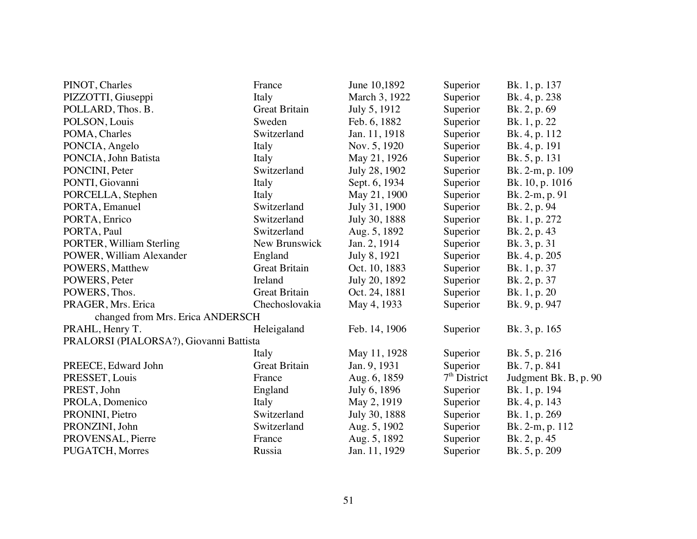| PINOT, Charles                          | France               | June 10,1892  | Superior       | Bk. 1, p. 137         |
|-----------------------------------------|----------------------|---------------|----------------|-----------------------|
| PIZZOTTI, Giuseppi                      | Italy                | March 3, 1922 | Superior       | Bk. 4, p. 238         |
| POLLARD, Thos. B.                       | <b>Great Britain</b> | July 5, 1912  | Superior       | Bk. 2, p. 69          |
| POLSON, Louis                           | Sweden               | Feb. 6, 1882  | Superior       | Bk. 1, p. 22          |
| POMA, Charles                           | Switzerland          | Jan. 11, 1918 | Superior       | Bk. 4, p. 112         |
| PONCIA, Angelo                          | Italy                | Nov. 5, 1920  | Superior       | Bk. 4, p. 191         |
| PONCIA, John Batista                    | Italy                | May 21, 1926  | Superior       | Bk. 5, p. 131         |
| PONCINI, Peter                          | Switzerland          | July 28, 1902 | Superior       | Bk. 2-m, p. 109       |
| PONTI, Giovanni                         | Italy                | Sept. 6, 1934 | Superior       | Bk. 10, p. 1016       |
| PORCELLA, Stephen                       | Italy                | May 21, 1900  | Superior       | Bk. 2-m, p. 91        |
| PORTA, Emanuel                          | Switzerland          | July 31, 1900 | Superior       | Bk. 2, p. 94          |
| PORTA, Enrico                           | Switzerland          | July 30, 1888 | Superior       | Bk. 1, p. 272         |
| PORTA, Paul                             | Switzerland          | Aug. 5, 1892  | Superior       | Bk. 2, p. 43          |
| PORTER, William Sterling                | New Brunswick        | Jan. 2, 1914  | Superior       | Bk. 3, p. 31          |
| POWER, William Alexander                | England              | July 8, 1921  | Superior       | Bk. 4, p. 205         |
| POWERS, Matthew                         | <b>Great Britain</b> | Oct. 10, 1883 | Superior       | Bk. 1, p. 37          |
| POWERS, Peter                           | Ireland              | July 20, 1892 | Superior       | Bk. 2, p. 37          |
| POWERS, Thos.                           | <b>Great Britain</b> | Oct. 24, 1881 | Superior       | Bk. 1, p. 20          |
| PRAGER, Mrs. Erica                      | Chechoslovakia       | May 4, 1933   | Superior       | Bk. 9, p. 947         |
| changed from Mrs. Erica ANDERSCH        |                      |               |                |                       |
| PRAHL, Henry T.                         | Heleigaland          | Feb. 14, 1906 | Superior       | Bk. 3, p. 165         |
| PRALORSI (PIALORSA?), Giovanni Battista |                      |               |                |                       |
|                                         | Italy                | May 11, 1928  | Superior       | Bk. 5, p. 216         |
| PREECE, Edward John                     | <b>Great Britain</b> | Jan. 9, 1931  | Superior       | Bk. 7, p. 841         |
| PRESSET, Louis                          | France               | Aug. 6, 1859  | $7th$ District | Judgment Bk. B, p. 90 |
| PREST, John                             | England              | July 6, 1896  | Superior       | Bk. 1, p. 194         |
| PROLA, Domenico                         | Italy                | May 2, 1919   | Superior       | Bk. 4, p. 143         |
| PRONINI, Pietro                         | Switzerland          | July 30, 1888 | Superior       | Bk. 1, p. 269         |
| PRONZINI, John                          | Switzerland          | Aug. 5, 1902  | Superior       | Bk. 2-m, p. 112       |
| PROVENSAL, Pierre                       | France               | Aug. 5, 1892  | Superior       | Bk. 2, p. 45          |
| <b>PUGATCH, Morres</b>                  | Russia               | Jan. 11, 1929 | Superior       | Bk. 5, p. 209         |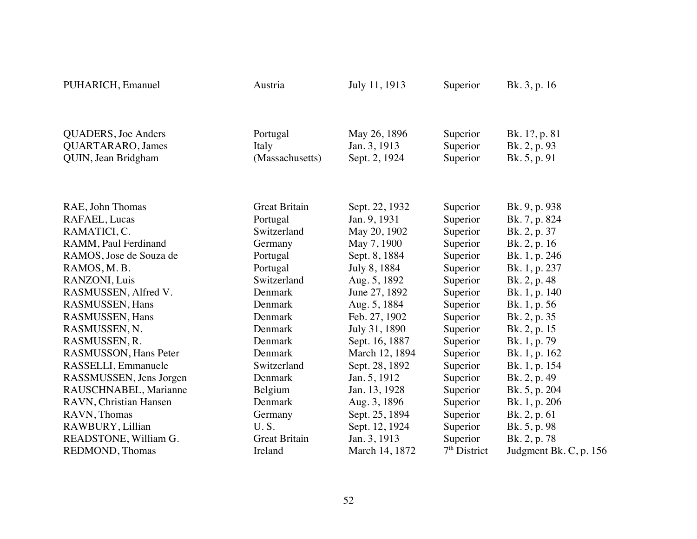| PUHARICH, Emanuel                                                       | Austria                              | July 11, 1913                                 | Superior                         | Bk. 3, p. 16                                  |
|-------------------------------------------------------------------------|--------------------------------------|-----------------------------------------------|----------------------------------|-----------------------------------------------|
| <b>QUADERS</b> , Joe Anders<br>QUARTARARO, James<br>QUIN, Jean Bridgham | Portugal<br>Italy<br>(Massachusetts) | May 26, 1896<br>Jan. 3, 1913<br>Sept. 2, 1924 | Superior<br>Superior<br>Superior | Bk. 1?, p. 81<br>Bk. 2, p. 93<br>Bk. 5, p. 91 |
|                                                                         |                                      |                                               |                                  |                                               |
| RAE, John Thomas                                                        | <b>Great Britain</b>                 | Sept. 22, 1932                                | Superior                         | Bk. 9, p. 938                                 |
| RAFAEL, Lucas                                                           | Portugal                             | Jan. 9, 1931                                  | Superior                         | Bk. 7, p. 824                                 |
| RAMATICI, C.                                                            | Switzerland                          | May 20, 1902                                  | Superior                         | Bk. 2, p. 37                                  |
| RAMM, Paul Ferdinand                                                    | Germany                              | May 7, 1900                                   | Superior                         | Bk. 2, p. 16                                  |
| RAMOS, Jose de Souza de                                                 | Portugal                             | Sept. 8, 1884                                 | Superior                         | Bk. 1, p. 246                                 |
| RAMOS, M.B.                                                             | Portugal                             | July 8, 1884                                  | Superior                         | Bk. 1, p. 237                                 |
| RANZONI, Luis                                                           | Switzerland                          | Aug. 5, 1892                                  | Superior                         | Bk. 2, p. 48                                  |
| RASMUSSEN, Alfred V.                                                    | Denmark                              | June 27, 1892                                 | Superior                         | Bk. 1, p. 140                                 |
| RASMUSSEN, Hans                                                         | Denmark                              | Aug. 5, 1884                                  | Superior                         | Bk. 1, p. 56                                  |
| RASMUSSEN, Hans                                                         | Denmark                              | Feb. 27, 1902                                 | Superior                         | Bk. 2, p. 35                                  |
| RASMUSSEN, N.                                                           | Denmark                              | July 31, 1890                                 | Superior                         | Bk. 2, p. 15                                  |
| RASMUSSEN, R.                                                           | Denmark                              | Sept. 16, 1887                                | Superior                         | Bk. 1, p. 79                                  |
| RASMUSSON, Hans Peter                                                   | Denmark                              | March 12, 1894                                | Superior                         | Bk. 1, p. 162                                 |
| RASSELLI, Emmanuele                                                     | Switzerland                          | Sept. 28, 1892                                | Superior                         | Bk. 1, p. 154                                 |
| RASSMUSSEN, Jens Jorgen                                                 | Denmark                              | Jan. 5, 1912                                  | Superior                         | Bk. 2, p. 49                                  |
| RAUSCHNABEL, Marianne                                                   | Belgium                              | Jan. 13, 1928                                 | Superior                         | Bk. 5, p. 204                                 |
| RAVN, Christian Hansen                                                  | Denmark                              | Aug. 3, 1896                                  | Superior                         | Bk. 1, p. 206                                 |
| RAVN, Thomas                                                            | Germany                              | Sept. 25, 1894                                | Superior                         | Bk. 2, p. 61                                  |
| RAWBURY, Lillian                                                        | U.S.                                 | Sept. 12, 1924                                | Superior                         | Bk. 5, p. 98                                  |
| READSTONE, William G.                                                   | <b>Great Britain</b>                 | Jan. 3, 1913                                  | Superior                         | Bk. 2, p. 78                                  |
| <b>REDMOND</b> , Thomas                                                 | Ireland                              | March 14, 1872                                | $7th$ District                   | Judgment Bk. C, p. 156                        |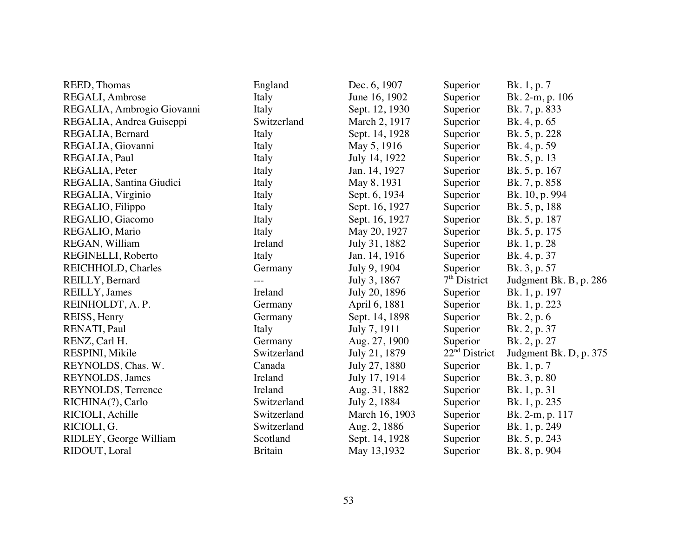| REED, Thomas               | England        | Dec. 6, 1907   | Superior        | Bk. 1, p. 7            |
|----------------------------|----------------|----------------|-----------------|------------------------|
| REGALI, Ambrose            | Italy          | June 16, 1902  | Superior        | Bk. 2-m, p. 106        |
| REGALIA, Ambrogio Giovanni | Italy          | Sept. 12, 1930 | Superior        | Bk. 7, p. 833          |
| REGALIA, Andrea Guiseppi   | Switzerland    | March 2, 1917  | Superior        | Bk. 4, p. 65           |
| REGALIA, Bernard           | Italy          | Sept. 14, 1928 | Superior        | Bk. 5, p. 228          |
| REGALIA, Giovanni          | Italy          | May 5, 1916    | Superior        | Bk. 4, p. 59           |
| REGALIA, Paul              | Italy          | July 14, 1922  | Superior        | Bk. 5, p. 13           |
| REGALIA, Peter             | Italy          | Jan. 14, 1927  | Superior        | Bk. 5, p. 167          |
| REGALIA, Santina Giudici   | Italy          | May 8, 1931    | Superior        | Bk. 7, p. 858          |
| REGALIA, Virginio          | Italy          | Sept. 6, 1934  | Superior        | Bk. 10, p. 994         |
| REGALIO, Filippo           | Italy          | Sept. 16, 1927 | Superior        | Bk. 5, p, 188          |
| REGALIO, Giacomo           | Italy          | Sept. 16, 1927 | Superior        | Bk. 5, p. 187          |
| REGALIO, Mario             | Italy          | May 20, 1927   | Superior        | Bk. 5, p. 175          |
| REGAN, William             | Ireland        | July 31, 1882  | Superior        | Bk. 1, p. 28           |
| REGINELLI, Roberto         | Italy          | Jan. 14, 1916  | Superior        | Bk. 4, p. 37           |
| REICHHOLD, Charles         | Germany        | July 9, 1904   | Superior        | Bk. 3, p. 57           |
| REILLY, Bernard            | $---$          | July 3, 1867   | $7th$ District  | Judgment Bk. B, p. 286 |
| REILLY, James              | Ireland        | July 20, 1896  | Superior        | Bk. 1, p. 197          |
| REINHOLDT, A.P.            | Germany        | April 6, 1881  | Superior        | Bk. 1, p. 223          |
| REISS, Henry               | Germany        | Sept. 14, 1898 | Superior        | Bk. 2, p. 6            |
| RENATI, Paul               | Italy          | July 7, 1911   | Superior        | Bk. 2, p. 37           |
| RENZ, Carl H.              | Germany        | Aug. 27, 1900  | Superior        | Bk. 2, p. 27           |
| RESPINI, Mikile            | Switzerland    | July 21, 1879  | $22nd$ District | Judgment Bk. D, p. 375 |
| REYNOLDS, Chas. W.         | Canada         | July 27, 1880  | Superior        | Bk. 1, p. 7            |
| REYNOLDS, James            | Ireland        | July 17, 1914  | Superior        | Bk. 3, p. 80           |
| REYNOLDS, Terrence         | Ireland        | Aug. 31, 1882  | Superior        | Bk. 1, p. 31           |
| RICHINA(?), Carlo          | Switzerland    | July 2, 1884   | Superior        | Bk. 1, p. 235          |
| RICIOLI, Achille           | Switzerland    | March 16, 1903 | Superior        | Bk. 2-m, p. 117        |
| RICIOLI, G.                | Switzerland    | Aug. 2, 1886   | Superior        | Bk. 1, p. 249          |
| RIDLEY, George William     | Scotland       | Sept. 14, 1928 | Superior        | Bk. 5, p. 243          |
| RIDOUT, Loral              | <b>Britain</b> | May 13,1932    | Superior        | Bk. 8, p. 904          |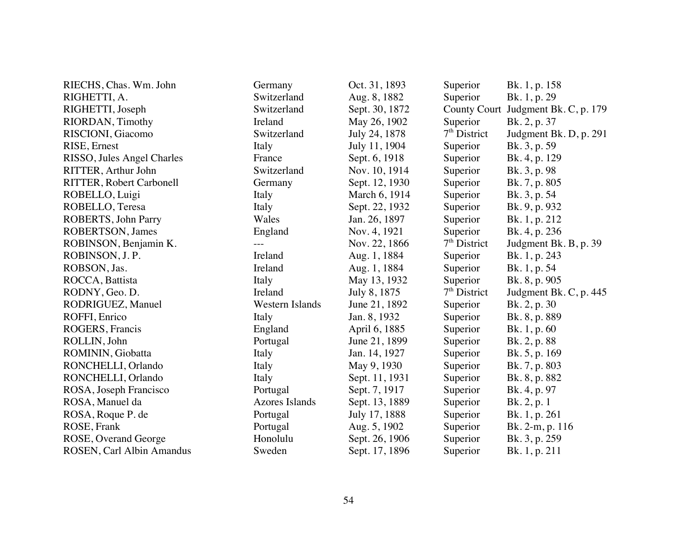| RIECHS, Chas. Wm. John          | Germany               | Oct. 31, 1893  | Superior            | Bk. 1, p. 158          |
|---------------------------------|-----------------------|----------------|---------------------|------------------------|
| RIGHETTI, A.                    | Switzerland           | Aug. 8, 1882   | Superior            | Bk. 1, p. 29           |
| RIGHETTI, Joseph                | Switzerland           | Sept. 30, 1872 | <b>County Court</b> | Judgment Bk. C, p. 179 |
| RIORDAN, Timothy                | Ireland               | May 26, 1902   | Superior            | Bk. 2, p. 37           |
| RISCIONI, Giacomo               | Switzerland           | July 24, 1878  | $7th$ District      | Judgment Bk. D, p. 291 |
| RISE, Ernest                    | Italy                 | July 11, 1904  | Superior            | Bk. 3, p. 59           |
| RISSO, Jules Angel Charles      | France                | Sept. 6, 1918  | Superior            | Bk. 4, p. 129          |
| RITTER, Arthur John             | Switzerland           | Nov. 10, 1914  | Superior            | Bk. 3, p. 98           |
| <b>RITTER, Robert Carbonell</b> | Germany               | Sept. 12, 1930 | Superior            | Bk. 7, p. 805          |
| ROBELLO, Luigi                  | Italy                 | March 6, 1914  | Superior            | Bk. 3, p. 54           |
| ROBELLO, Teresa                 | Italy                 | Sept. 22, 1932 | Superior            | Bk. 9, p. 932          |
| ROBERTS, John Parry             | Wales                 | Jan. 26, 1897  | Superior            | Bk. 1, p. 212          |
| ROBERTSON, James                | England               | Nov. 4, 1921   | Superior            | Bk. 4, p. 236          |
| ROBINSON, Benjamin K.           |                       | Nov. 22, 1866  | $7th$ District      | Judgment Bk. B, p. 39  |
| ROBINSON, J. P.                 | Ireland               | Aug. 1, 1884   | Superior            | Bk. 1, p. 243          |
| ROBSON, Jas.                    | Ireland               | Aug. 1, 1884   | Superior            | Bk. 1, p. 54           |
| ROCCA, Battista                 | Italy                 | May 13, 1932   | Superior            | Bk. 8, p. 905          |
| RODNY, Geo. D.                  | Ireland               | July 8, 1875   | $7th$ District      | Judgment Bk. C, p. 445 |
| RODRIGUEZ, Manuel               | Western Islands       | June 21, 1892  | Superior            | Bk. 2, p. 30           |
| ROFFI, Enrico                   | Italy                 | Jan. 8, 1932   | Superior            | Bk. 8, p. 889          |
| ROGERS, Francis                 | England               | April 6, 1885  | Superior            | Bk. 1, p. 60           |
| ROLLIN, John                    | Portugal              | June 21, 1899  | Superior            | Bk. 2, p. 88           |
| ROMININ, Giobatta               | Italy                 | Jan. 14, 1927  | Superior            | Bk. 5, p. 169          |
| RONCHELLI, Orlando              | Italy                 | May 9, 1930    | Superior            | Bk. 7, p. 803          |
| RONCHELLI, Orlando              | Italy                 | Sept. 11, 1931 | Superior            | Bk. 8, p. 882          |
| ROSA, Joseph Francisco          | Portugal              | Sept. 7, 1917  | Superior            | Bk. 4, p. 97           |
| ROSA, Manuel da                 | <b>Azores Islands</b> | Sept. 13, 1889 | Superior            | Bk. 2, p. 1            |
| ROSA, Roque P. de               | Portugal              | July 17, 1888  | Superior            | Bk. 1, p. 261          |
| ROSE, Frank                     | Portugal              | Aug. 5, 1902   | Superior            | Bk. 2-m, p. 116        |
| ROSE, Overand George            | Honolulu              | Sept. 26, 1906 | Superior            | Bk. 3, p. 259          |
| ROSEN, Carl Albin Amandus       | Sweden                | Sept. 17, 1896 | Superior            | Bk. 1, p. 211          |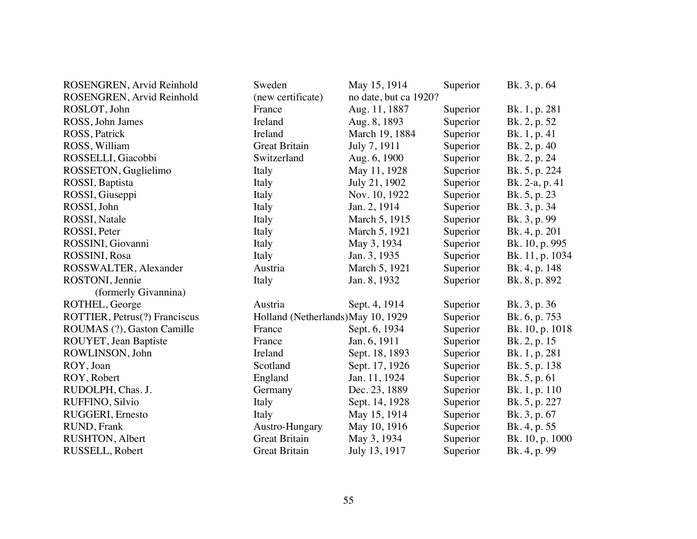| ROSENGREN, Arvid Reinhold     | Sweden                             | May 15, 1914          | Superior | Bk. 3, p. 64    |
|-------------------------------|------------------------------------|-----------------------|----------|-----------------|
| ROSENGREN, Arvid Reinhold     | (new certificate)                  | no date, but ca 1920? |          |                 |
| ROSLOT, John                  | France                             | Aug. 11, 1887         | Superior | Bk. 1, p. 281   |
| ROSS, John James              | Ireland                            | Aug. 8, 1893          | Superior | Bk. 2, p. 52    |
| ROSS, Patrick                 | Ireland                            | March 19, 1884        | Superior | Bk. 1, p. 41    |
| ROSS, William                 | <b>Great Britain</b>               | July 7, 1911          | Superior | Bk. 2, p. 40    |
| ROSSELLI, Giacobbi            | Switzerland                        | Aug. 6, 1900          | Superior | Bk. 2, p. 24    |
| ROSSETON, Guglielimo          | Italy                              | May 11, 1928          | Superior | Bk. 5, p. 224   |
| ROSSI, Baptista               | Italy                              | July 21, 1902         | Superior | Bk. 2-a, p. 41  |
| ROSSI, Giuseppi               | Italy                              | Nov. 10, 1922         | Superior | Bk. 5, p. 23    |
| ROSSI, John                   | Italy                              | Jan. 2, 1914          | Superior | Bk. 3, p. 34    |
| ROSSI, Natale                 | Italy                              | March 5, 1915         | Superior | Bk. 3, p. 99    |
| ROSSI, Peter                  | Italy                              | March 5, 1921         | Superior | Bk. 4, p. 201   |
| ROSSINI, Giovanni             | Italy                              | May 3, 1934           | Superior | Bk. 10, p. 995  |
| ROSSINI, Rosa                 | Italy                              | Jan. 3, 1935          | Superior | Bk. 11, p. 1034 |
| ROSSWALTER, Alexander         | Austria                            | March 5, 1921         | Superior | Bk. 4, p. 148   |
| ROSTONI, Jennie               | Italy                              | Jan. 8, 1932          | Superior | Bk. 8, p. 892   |
| (formerly Givannina)          |                                    |                       |          |                 |
| ROTHEL, George                | Austria                            | Sept. 4, 1914         | Superior | Bk. 3, p. 36    |
| ROTTIER, Petrus(?) Franciscus | Holland (Netherlands) May 10, 1929 |                       | Superior | Bk. 6, p. 753   |
| ROUMAS (?), Gaston Camille    | France                             | Sept. 6, 1934         | Superior | Bk. 10, p. 1018 |
| ROUYET, Jean Baptiste         | France                             | Jan. 6, 1911          | Superior | Bk. 2, p. 15    |
| ROWLINSON, John               | Ireland                            | Sept. 18, 1893        | Superior | Bk. 1, p. 281   |
| ROY, Joan                     | Scotland                           | Sept. 17, 1926        | Superior | Bk. 5, p. 138   |
| ROY, Robert                   | England                            | Jan. 11, 1924         | Superior | Bk. 5, p. 61    |
| RUDOLPH, Chas. J.             | Germany                            | Dec. 23, 1889         | Superior | Bk. 1, p. 110   |
| RUFFINO, Silvio               | Italy                              | Sept. 14, 1928        | Superior | Bk. 5, p. 227   |
| RUGGERI, Ernesto              | Italy                              | May 15, 1914          | Superior | Bk. 3, p. 67    |
| RUND, Frank                   | Austro-Hungary                     | May 10, 1916          | Superior | Bk. 4, p. 55    |
| RUSHTON, Albert               | <b>Great Britain</b>               | May 3, 1934           | Superior | Bk. 10, p. 1000 |
| RUSSELL, Robert               | <b>Great Britain</b>               | July 13, 1917         | Superior | Bk. 4, p. 99    |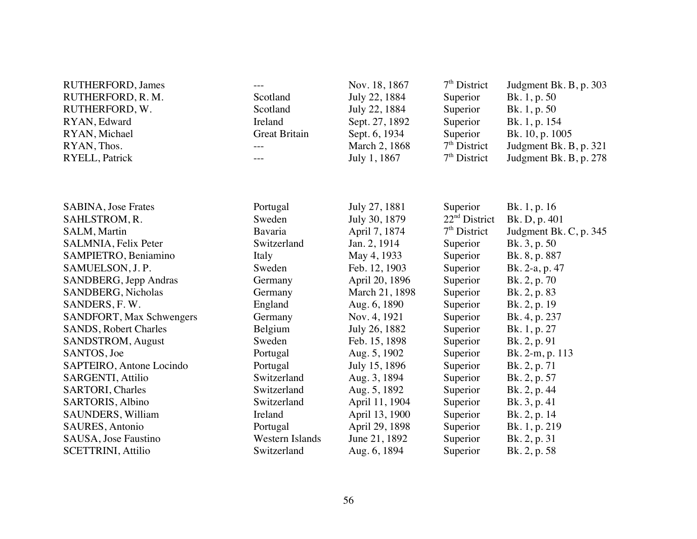| <b>RUTHERFORD, James</b><br>RUTHERFORD, R.M.<br>RUTHERFORD, W.<br>RYAN, Edward<br>RYAN, Michael<br>RYAN, Thos.<br>RYELL, Patrick | Scotland<br>Scotland<br>Ireland<br><b>Great Britain</b> | Nov. 18, 1867<br>July 22, 1884<br>July 22, 1884<br>Sept. 27, 1892<br>Sept. 6, 1934<br>March 2, 1868<br>July 1, 1867 | $7th$ District<br>Superior<br>Superior<br>Superior<br>Superior<br>$7th$ District<br>$7th$ District | Judgment Bk. B, p. 303<br>Bk. 1, p. 50<br>Bk. 1, p. 50<br>Bk. 1, p. 154<br>Bk. 10, p. 1005<br>Judgment Bk. B, p. 321<br>Judgment Bk. B, p. 278 |
|----------------------------------------------------------------------------------------------------------------------------------|---------------------------------------------------------|---------------------------------------------------------------------------------------------------------------------|----------------------------------------------------------------------------------------------------|------------------------------------------------------------------------------------------------------------------------------------------------|
|                                                                                                                                  |                                                         |                                                                                                                     |                                                                                                    |                                                                                                                                                |
| SABINA, Jose Frates                                                                                                              | Portugal                                                | July 27, 1881                                                                                                       | Superior                                                                                           | Bk. 1, p. 16                                                                                                                                   |
| SAHLSTROM, R.                                                                                                                    | Sweden                                                  | July 30, 1879                                                                                                       | $22nd$ District                                                                                    | Bk. D, p. 401                                                                                                                                  |
| SALM, Martin                                                                                                                     | Bavaria                                                 | April 7, 1874                                                                                                       | $7th$ District                                                                                     | Judgment Bk. C, p. 345                                                                                                                         |
| SALMNIA, Felix Peter                                                                                                             | Switzerland                                             | Jan. 2, 1914                                                                                                        | Superior                                                                                           | Bk. 3, p. 50                                                                                                                                   |
| SAMPIETRO, Beniamino                                                                                                             | Italy                                                   | May 4, 1933                                                                                                         | Superior                                                                                           | Bk. 8, p. 887                                                                                                                                  |
| SAMUELSON, J. P.                                                                                                                 | Sweden                                                  | Feb. 12, 1903                                                                                                       | Superior                                                                                           | Bk. 2-a, p. 47                                                                                                                                 |
| SANDBERG, Jepp Andras                                                                                                            | Germany                                                 | April 20, 1896                                                                                                      | Superior                                                                                           | Bk. 2, p. 70                                                                                                                                   |
| SANDBERG, Nicholas                                                                                                               | Germany                                                 | March 21, 1898                                                                                                      | Superior                                                                                           | Bk. 2, p. 83                                                                                                                                   |
| SANDERS, F.W.                                                                                                                    | England                                                 | Aug. 6, 1890                                                                                                        | Superior                                                                                           | Bk. 2, p. 19                                                                                                                                   |
| SANDFORT, Max Schwengers                                                                                                         | Germany                                                 | Nov. 4, 1921                                                                                                        | Superior                                                                                           | Bk. 4, p. 237                                                                                                                                  |
| <b>SANDS, Robert Charles</b>                                                                                                     | Belgium                                                 | July 26, 1882                                                                                                       | Superior                                                                                           | Bk. 1, p. 27                                                                                                                                   |
| SANDSTROM, August                                                                                                                | Sweden                                                  | Feb. 15, 1898                                                                                                       | Superior                                                                                           | Bk. 2, p. 91                                                                                                                                   |
| SANTOS, Joe                                                                                                                      | Portugal                                                | Aug. 5, 1902                                                                                                        | Superior                                                                                           | Bk. 2-m, p. 113                                                                                                                                |
| SAPTEIRO, Antone Locindo                                                                                                         | Portugal                                                | July 15, 1896                                                                                                       | Superior                                                                                           | Bk. 2, p. 71                                                                                                                                   |
| <b>SARGENTI, Attilio</b>                                                                                                         | Switzerland                                             | Aug. 3, 1894                                                                                                        | Superior                                                                                           | Bk. 2, p. 57                                                                                                                                   |
| <b>SARTORI</b> , Charles                                                                                                         | Switzerland                                             | Aug. 5, 1892                                                                                                        | Superior                                                                                           | Bk. 2, p. 44                                                                                                                                   |
| SARTORIS, Albino                                                                                                                 | Switzerland                                             | April 11, 1904                                                                                                      | Superior                                                                                           | Bk. 3, p. 41                                                                                                                                   |
| SAUNDERS, William                                                                                                                | Ireland                                                 | April 13, 1900                                                                                                      | Superior                                                                                           | Bk. 2, p. 14                                                                                                                                   |
| SAURES, Antonio                                                                                                                  | Portugal                                                | April 29, 1898                                                                                                      | Superior                                                                                           | Bk. 1, p. 219                                                                                                                                  |
| SAUSA, Jose Faustino                                                                                                             | Western Islands                                         | June 21, 1892                                                                                                       | Superior                                                                                           | Bk. 2, p. 31                                                                                                                                   |
| <b>SCETTRINI</b> , Attilio                                                                                                       | Switzerland                                             | Aug. 6, 1894                                                                                                        | Superior                                                                                           | Bk. 2, p. 58                                                                                                                                   |
|                                                                                                                                  |                                                         |                                                                                                                     |                                                                                                    |                                                                                                                                                |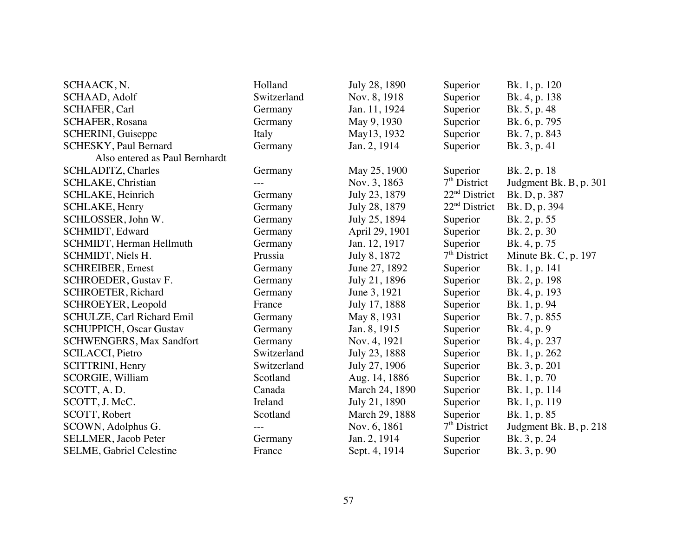| SCHAACK, N.                     | Holland     | July 28, 1890  | Superior                  | Bk. 1, p. 120          |
|---------------------------------|-------------|----------------|---------------------------|------------------------|
| SCHAAD, Adolf                   | Switzerland | Nov. 8, 1918   | Superior                  | Bk. 4, p. 138          |
| SCHAFER, Carl                   | Germany     | Jan. 11, 1924  | Superior                  | Bk. 5, p. 48           |
| <b>SCHAFER, Rosana</b>          | Germany     | May 9, 1930    | Superior                  | Bk. 6, p. 795          |
| SCHERINI, Guiseppe              | Italy       | May13, 1932    | Superior                  | Bk. 7, p. 843          |
| <b>SCHESKY, Paul Bernard</b>    | Germany     | Jan. 2, 1914   | Superior                  | Bk. 3, p. 41           |
| Also entered as Paul Bernhardt  |             |                |                           |                        |
| SCHLADITZ, Charles              | Germany     | May 25, 1900   | Superior                  | Bk. 2, p. 18           |
| <b>SCHLAKE, Christian</b>       |             | Nov. 3, 1863   | $7th$ District            | Judgment Bk. B, p. 301 |
| SCHLAKE, Heinrich               | Germany     | July 23, 1879  | $22nd$ District           | Bk. D, p. 387          |
| SCHLAKE, Henry                  | Germany     | July 28, 1879  | 22 <sup>nd</sup> District | Bk. D, p. 394          |
| SCHLOSSER, John W.              | Germany     | July 25, 1894  | Superior                  | Bk. 2, p. 55           |
| SCHMIDT, Edward                 | Germany     | April 29, 1901 | Superior                  | Bk. 2, p. 30           |
| SCHMIDT, Herman Hellmuth        | Germany     | Jan. 12, 1917  | Superior                  | Bk. 4, p. 75           |
| SCHMIDT, Niels H.               | Prussia     | July 8, 1872   | $7th$ District            | Minute Bk. C, p. 197   |
| <b>SCHREIBER, Ernest</b>        | Germany     | June 27, 1892  | Superior                  | Bk. 1, p. 141          |
| SCHROEDER, Gustav F.            | Germany     | July 21, 1896  | Superior                  | Bk. 2, p. 198          |
| <b>SCHROETER, Richard</b>       | Germany     | June 3, 1921   | Superior                  | Bk. 4, p. 193          |
| SCHROEYER, Leopold              | France      | July 17, 1888  | Superior                  | Bk. 1, p. 94           |
| SCHULZE, Carl Richard Emil      | Germany     | May 8, 1931    | Superior                  | Bk. 7, p. 855          |
| <b>SCHUPPICH, Oscar Gustav</b>  | Germany     | Jan. 8, 1915   | Superior                  | Bk. 4, p. 9            |
| <b>SCHWENGERS, Max Sandfort</b> | Germany     | Nov. 4, 1921   | Superior                  | Bk. 4, p. 237          |
| <b>SCILACCI</b> , Pietro        | Switzerland | July 23, 1888  | Superior                  | Bk. 1, p. 262          |
| SCITTRINI, Henry                | Switzerland | July 27, 1906  | Superior                  | Bk. 3, p. 201          |
| <b>SCORGIE, William</b>         | Scotland    | Aug. 14, 1886  | Superior                  | Bk. 1, p. 70           |
| SCOTT, A.D.                     | Canada      | March 24, 1890 | Superior                  | Bk. 1, p. 114          |
| SCOTT, J. McC.                  | Ireland     | July 21, 1890  | Superior                  | Bk. 1, p. 119          |
| SCOTT, Robert                   | Scotland    | March 29, 1888 | Superior                  | Bk. 1, p. 85           |
| SCOWN, Adolphus G.              |             | Nov. 6, 1861   | $7th$ District            | Judgment Bk. B, p. 218 |
| <b>SELLMER</b> , Jacob Peter    | Germany     | Jan. 2, 1914   | Superior                  | Bk. 3, p. 24           |
| <b>SELME, Gabriel Celestine</b> | France      | Sept. 4, 1914  | Superior                  | Bk. 3, p. 90           |
|                                 |             |                |                           |                        |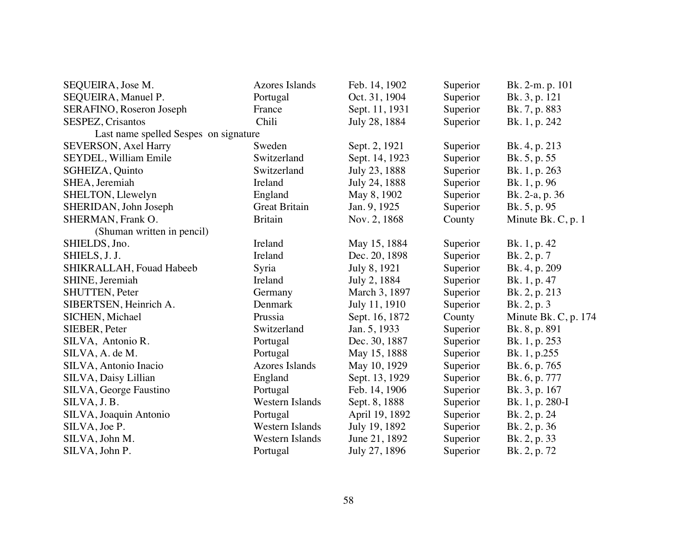| SEQUEIRA, Jose M.                     | <b>Azores Islands</b>  | Feb. 14, 1902  | Superior | Bk. 2-m. p. 101      |
|---------------------------------------|------------------------|----------------|----------|----------------------|
| SEQUEIRA, Manuel P.                   | Portugal               | Oct. 31, 1904  | Superior | Bk. 3, p. 121        |
| SERAFINO, Roseron Joseph              | France                 | Sept. 11, 1931 | Superior | Bk. 7, p. 883        |
| SESPEZ, Crisantos                     | Chili                  | July 28, 1884  | Superior | Bk. 1, p. 242        |
| Last name spelled Sespes on signature |                        |                |          |                      |
| <b>SEVERSON</b> , Axel Harry          | Sweden                 | Sept. 2, 1921  | Superior | Bk. 4, p. 213        |
| SEYDEL, William Emile                 | Switzerland            | Sept. 14, 1923 | Superior | Bk. 5, p. 55         |
| SGHEIZA, Quinto                       | Switzerland            | July 23, 1888  | Superior | Bk. 1, p. 263        |
| SHEA, Jeremiah                        | Ireland                | July 24, 1888  | Superior | Bk. 1, p. 96         |
| SHELTON, Llewelyn                     | England                | May 8, 1902    | Superior | Bk. 2-a, p. 36       |
| SHERIDAN, John Joseph                 | <b>Great Britain</b>   | Jan. 9, 1925   | Superior | Bk. 5, p. 95         |
| SHERMAN, Frank O.                     | <b>Britain</b>         | Nov. 2, 1868   | County   | Minute Bk. C, p. 1   |
| (Shuman written in pencil)            |                        |                |          |                      |
| SHIELDS, Jno.                         | Ireland                | May 15, 1884   | Superior | Bk. 1, p. 42         |
| SHIELS, J. J.                         | Ireland                | Dec. 20, 1898  | Superior | Bk. 2, p. 7          |
| SHIKRALLAH, Fouad Habeeb              | Syria                  | July 8, 1921   | Superior | Bk. 4, p. 209        |
| SHINE, Jeremiah                       | Ireland                | July 2, 1884   | Superior | Bk. 1, p. 47         |
| <b>SHUTTEN, Peter</b>                 | Germany                | March 3, 1897  | Superior | Bk. 2, p. 213        |
| SIBERTSEN, Heinrich A.                | Denmark                | July 11, 1910  | Superior | Bk. 2, p. 3          |
| SICHEN, Michael                       | Prussia                | Sept. 16, 1872 | County   | Minute Bk. C, p. 174 |
| SIEBER, Peter                         | Switzerland            | Jan. 5, 1933   | Superior | Bk. 8, p. 891        |
| SILVA, Antonio R.                     | Portugal               | Dec. 30, 1887  | Superior | Bk. 1, p. 253        |
| SILVA, A. de M.                       | Portugal               | May 15, 1888   | Superior | Bk. 1, p.255         |
| SILVA, Antonio Inacio                 | <b>Azores Islands</b>  | May 10, 1929   | Superior | Bk. 6, p. 765        |
| SILVA, Daisy Lillian                  | England                | Sept. 13, 1929 | Superior | Bk. 6, p. 777        |
| SILVA, George Faustino                | Portugal               | Feb. 14, 1906  | Superior | Bk. 3, p. 167        |
| SILVA, J.B.                           | Western Islands        | Sept. 8, 1888  | Superior | Bk. 1, p. 280-I      |
| SILVA, Joaquin Antonio                | Portugal               | April 19, 1892 | Superior | Bk. 2, p. 24         |
| SILVA, Joe P.                         | <b>Western Islands</b> | July 19, 1892  | Superior | Bk. 2, p. 36         |
| SILVA, John M.                        | Western Islands        | June 21, 1892  | Superior | Bk. 2, p. 33         |
| SILVA, John P.                        | Portugal               | July 27, 1896  | Superior | Bk. 2, p. 72         |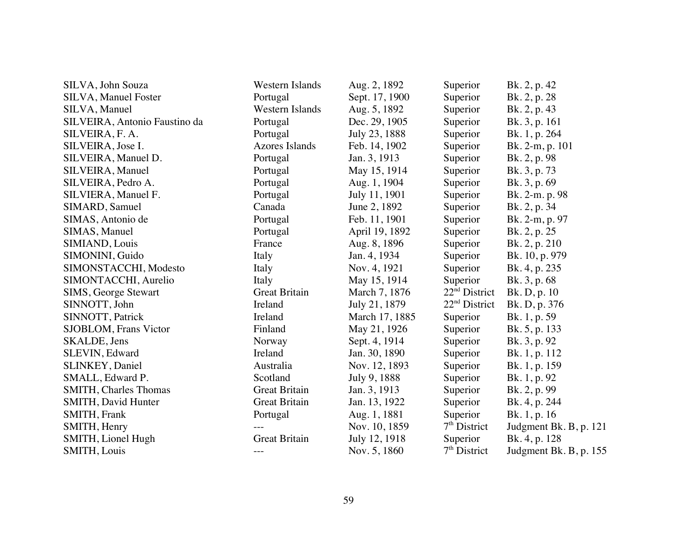| SILVA, John Souza             | Western Islands        | Aug. 2, 1892   | Superior        | Bk. 2, p. 42           |
|-------------------------------|------------------------|----------------|-----------------|------------------------|
| <b>SILVA, Manuel Foster</b>   | Portugal               | Sept. 17, 1900 | Superior        | Bk. 2, p. 28           |
| SILVA, Manuel                 | <b>Western Islands</b> | Aug. 5, 1892   | Superior        | Bk. 2, p. 43           |
| SILVEIRA, Antonio Faustino da | Portugal               | Dec. 29, 1905  | Superior        | Bk. 3, p. 161          |
| SILVEIRA, F. A.               | Portugal               | July 23, 1888  | Superior        | Bk. 1, p. 264          |
| SILVEIRA, Jose I.             | <b>Azores Islands</b>  | Feb. 14, 1902  | Superior        | Bk. 2-m, p. 101        |
| SILVEIRA, Manuel D.           | Portugal               | Jan. 3, 1913   | Superior        | Bk. 2, p. 98           |
| SILVEIRA, Manuel              | Portugal               | May 15, 1914   | Superior        | Bk. 3, p. 73           |
| SILVEIRA, Pedro A.            | Portugal               | Aug. 1, 1904   | Superior        | Bk. 3, p. 69           |
| SILVIERA, Manuel F.           | Portugal               | July 11, 1901  | Superior        | Bk. 2-m. p. 98         |
| SIMARD, Samuel                | Canada                 | June 2, 1892   | Superior        | Bk. 2, p. 34           |
| SIMAS, Antonio de             | Portugal               | Feb. 11, 1901  | Superior        | Bk. 2-m, p. 97         |
| SIMAS, Manuel                 | Portugal               | April 19, 1892 | Superior        | Bk. 2, p. 25           |
| SIMIAND, Louis                | France                 | Aug. 8, 1896   | Superior        | Bk. 2, p. 210          |
| SIMONINI, Guido               | Italy                  | Jan. 4, 1934   | Superior        | Bk. 10, p. 979         |
| SIMONSTACCHI, Modesto         | Italy                  | Nov. 4, 1921   | Superior        | Bk. 4, p. 235          |
| SIMONTACCHI, Aurelio          | Italy                  | May 15, 1914   | Superior        | Bk. 3, p. 68           |
| <b>SIMS, George Stewart</b>   | <b>Great Britain</b>   | March 7, 1876  | $22nd$ District | Bk. D, p. 10           |
| SINNOTT, John                 | Ireland                | July 21, 1879  | $22nd$ District | Bk. D, p. 376          |
| SINNOTT, Patrick              | Ireland                | March 17, 1885 | Superior        | Bk. 1, p. 59           |
| SJOBLOM, Frans Victor         | Finland                | May 21, 1926   | Superior        | Bk. 5, p. 133          |
| SKALDE, Jens                  | Norway                 | Sept. 4, 1914  | Superior        | Bk. 3, p. 92           |
| SLEVIN, Edward                | Ireland                | Jan. 30, 1890  | Superior        | Bk. 1, p. 112          |
| SLINKEY, Daniel               | Australia              | Nov. 12, 1893  | Superior        | Bk. 1, p. 159          |
| SMALL, Edward P.              | Scotland               | July 9, 1888   | Superior        | Bk. 1, p. 92           |
| <b>SMITH, Charles Thomas</b>  | Great Britain          | Jan. 3, 1913   | Superior        | Bk. 2, p. 99           |
| SMITH, David Hunter           | <b>Great Britain</b>   | Jan. 13, 1922  | Superior        | Bk. 4, p. 244          |
| SMITH, Frank                  | Portugal               | Aug. 1, 1881   | Superior        | Bk. 1, p. 16           |
| SMITH, Henry                  |                        | Nov. 10, 1859  | $7th$ District  | Judgment Bk. B, p. 121 |
| SMITH, Lionel Hugh            | <b>Great Britain</b>   | July 12, 1918  | Superior        | Bk. 4, p. 128          |
| SMITH, Louis                  | $---$                  | Nov. 5, 1860   | $7th$ District  | Judgment Bk. B, p. 155 |
|                               |                        |                |                 |                        |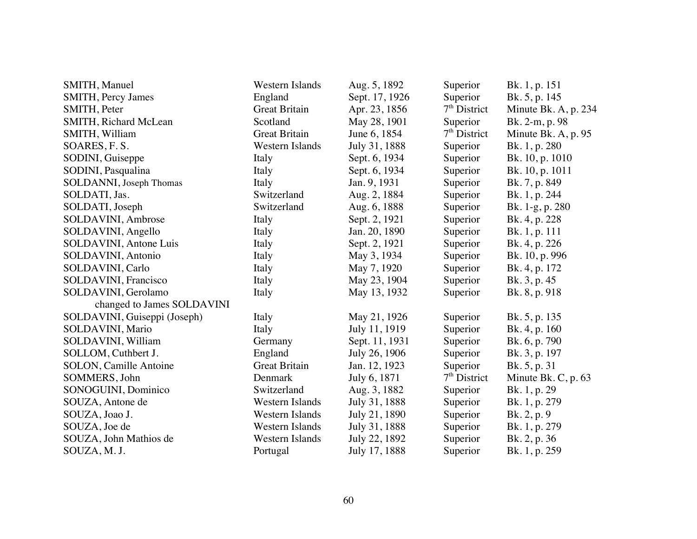| SMITH, Manuel                 | Western Islands        | Aug. 5, 1892   | Superior       | Bk. 1, p. 151         |
|-------------------------------|------------------------|----------------|----------------|-----------------------|
| <b>SMITH, Percy James</b>     | England                | Sept. 17, 1926 | Superior       | Bk. 5, p. 145         |
| SMITH, Peter                  | <b>Great Britain</b>   | Apr. 23, 1856  | $7th$ District | Minute Bk. A, p. 234  |
| SMITH, Richard McLean         | Scotland               | May 28, 1901   | Superior       | Bk. 2-m, p. 98        |
| SMITH, William                | <b>Great Britain</b>   | June 6, 1854   | $7th$ District | Minute Bk. A, p. 95   |
| SOARES, F.S.                  | Western Islands        | July 31, 1888  | Superior       | Bk. 1, p. 280         |
| SODINI, Guiseppe              | Italy                  | Sept. 6, 1934  | Superior       | Bk. 10, p. 1010       |
| SODINI, Pasqualina            | Italy                  | Sept. 6, 1934  | Superior       | Bk. 10, p. 1011       |
| SOLDANNI, Joseph Thomas       | Italy                  | Jan. 9, 1931   | Superior       | Bk. 7, p. 849         |
| SOLDATI, Jas.                 | Switzerland            | Aug. 2, 1884   | Superior       | Bk. 1, p. 244         |
| SOLDATI, Joseph               | Switzerland            | Aug. 6, 1888   | Superior       | Bk. 1-g, p. 280       |
| SOLDAVINI, Ambrose            | Italy                  | Sept. 2, 1921  | Superior       | Bk. 4, p. 228         |
| SOLDAVINI, Angello            | Italy                  | Jan. 20, 1890  | Superior       | Bk. 1, p. 111         |
| SOLDAVINI, Antone Luis        | Italy                  | Sept. 2, 1921  | Superior       | Bk. 4, p. 226         |
| SOLDAVINI, Antonio            | Italy                  | May 3, 1934    | Superior       | Bk. 10, p. 996        |
| SOLDAVINI, Carlo              | Italy                  | May 7, 1920    | Superior       | Bk. 4, p. 172         |
| <b>SOLDAVINI</b> , Francisco  | Italy                  | May 23, 1904   | Superior       | Bk. 3, p. 45          |
| SOLDAVINI, Gerolamo           | Italy                  | May 13, 1932   | Superior       | Bk. 8, p. 918         |
| changed to James SOLDAVINI    |                        |                |                |                       |
| SOLDAVINI, Guiseppi (Joseph)  | Italy                  | May 21, 1926   | Superior       | Bk. 5, p. 135         |
| SOLDAVINI, Mario              | Italy                  | July 11, 1919  | Superior       | Bk. 4, p. 160         |
| SOLDAVINI, William            | Germany                | Sept. 11, 1931 | Superior       | Bk. 6, p. 790         |
| SOLLOM, Cuthbert J.           | England                | July 26, 1906  | Superior       | Bk. 3, p. 197         |
| <b>SOLON, Camille Antoine</b> | <b>Great Britain</b>   | Jan. 12, 1923  | Superior       | Bk. 5, p. 31          |
| SOMMERS, John                 | Denmark                | July 6, 1871   | $7th$ District | Minute Bk. C, p. $63$ |
| SONOGUINI, Dominico           | Switzerland            | Aug. 3, 1882   | Superior       | Bk. 1, p. 29          |
| SOUZA, Antone de              | Western Islands        | July 31, 1888  | Superior       | Bk. 1, p. 279         |
| SOUZA, Joao J.                | Western Islands        | July 21, 1890  | Superior       | Bk. 2, p. 9           |
| SOUZA, Joe de                 | <b>Western Islands</b> | July 31, 1888  | Superior       | Bk. 1, p. 279         |
| SOUZA, John Mathios de        | Western Islands        | July 22, 1892  | Superior       | Bk. 2, p. 36          |
| SOUZA, M. J.                  | Portugal               | July 17, 1888  | Superior       | Bk. 1, p. 259         |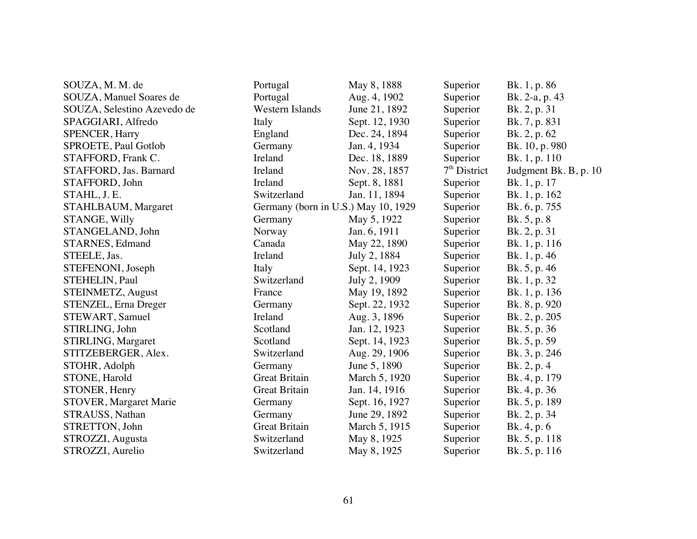| SOUZA, M. M. de               | Portugal             | May 8, 1888                         | Superior       | Bk. 1, p. 86          |
|-------------------------------|----------------------|-------------------------------------|----------------|-----------------------|
| SOUZA, Manuel Soares de       | Portugal             | Aug. 4, 1902                        | Superior       | Bk. 2-a, p. 43        |
| SOUZA, Selestino Azevedo de   | Western Islands      | June 21, 1892                       | Superior       | Bk. 2, p. 31          |
| SPAGGIARI, Alfredo            | Italy                | Sept. 12, 1930                      | Superior       | Bk. 7, p. 831         |
| <b>SPENCER, Harry</b>         | England              | Dec. 24, 1894                       | Superior       | Bk. 2, p. 62          |
| SPROETE, Paul Gotlob          | Germany              | Jan. 4, 1934                        | Superior       | Bk. 10, p. 980        |
| STAFFORD, Frank C.            | Ireland              | Dec. 18, 1889                       | Superior       | Bk. 1, p. 110         |
| STAFFORD, Jas. Barnard        | Ireland              | Nov. 28, 1857                       | $7th$ District | Judgment Bk. B, p. 10 |
| STAFFORD, John                | Ireland              | Sept. 8, 1881                       | Superior       | Bk. 1, p. 17          |
| STAHL, J.E.                   | Switzerland          | Jan. 11, 1894                       | Superior       | Bk. 1, p. 162         |
| STAHLBAUM, Margaret           |                      | Germany (born in U.S.) May 10, 1929 | Superior       | Bk. 6, p. 755         |
| STANGE, Willy                 | Germany              | May 5, 1922                         | Superior       | Bk. 5, p. 8           |
| STANGELAND, John              | Norway               | Jan. 6, 1911                        | Superior       | Bk. 2, p. 31          |
| STARNES, Edmand               | Canada               | May 22, 1890                        | Superior       | Bk. 1, p. 116         |
| STEELE, Jas.                  | Ireland              | July 2, 1884                        | Superior       | Bk. 1, p. 46          |
| STEFENONI, Joseph             | Italy                | Sept. 14, 1923                      | Superior       | Bk. 5, p. 46          |
| STEHELIN, Paul                | Switzerland          | July 2, 1909                        | Superior       | Bk. 1, p. 32          |
| STEINMETZ, August             | France               | May 19, 1892                        | Superior       | Bk. 1, p. 136         |
| STENZEL, Erna Dreger          | Germany              | Sept. 22, 1932                      | Superior       | Bk. 8, p. 920         |
| STEWART, Samuel               | Ireland              | Aug. 3, 1896                        | Superior       | Bk. 2, p. 205         |
| STIRLING, John                | Scotland             | Jan. 12, 1923                       | Superior       | Bk. 5, p. 36          |
| STIRLING, Margaret            | Scotland             | Sept. 14, 1923                      | Superior       | Bk. 5, p. 59          |
| STITZEBERGER, Alex.           | Switzerland          | Aug. 29, 1906                       | Superior       | Bk. 3, p. 246         |
| STOHR, Adolph                 | Germany              | June 5, 1890                        | Superior       | Bk. 2, p. 4           |
| STONE, Harold                 | <b>Great Britain</b> | March 5, 1920                       | Superior       | Bk. 4, p. 179         |
| STONER, Henry                 | <b>Great Britain</b> | Jan. 14, 1916                       | Superior       | Bk. 4, p. 36          |
| <b>STOVER, Margaret Marie</b> | Germany              | Sept. 16, 1927                      | Superior       | Bk. 5, p. 189         |
| STRAUSS, Nathan               | Germany              | June 29, 1892                       | Superior       | Bk. 2, p. 34          |
| STRETTON, John                | <b>Great Britain</b> | March 5, 1915                       | Superior       | Bk. 4, p. 6           |
| STROZZI, Augusta              | Switzerland          | May 8, 1925                         | Superior       | Bk. 5, p. 118         |
| STROZZI, Aurelio              | Switzerland          | May 8, 1925                         | Superior       | Bk. 5, p. 116         |
|                               |                      |                                     |                |                       |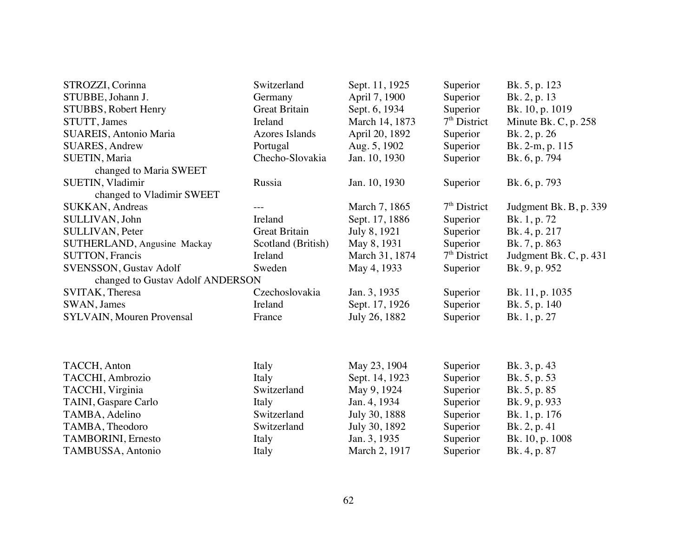| STROZZI, Corinna                 | Switzerland           | Sept. 11, 1925 | Superior       | Bk. 5, p. 123          |
|----------------------------------|-----------------------|----------------|----------------|------------------------|
| STUBBE, Johann J.                | Germany               | April 7, 1900  | Superior       | Bk. 2, p. 13           |
| STUBBS, Robert Henry             | <b>Great Britain</b>  | Sept. 6, 1934  | Superior       | Bk. 10, p. 1019        |
| STUTT, James                     | Ireland               | March 14, 1873 | $7th$ District | Minute Bk. C, p. 258   |
| SUAREIS, Antonio Maria           | <b>Azores Islands</b> | April 20, 1892 | Superior       | Bk. 2, p. 26           |
| <b>SUARES, Andrew</b>            | Portugal              | Aug. 5, 1902   | Superior       | Bk. 2-m, p. 115        |
| SUETIN, Maria                    | Checho-Slovakia       | Jan. 10, 1930  | Superior       | Bk. 6, p. 794          |
| changed to Maria SWEET           |                       |                |                |                        |
| SUETIN, Vladimir                 | Russia                | Jan. 10, 1930  | Superior       | Bk. 6, p. 793          |
| changed to Vladimir SWEET        |                       |                |                |                        |
| SUKKAN, Andreas                  |                       | March 7, 1865  | $7th$ District | Judgment Bk. B, p. 339 |
| SULLIVAN, John                   | Ireland               | Sept. 17, 1886 | Superior       | Bk. 1, p. 72           |
| <b>SULLIVAN, Peter</b>           | <b>Great Britain</b>  | July 8, 1921   | Superior       | Bk. 4, p. 217          |
| SUTHERLAND, Angusine Mackay      | Scotland (British)    | May 8, 1931    | Superior       | Bk. 7, p. 863          |
| <b>SUTTON, Francis</b>           | Ireland               | March 31, 1874 | $7th$ District | Judgment Bk. C, p. 431 |
| SVENSSON, Gustav Adolf           | Sweden                | May 4, 1933    | Superior       | Bk. 9, p. 952          |
| changed to Gustav Adolf ANDERSON |                       |                |                |                        |
| SVITAK, Theresa                  | Czechoslovakia        | Jan. 3, 1935   | Superior       | Bk. 11, p. 1035        |
| SWAN, James                      | Ireland               | Sept. 17, 1926 | Superior       | Bk. 5, p. 140          |
| <b>SYLVAIN, Mouren Provensal</b> | France                | July 26, 1882  | Superior       | Bk. 1, p. 27           |
|                                  |                       |                |                |                        |
| TACCH, Anton                     | Italy                 | May 23, 1904   | Superior       | Bk. 3, p. 43           |
| TACCHI, Ambrozio                 | Italy                 | Sept. 14, 1923 | Superior       | Bk. 5, p. 53           |
| TACCHI, Virginia                 | Switzerland           | May 9, 1924    | Superior       | Bk. 5, p. 85           |
| TAINI, Gaspare Carlo             | Italy                 | Jan. 4, 1934   | Superior       | Bk. 9, p. 933          |
| TAMBA, Adelino                   | Switzerland           | July 30, 1888  | Superior       | Bk. 1, p. 176          |
| TAMBA, Theodoro                  | Switzerland           | July 30, 1892  | Superior       | Bk. 2, p. 41           |
| TAMBORINI, Ernesto               | Italy                 | Jan. 3, 1935   | Superior       | Bk. 10, p. 1008        |
| TAMBUSSA, Antonio                | Italy                 | March 2, 1917  | Superior       | Bk. 4, p. 87           |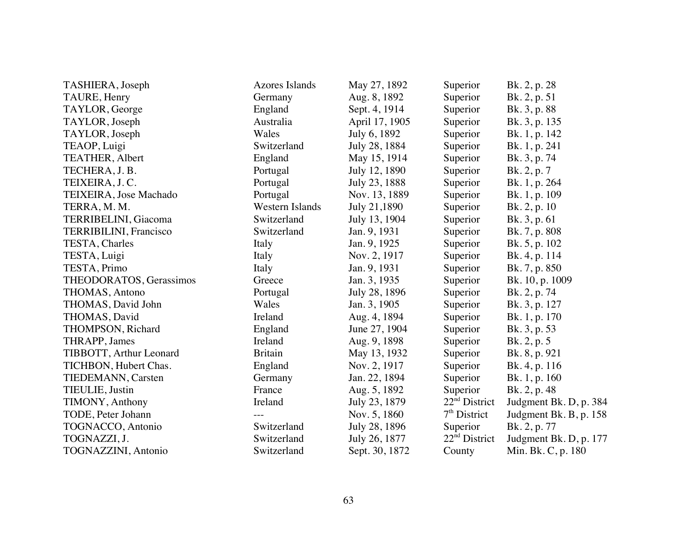| TASHIERA, Joseph            | <b>Azores Islands</b> | May 27, 1892   | Superior        | Bk. 2, p. 28           |
|-----------------------------|-----------------------|----------------|-----------------|------------------------|
| TAURE, Henry                | Germany               | Aug. 8, 1892   | Superior        | Bk. 2, p. 51           |
| TAYLOR, George              | England               | Sept. 4, 1914  | Superior        | Bk. 3, p. 88           |
| TAYLOR, Joseph              | Australia             | April 17, 1905 | Superior        | Bk. 3, p. 135          |
| TAYLOR, Joseph              | Wales                 | July 6, 1892   | Superior        | Bk. 1, p. 142          |
| TEAOP, Luigi                | Switzerland           | July 28, 1884  | Superior        | Bk. 1, p. 241          |
| TEATHER, Albert             | England               | May 15, 1914   | Superior        | Bk. 3, p. 74           |
| TECHERA, J.B.               | Portugal              | July 12, 1890  | Superior        | Bk. 2, p. 7            |
| TEIXEIRA, J.C.              | Portugal              | July 23, 1888  | Superior        | Bk. 1, p. 264          |
| TEIXEIRA, Jose Machado      | Portugal              | Nov. 13, 1889  | Superior        | Bk. 1, p. 109          |
| TERRA, M. M.                | Western Islands       | July 21,1890   | Superior        | Bk. 2, p. 10           |
| TERRIBELINI, Giacoma        | Switzerland           | July 13, 1904  | Superior        | Bk. 3, p. 61           |
| TERRIBILINI, Francisco      | Switzerland           | Jan. 9, 1931   | Superior        | Bk. 7, p. 808          |
| TESTA, Charles              | Italy                 | Jan. 9, 1925   | Superior        | Bk. 5, p. 102          |
| TESTA, Luigi                | Italy                 | Nov. 2, 1917   | Superior        | Bk. 4, p. 114          |
| TESTA, Primo                | Italy                 | Jan. 9, 1931   | Superior        | Bk. 7, p. 850          |
| THEODORATOS, Gerassimos     | Greece                | Jan. 3, 1935   | Superior        | Bk. 10, p. 1009        |
| THOMAS, Antono              | Portugal              | July 28, 1896  | Superior        | Bk. 2, p. 74           |
| THOMAS, David John          | Wales                 | Jan. 3, 1905   | Superior        | Bk. 3, p. 127          |
| THOMAS, David               | Ireland               | Aug. 4, 1894   | Superior        | Bk. 1, p. 170          |
| THOMPSON, Richard           | England               | June 27, 1904  | Superior        | Bk. 3, p. 53           |
| THRAPP, James               | Ireland               | Aug. 9, 1898   | Superior        | Bk. 2, p. 5            |
| TIBBOTT, Arthur Leonard     | <b>Britain</b>        | May 13, 1932   | Superior        | Bk. 8, p. 921          |
| TICHBON, Hubert Chas.       | England               | Nov. 2, 1917   | Superior        | Bk. 4, p. 116          |
| TIEDEMANN, Carsten          | Germany               | Jan. 22, 1894  | Superior        | Bk. 1, p. 160          |
| TIEULIE, Justin             | France                | Aug. 5, 1892   | Superior        | Bk. 2, p. 48           |
| TIMONY, Anthony             | Ireland               | July 23, 1879  | $22nd$ District | Judgment Bk. D, p. 384 |
| TODE, Peter Johann          |                       | Nov. 5, 1860   | $7th$ District  | Judgment Bk. B, p. 158 |
| <b>TOGNACCO</b> , Antonio   | Switzerland           | July 28, 1896  | Superior        | Bk. 2, p. 77           |
| TOGNAZZI, J.                | Switzerland           | July 26, 1877  | $22nd$ District | Judgment Bk. D, p. 177 |
| <b>TOGNAZZINI</b> , Antonio | Switzerland           | Sept. 30, 1872 | County          | Min. Bk. C, p. 180     |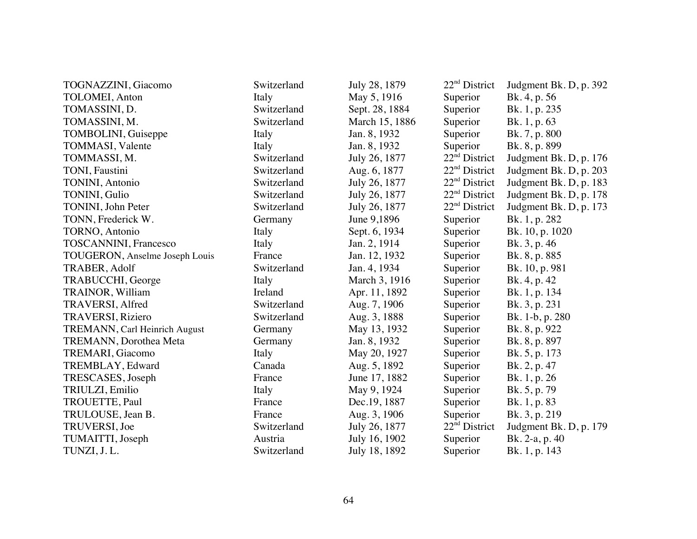| TOGNAZZINI, Giacomo            | Switzerland | July 28, 1879  | $22nd$ District           | Judgment Bk. D, p. 392 |
|--------------------------------|-------------|----------------|---------------------------|------------------------|
| <b>TOLOMEI, Anton</b>          | Italy       | May 5, 1916    | Superior                  | Bk. 4, p. 56           |
| TOMASSINI, D.                  | Switzerland | Sept. 28, 1884 | Superior                  | Bk. 1, p. 235          |
| TOMASSINI, M.                  | Switzerland | March 15, 1886 | Superior                  | Bk. 1, p. 63           |
| TOMBOLINI, Guiseppe            | Italy       | Jan. 8, 1932   | Superior                  | Bk. 7, p. 800          |
| TOMMASI, Valente               | Italy       | Jan. 8, 1932   | Superior                  | Bk. 8, p. 899          |
| TOMMASSI, M.                   | Switzerland | July 26, 1877  | 22 <sup>nd</sup> District | Judgment Bk. D, p. 176 |
| TONI, Faustini                 | Switzerland | Aug. 6, 1877   | $22nd$ District           | Judgment Bk. D, p. 203 |
| <b>TONINI</b> , Antonio        | Switzerland | July 26, 1877  | $22nd$ District           | Judgment Bk. D, p. 183 |
| TONINI, Gulio                  | Switzerland | July 26, 1877  | 22 <sup>nd</sup> District | Judgment Bk. D, p. 178 |
| TONINI, John Peter             | Switzerland | July 26, 1877  | 22 <sup>nd</sup> District | Judgment Bk. D, p. 173 |
| TONN, Frederick W.             | Germany     | June 9,1896    | Superior                  | Bk. 1, p. 282          |
| TORNO, Antonio                 | Italy       | Sept. 6, 1934  | Superior                  | Bk. 10, p. 1020        |
| <b>TOSCANNINI</b> , Francesco  | Italy       | Jan. 2, 1914   | Superior                  | Bk. 3, p. 46           |
| TOUGERON, Anselme Joseph Louis | France      | Jan. 12, 1932  | Superior                  | Bk. 8, p. 885          |
| TRABER, Adolf                  | Switzerland | Jan. 4, 1934   | Superior                  | Bk. 10, p. 981         |
| TRABUCCHI, George              | Italy       | March 3, 1916  | Superior                  | Bk. 4, p. 42           |
| TRAINOR, William               | Ireland     | Apr. 11, 1892  | Superior                  | Bk. 1, p. 134          |
| <b>TRAVERSI, Alfred</b>        | Switzerland | Aug. 7, 1906   | Superior                  | Bk. 3, p. 231          |
| <b>TRAVERSI, Riziero</b>       | Switzerland | Aug. 3, 1888   | Superior                  | Bk. 1-b, p. 280        |
| TREMANN, Carl Heinrich August  | Germany     | May 13, 1932   | Superior                  | Bk. 8, p. 922          |
| <b>TREMANN</b> , Dorothea Meta | Germany     | Jan. 8, 1932   | Superior                  | Bk. 8, p. 897          |
| TREMARI, Giacomo               | Italy       | May 20, 1927   | Superior                  | Bk. 5, p. 173          |
| TREMBLAY, Edward               | Canada      | Aug. 5, 1892   | Superior                  | Bk. 2, p. 47           |
| TRESCASES, Joseph              | France      | June 17, 1882  | Superior                  | Bk. 1, p. 26           |
| TRIULZI, Emilio                | Italy       | May 9, 1924    | Superior                  | Bk. 5, p. 79           |
| TROUETTE, Paul                 | France      | Dec.19, 1887   | Superior                  | Bk. 1, p. 83           |
| TRULOUSE, Jean B.              | France      | Aug. 3, 1906   | Superior                  | Bk. 3, p. 219          |
| TRUVERSI, Joe                  | Switzerland | July 26, 1877  | 22 <sup>nd</sup> District | Judgment Bk. D, p. 179 |
| TUMAITTI, Joseph               | Austria     | July 16, 1902  | Superior                  | Bk. 2-a, p. 40         |
| TUNZI, J.L.                    | Switzerland | July 18, 1892  | Superior                  | Bk. 1, p. 143          |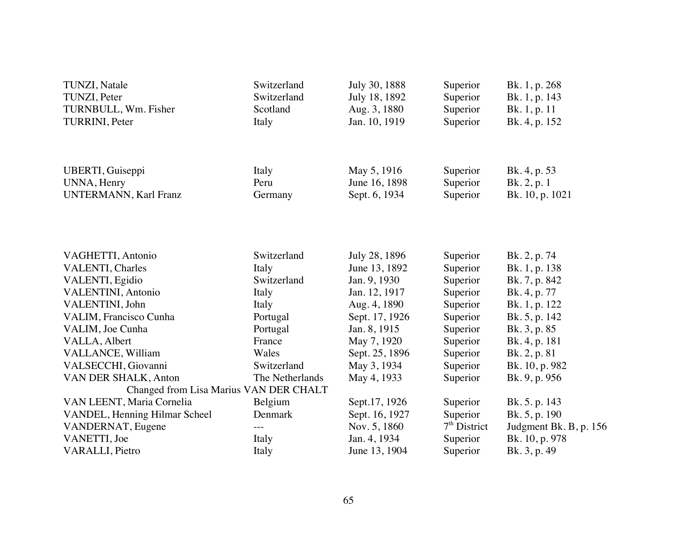| TUNZI, Natale<br>TUNZI, Peter<br>TURNBULL, Wm. Fisher | Switzerland<br>Switzerland<br>Scotland | July 30, 1888<br>July 18, 1892<br>Aug. 3, 1880 | Superior<br>Superior<br>Superior | Bk. 1, p. 268<br>Bk. 1, p. 143<br>Bk. 1, p. 11 |
|-------------------------------------------------------|----------------------------------------|------------------------------------------------|----------------------------------|------------------------------------------------|
| TURRINI, Peter                                        | Italy                                  | Jan. 10, 1919                                  | Superior                         | Bk. 4, p. 152                                  |
| <b>UBERTI, Guiseppi</b>                               | Italy                                  | May 5, 1916                                    | Superior                         | Bk. 4, p. 53                                   |
| UNNA, Henry<br><b>UNTERMANN</b> , Karl Franz          | Peru<br>Germany                        | June 16, 1898<br>Sept. 6, 1934                 | Superior<br>Superior             | Bk. 2, p. 1<br>Bk. 10, p. 1021                 |
|                                                       |                                        |                                                |                                  |                                                |
| VAGHETTI, Antonio                                     | Switzerland                            | July 28, 1896                                  | Superior                         | Bk. 2, p. 74                                   |
| <b>VALENTI</b> , Charles                              | Italy                                  | June 13, 1892                                  | Superior                         | Bk. 1, p. 138                                  |
| VALENTI, Egidio                                       | Switzerland                            | Jan. 9, 1930                                   | Superior                         | Bk. 7, p. 842                                  |
| VALENTINI, Antonio                                    | Italy                                  | Jan. 12, 1917                                  | Superior                         | Bk. 4, p. 77                                   |
| VALENTINI, John                                       | Italy                                  | Aug. 4, 1890                                   | Superior                         | Bk. 1, p. 122                                  |
| VALIM, Francisco Cunha                                | Portugal                               | Sept. 17, 1926                                 | Superior                         | Bk. 5, p. 142                                  |
| VALIM, Joe Cunha                                      | Portugal                               | Jan. 8, 1915                                   | Superior                         | Bk. 3, p. 85                                   |
| VALLA, Albert                                         | France                                 | May 7, 1920                                    | Superior                         | Bk. 4, p. 181                                  |
| VALLANCE, William                                     | Wales                                  | Sept. 25, 1896                                 | Superior                         | Bk. 2, p. 81                                   |
| VALSECCHI, Giovanni                                   | Switzerland                            | May 3, 1934                                    | Superior                         | Bk. 10, p. 982                                 |
| VAN DER SHALK, Anton                                  | The Netherlands                        | May 4, 1933                                    | Superior                         | Bk. 9, p. 956                                  |
| Changed from Lisa Marius VAN DER CHALT                |                                        |                                                |                                  |                                                |
| VAN LEENT, Maria Cornelia                             | Belgium                                | Sept.17, 1926                                  | Superior                         | Bk. 5. p. 143                                  |
| VANDEL, Henning Hilmar Scheel                         | Denmark                                | Sept. 16, 1927                                 | Superior                         | Bk. 5, p. 190                                  |
| VANDERNAT, Eugene                                     | $- - -$                                | Nov. 5, 1860                                   | $7th$ District                   | Judgment Bk. B, p. 156                         |
| VANETTI, Joe                                          | Italy                                  | Jan. 4, 1934                                   | Superior                         | Bk. 10, p. 978                                 |
| <b>VARALLI</b> , Pietro                               | Italy                                  | June 13, 1904                                  | Superior                         | Bk. 3, p. 49                                   |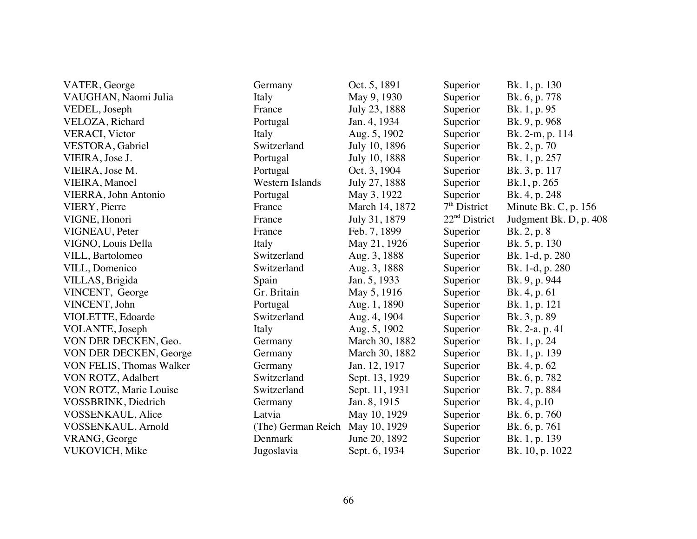| VATER, George            | Germany                | Oct. 5, 1891   | Superior        | Bk. 1, p. 130          |
|--------------------------|------------------------|----------------|-----------------|------------------------|
| VAUGHAN, Naomi Julia     | Italy                  | May 9, 1930    | Superior        | Bk. 6, p. 778          |
| VEDEL, Joseph            | France                 | July 23, 1888  | Superior        | Bk. 1, p. 95           |
| VELOZA, Richard          | Portugal               | Jan. 4, 1934   | Superior        | Bk. 9, p. 968          |
| <b>VERACI</b> , Victor   | Italy                  | Aug. 5, 1902   | Superior        | Bk. 2-m, p. 114        |
| VESTORA, Gabriel         | Switzerland            | July 10, 1896  | Superior        | Bk. 2, p. 70           |
| VIEIRA, Jose J.          | Portugal               | July 10, 1888  | Superior        | Bk. 1, p. 257          |
| VIEIRA, Jose M.          | Portugal               | Oct. 3, 1904   | Superior        | Bk. 3, p. 117          |
| VIEIRA, Manoel           | <b>Western Islands</b> | July 27, 1888  | Superior        | Bk.1, p. 265           |
| VIERRA, John Antonio     | Portugal               | May 3, 1922    | Superior        | Bk. 4, p. 248          |
| VIERY, Pierre            | France                 | March 14, 1872 | $7th$ District  | Minute Bk. C, p. $156$ |
| VIGNE, Honori            | France                 | July 31, 1879  | $22nd$ District | Judgment Bk. D, p. 408 |
| VIGNEAU, Peter           | France                 | Feb. 7, 1899   | Superior        | Bk. 2, p. 8            |
| VIGNO, Louis Della       | Italy                  | May 21, 1926   | Superior        | Bk. 5, p. 130          |
| VILL, Bartolomeo         | Switzerland            | Aug. 3, 1888   | Superior        | Bk. 1-d, p. 280        |
| VILL, Domenico           | Switzerland            | Aug. 3, 1888   | Superior        | Bk. 1-d, p. 280        |
| VILLAS, Brigida          | Spain                  | Jan. 5, 1933   | Superior        | Bk. 9, p. 944          |
| VINCENT, George          | Gr. Britain            | May 5, 1916    | Superior        | Bk. 4, p. 61           |
| VINCENT, John            | Portugal               | Aug. 1, 1890   | Superior        | Bk. 1, p. 121          |
| VIOLETTE, Edoarde        | Switzerland            | Aug. 4, 1904   | Superior        | Bk. 3, p. 89           |
| VOLANTE, Joseph          | Italy                  | Aug. 5, 1902   | Superior        | Bk. 2-a. p. 41         |
| VON DER DECKEN, Geo.     | Germany                | March 30, 1882 | Superior        | Bk. 1, p. 24           |
| VON DER DECKEN, George   | Germany                | March 30, 1882 | Superior        | Bk. 1, p. 139          |
| VON FELIS, Thomas Walker | Germany                | Jan. 12, 1917  | Superior        | Bk. 4, p. 62           |
| VON ROTZ, Adalbert       | Switzerland            | Sept. 13, 1929 | Superior        | Bk. 6, p. 782          |
| VON ROTZ, Marie Louise   | Switzerland            | Sept. 11, 1931 | Superior        | Bk. 7, p. 884          |
| VOSSBRINK, Diedrich      | Germany                | Jan. 8, 1915   | Superior        | Bk. 4, p.10            |
| VOSSENKAUL, Alice        | Latvia                 | May 10, 1929   | Superior        | Bk. 6, p. 760          |
| VOSSENKAUL, Arnold       | (The) German Reich     | May 10, 1929   | Superior        | Bk. 6, p. 761          |
| VRANG, George            | Denmark                | June 20, 1892  | Superior        | Bk. 1, p. 139          |
| VUKOVICH, Mike           | Jugoslavia             | Sept. 6, 1934  | Superior        | Bk. 10, p. 1022        |
|                          |                        |                |                 |                        |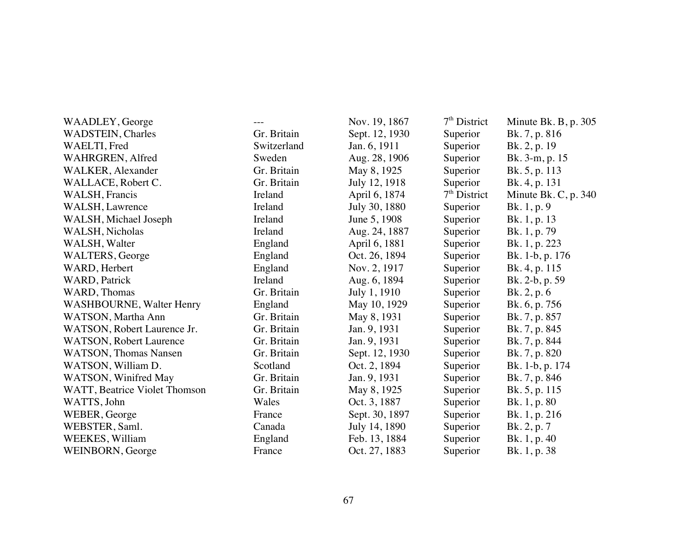| WAADLEY, George                 | $---$       | Nov. 19, 1867  | 7 <sup>th</sup> District | Minute Bk. B, p. 305 |
|---------------------------------|-------------|----------------|--------------------------|----------------------|
| <b>WADSTEIN</b> , Charles       | Gr. Britain | Sept. 12, 1930 | Superior                 | Bk. 7, p. 816        |
| WAELTI, Fred                    | Switzerland | Jan. 6, 1911   | Superior                 | Bk. 2, p. 19         |
| WAHRGREN, Alfred                | Sweden      | Aug. 28, 1906  | Superior                 | Bk. 3-m, p. 15       |
| WALKER, Alexander               | Gr. Britain | May 8, 1925    | Superior                 | Bk. 5, p. 113        |
| WALLACE, Robert C.              | Gr. Britain | July 12, 1918  | Superior                 | Bk. 4, p. 131        |
| <b>WALSH, Francis</b>           | Ireland     | April 6, 1874  | $7th$ District           | Minute Bk. C, p. 340 |
| WALSH, Lawrence                 | Ireland     | July 30, 1880  | Superior                 | Bk. 1, p. 9          |
| WALSH, Michael Joseph           | Ireland     | June 5, 1908   | Superior                 | Bk. 1, p. 13         |
| WALSH, Nicholas                 | Ireland     | Aug. 24, 1887  | Superior                 | Bk. 1, p. 79         |
| WALSH, Walter                   | England     | April 6, 1881  | Superior                 | Bk. 1, p. 223        |
| <b>WALTERS, George</b>          | England     | Oct. 26, 1894  | Superior                 | Bk. 1-b, p. 176      |
| WARD, Herbert                   | England     | Nov. 2, 1917   | Superior                 | Bk. 4, p. 115        |
| WARD, Patrick                   | Ireland     | Aug. 6, 1894   | Superior                 | Bk. 2-b, p. 59       |
| WARD, Thomas                    | Gr. Britain | July 1, 1910   | Superior                 | Bk. 2, p. 6          |
| <b>WASHBOURNE, Walter Henry</b> | England     | May 10, 1929   | Superior                 | Bk. 6, p. 756        |
| WATSON, Martha Ann              | Gr. Britain | May 8, 1931    | Superior                 | Bk. 7, p. 857        |
| WATSON, Robert Laurence Jr.     | Gr. Britain | Jan. 9, 1931   | Superior                 | Bk. 7, p. 845        |
| <b>WATSON, Robert Laurence</b>  | Gr. Britain | Jan. 9, 1931   | Superior                 | Bk. 7, p. 844        |
| <b>WATSON</b> , Thomas Nansen   | Gr. Britain | Sept. 12, 1930 | Superior                 | Bk. 7, p. 820        |
| WATSON, William D.              | Scotland    | Oct. 2, 1894   | Superior                 | Bk. 1-b, p. 174      |
| WATSON, Winifred May            | Gr. Britain | Jan. 9, 1931   | Superior                 | Bk. 7, p. 846        |
| WATT, Beatrice Violet Thomson   | Gr. Britain | May 8, 1925    | Superior                 | Bk. 5, p. 115        |
| WATTS, John                     | Wales       | Oct. 3, 1887   | Superior                 | Bk. 1, p. 80         |
| WEBER, George                   | France      | Sept. 30, 1897 | Superior                 | Bk. 1, p. 216        |
| WEBSTER, Saml.                  | Canada      | July 14, 1890  | Superior                 | Bk. 2, p. 7          |
| WEEKES, William                 | England     | Feb. 13, 1884  | Superior                 | Bk. 1, p. 40         |
| WEINBORN, George                | France      | Oct. 27, 1883  | Superior                 | Bk. 1, p. 38         |
|                                 |             |                |                          |                      |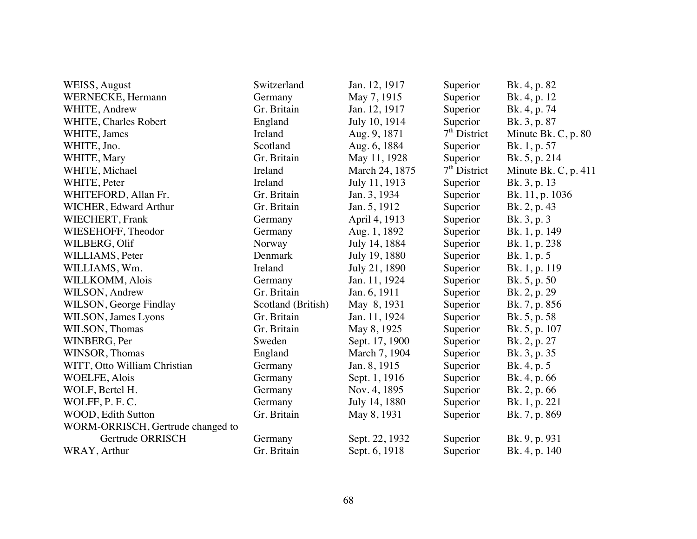| <b>WEISS, August</b>              | Switzerland        | Jan. 12, 1917  | Superior       | Bk. 4, p. 82          |
|-----------------------------------|--------------------|----------------|----------------|-----------------------|
| <b>WERNECKE, Hermann</b>          | Germany            | May 7, 1915    | Superior       | Bk. 4, p. 12          |
| WHITE, Andrew                     | Gr. Britain        | Jan. 12, 1917  | Superior       | Bk. 4, p. 74          |
| WHITE, Charles Robert             | England            | July 10, 1914  | Superior       | Bk. 3, p. 87          |
| WHITE, James                      | Ireland            | Aug. 9, 1871   | $7th$ District | Minute Bk. C, p. $80$ |
| WHITE, Jno.                       | Scotland           | Aug. 6, 1884   | Superior       | Bk. 1, p. 57          |
| WHITE, Mary                       | Gr. Britain        | May 11, 1928   | Superior       | Bk. 5, p. 214         |
| WHITE, Michael                    | Ireland            | March 24, 1875 | $7th$ District | Minute Bk. C, p. 411  |
| WHITE, Peter                      | Ireland            | July 11, 1913  | Superior       | Bk. 3, p. 13          |
| WHITEFORD, Allan Fr.              | Gr. Britain        | Jan. 3, 1934   | Superior       | Bk. 11, p. 1036       |
| WICHER, Edward Arthur             | Gr. Britain        | Jan. 5, 1912   | Superior       | Bk. 2, p. 43          |
| WIECHERT, Frank                   | Germany            | April 4, 1913  | Superior       | Bk. 3, p. 3           |
| WIESEHOFF, Theodor                | Germany            | Aug. 1, 1892   | Superior       | Bk. 1, p. 149         |
| WILBERG, Olif                     | Norway             | July 14, 1884  | Superior       | Bk. 1, p. 238         |
| WILLIAMS, Peter                   | Denmark            | July 19, 1880  | Superior       | Bk. 1, p. 5           |
| WILLIAMS, Wm.                     | Ireland            | July 21, 1890  | Superior       | Bk. 1, p. 119         |
| WILLKOMM, Alois                   | Germany            | Jan. 11, 1924  | Superior       | Bk. 5, p. 50          |
| WILSON, Andrew                    | Gr. Britain        | Jan. 6, 1911   | Superior       | Bk. 2, p. 29          |
| WILSON, George Findlay            | Scotland (British) | May 8, 1931    | Superior       | Bk. 7, p. 856         |
| WILSON, James Lyons               | Gr. Britain        | Jan. 11, 1924  | Superior       | Bk. 5, p. 58          |
| WILSON, Thomas                    | Gr. Britain        | May 8, 1925    | Superior       | Bk. 5, p. 107         |
| WINBERG, Per                      | Sweden             | Sept. 17, 1900 | Superior       | Bk. 2, p. 27          |
| WINSOR, Thomas                    | England            | March 7, 1904  | Superior       | Bk. 3, p. 35          |
| WITT, Otto William Christian      | Germany            | Jan. 8, 1915   | Superior       | Bk. 4, p. 5           |
| <b>WOELFE, Alois</b>              | Germany            | Sept. 1, 1916  | Superior       | Bk. 4, p. 66          |
| WOLF, Bertel H.                   | Germany            | Nov. 4, 1895   | Superior       | Bk. 2, p. 66          |
| WOLFF, P.F.C.                     | Germany            | July 14, 1880  | Superior       | Bk. 1, p. 221         |
| WOOD, Edith Sutton                | Gr. Britain        | May 8, 1931    | Superior       | Bk. 7, p. 869         |
| WORM-ORRISCH, Gertrude changed to |                    |                |                |                       |
| Gertrude ORRISCH                  | Germany            | Sept. 22, 1932 | Superior       | Bk. 9, p. 931         |
| WRAY, Arthur                      | Gr. Britain        | Sept. 6, 1918  | Superior       | Bk. 4, p. 140         |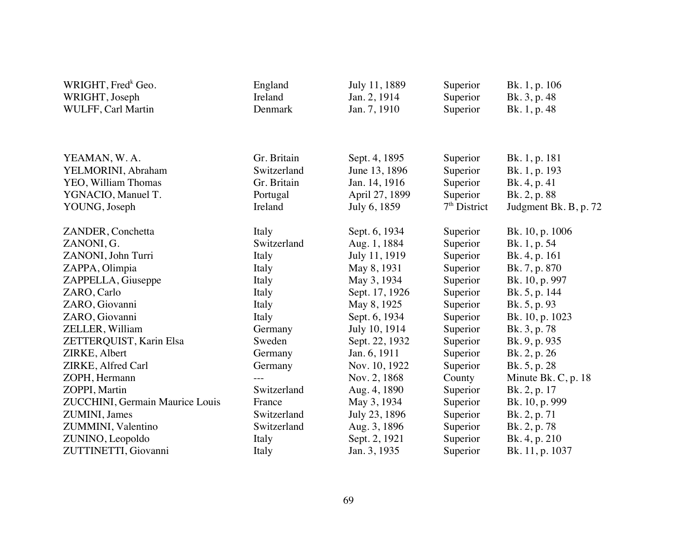| WRIGHT, Fred <sup>k</sup> Geo.<br>WRIGHT, Joseph | England<br>Ireland | July 11, 1889<br>Jan. 2, 1914 | Superior<br>Superior | Bk. 1, p. 106<br>Bk. 3, p. 48 |
|--------------------------------------------------|--------------------|-------------------------------|----------------------|-------------------------------|
| WULFF, Carl Martin                               | Denmark            | Jan. 7, 1910                  | Superior             | Bk. 1, p. 48                  |
|                                                  |                    |                               |                      |                               |
|                                                  |                    |                               |                      |                               |
| YEAMAN, W.A.                                     | Gr. Britain        | Sept. 4, 1895                 | Superior             | Bk. 1, p. 181                 |
| YELMORINI, Abraham                               | Switzerland        | June 13, 1896                 | Superior             | Bk. 1, p. 193                 |
| YEO, William Thomas                              | Gr. Britain        | Jan. 14, 1916                 | Superior             | Bk. 4, p. 41                  |
| YGNACIO, Manuel T.                               | Portugal           | April 27, 1899                | Superior             | Bk. 2, p. 88                  |
| YOUNG, Joseph                                    | Ireland            | July 6, 1859                  | $7th$ District       | Judgment Bk. B, p. 72         |
| ZANDER, Conchetta                                | Italy              | Sept. 6, 1934                 | Superior             | Bk. 10, p. 1006               |
| ZANONI, G.                                       | Switzerland        | Aug. 1, 1884                  | Superior             | Bk. 1, p. 54                  |
| ZANONI, John Turri                               | Italy              | July 11, 1919                 | Superior             | Bk. 4, p. 161                 |
| ZAPPA, Olimpia                                   | Italy              | May 8, 1931                   | Superior             | Bk. 7, p. 870                 |
| ZAPPELLA, Giuseppe                               | Italy              | May 3, 1934                   | Superior             | Bk. 10, p. 997                |
| ZARO, Carlo                                      | Italy              | Sept. 17, 1926                | Superior             | Bk. 5, p. 144                 |
| ZARO, Giovanni                                   | Italy              | May 8, 1925                   | Superior             | Bk. 5, p. 93                  |
| ZARO, Giovanni                                   | Italy              | Sept. 6, 1934                 | Superior             | Bk. 10, p. 1023               |
| ZELLER, William                                  | Germany            | July 10, 1914                 | Superior             | Bk. 3, p. 78                  |
| ZETTERQUIST, Karin Elsa                          | Sweden             | Sept. 22, 1932                | Superior             | Bk. 9, p. 935                 |
| ZIRKE, Albert                                    | Germany            | Jan. 6, 1911                  | Superior             | Bk. 2, p. 26                  |
| ZIRKE, Alfred Carl                               | Germany            | Nov. 10, 1922                 | Superior             | Bk. 5, p. 28                  |
| ZOPH, Hermann                                    | $---$              | Nov. 2, 1868                  | County               | Minute Bk. C, p. 18           |
| ZOPPI, Martin                                    | Switzerland        | Aug. 4, 1890                  | Superior             | Bk. 2, p. 17                  |
| ZUCCHINI, Germain Maurice Louis                  | France             | May 3, 1934                   | Superior             | Bk. 10, p. 999                |
| ZUMINI, James                                    | Switzerland        | July 23, 1896                 | Superior             | Bk. 2, p. 71                  |
| ZUMMINI, Valentino                               | Switzerland        | Aug. 3, 1896                  | Superior             | Bk. 2, p. 78                  |
| ZUNINO, Leopoldo                                 | Italy              | Sept. 2, 1921                 | Superior             | Bk. 4, p. 210                 |
| ZUTTINETTI, Giovanni                             | Italy              | Jan. 3, 1935                  | Superior             | Bk. 11, p. 1037               |